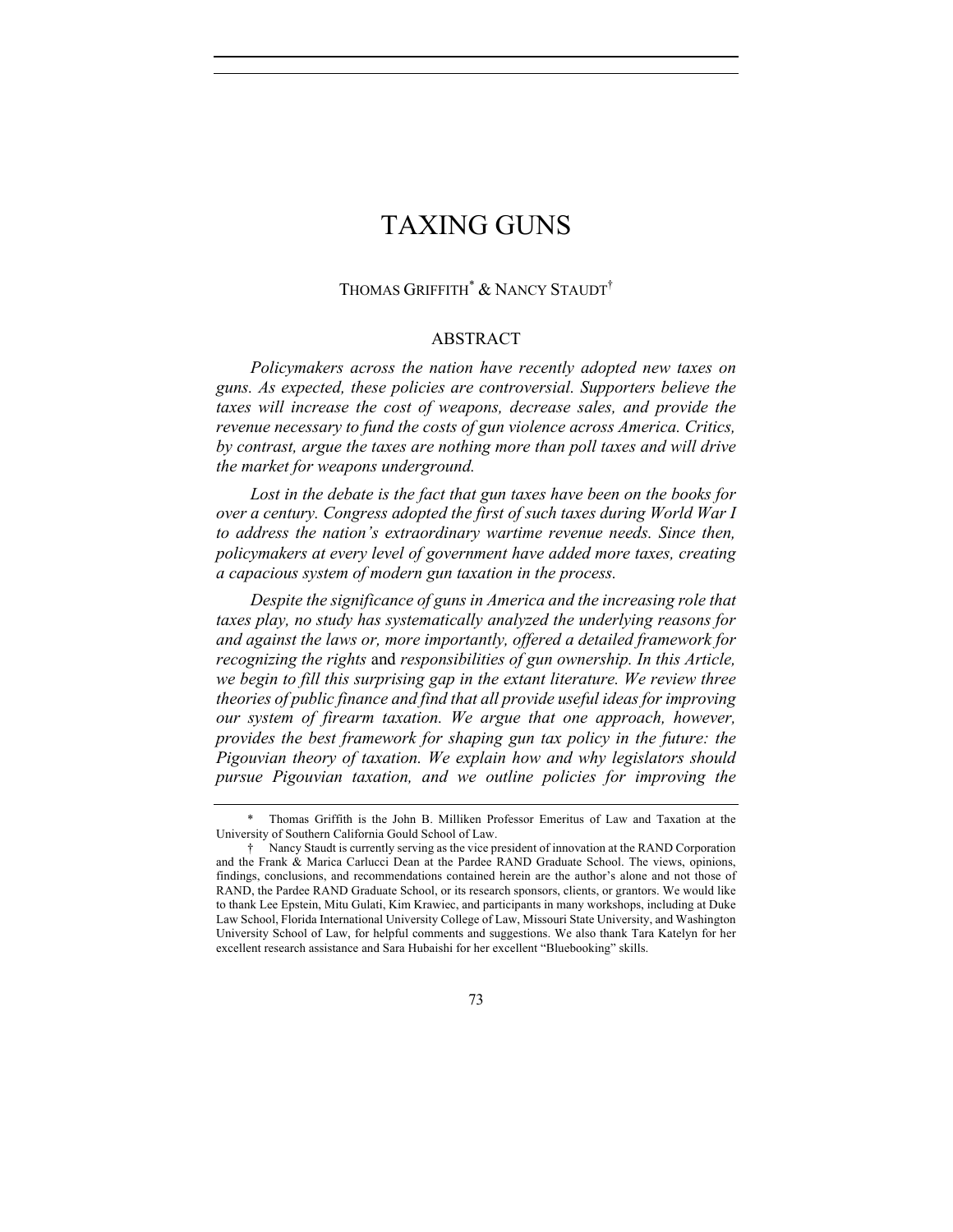## THOMAS GRIFFITH<sup>\*</sup> & NANCY STAUDT<sup>†</sup>

## ABSTRACT

*Policymakers across the nation have recently adopted new taxes on guns. As expected, these policies are controversial. Supporters believe the*  taxes will increase the cost of weapons, decrease sales, and provide the *revenue necessary to fund the costs of gun violence across America. Critics, by contrast, argue the taxes are nothing more than poll taxes and will drive the market for weapons underground.*

*Lost in the debate is the fact that gun taxes have been on the books for over a century. Congress adopted the first of such taxes during World War I to address the nation's extraordinary wartime revenue needs. Since then, policymakers at every level of government have added more taxes, creating a capacious system of modern gun taxation in the process.*

*Despite the significance of guns in America and the increasing role that taxes play, no study has systematically analyzed the underlying reasons for and against the laws or, more importantly, offered a detailed framework for recognizing the rights* and *responsibilities of gun ownership. In this Article, we begin to fill this surprising gap in the extant literature. We review three theories of public finance and find that all provide useful ideas for improving our system of firearm taxation. We argue that one approach, however, provides the best framework for shaping gun tax policy in the future: the Pigouvian theory of taxation. We explain how and why legislators should pursue Pigouvian taxation, and we outline policies for improving the* 

<sup>\*</sup> Thomas Griffith is the John B. Milliken Professor Emeritus of Law and Taxation at the University of Southern California Gould School of Law.

<sup>†</sup> Nancy Staudt is currently serving as the vice president of innovation at the RAND Corporation and the Frank & Marica Carlucci Dean at the Pardee RAND Graduate School. The views, opinions, findings, conclusions, and recommendations contained herein are the author's alone and not those of RAND, the Pardee RAND Graduate School, or its research sponsors, clients, or grantors. We would like to thank Lee Epstein, Mitu Gulati, Kim Krawiec, and participants in many workshops, including at Duke Law School, Florida International University College of Law, Missouri State University, and Washington University School of Law, for helpful comments and suggestions. We also thank Tara Katelyn for her excellent research assistance and Sara Hubaishi for her excellent "Bluebooking" skills.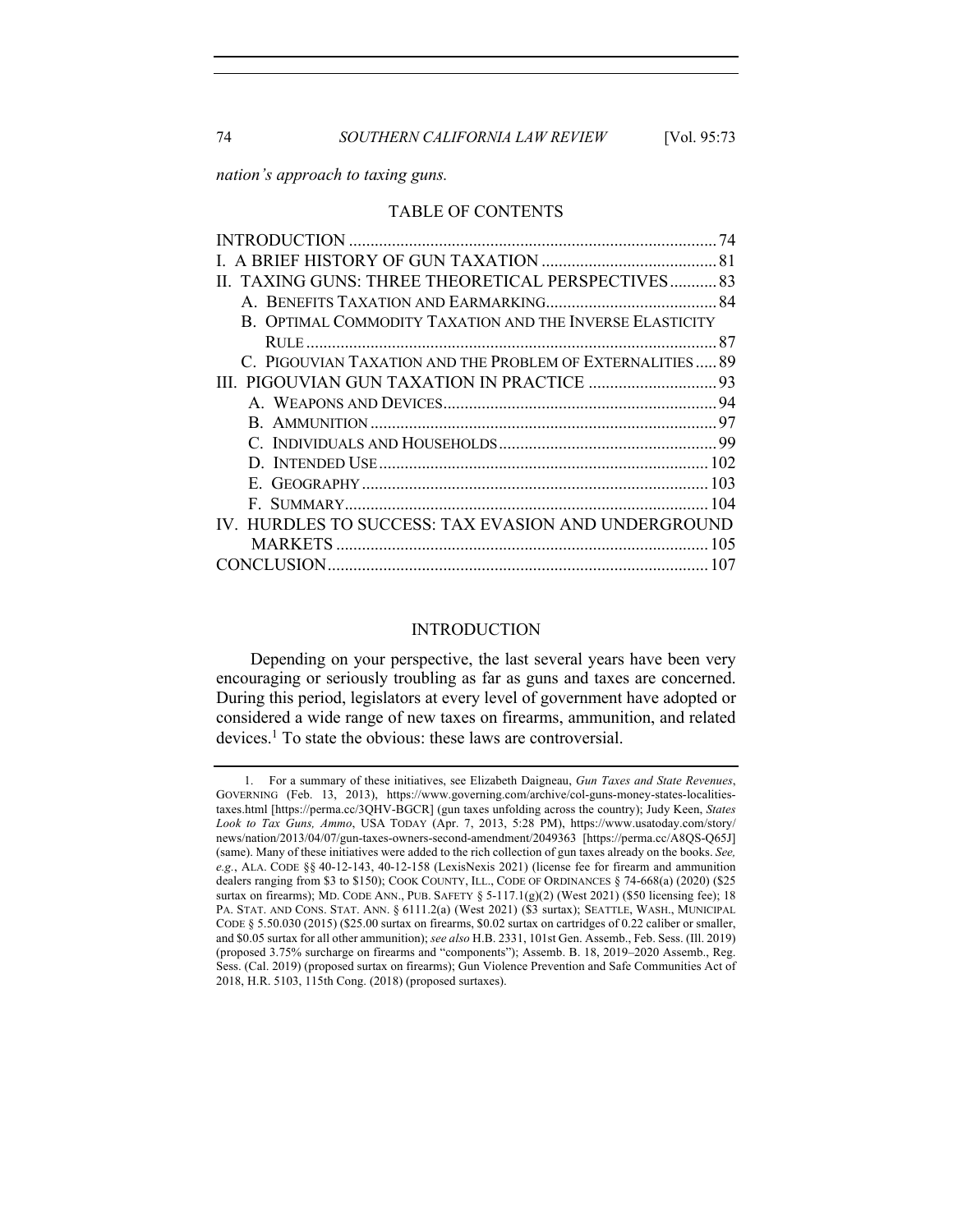*nation's approach to taxing guns.* 

#### TABLE OF CONTENTS

| II. TAXING GUNS: THREE THEORETICAL PERSPECTIVES83<br>B. OPTIMAL COMMODITY TAXATION AND THE INVERSE ELASTICITY<br>C. PIGOUVIAN TAXATION AND THE PROBLEM OF EXTERNALITIES 89<br>IV. HURDLES TO SUCCESS: TAX EVASION AND UNDERGROUND |  |
|-----------------------------------------------------------------------------------------------------------------------------------------------------------------------------------------------------------------------------------|--|
|                                                                                                                                                                                                                                   |  |
|                                                                                                                                                                                                                                   |  |
|                                                                                                                                                                                                                                   |  |
|                                                                                                                                                                                                                                   |  |
|                                                                                                                                                                                                                                   |  |
|                                                                                                                                                                                                                                   |  |
|                                                                                                                                                                                                                                   |  |
|                                                                                                                                                                                                                                   |  |
|                                                                                                                                                                                                                                   |  |
|                                                                                                                                                                                                                                   |  |
|                                                                                                                                                                                                                                   |  |
|                                                                                                                                                                                                                                   |  |
|                                                                                                                                                                                                                                   |  |
|                                                                                                                                                                                                                                   |  |
|                                                                                                                                                                                                                                   |  |
|                                                                                                                                                                                                                                   |  |

#### INTRODUCTION

Depending on your perspective, the last several years have been very encouraging or seriously troubling as far as guns and taxes are concerned. During this period, legislators at every level of government have adopted or considered a wide range of new taxes on firearms, ammunition, and related devices.<sup>1</sup> To state the obvious: these laws are controversial.

<sup>1.</sup> For a summary of these initiatives, see Elizabeth Daigneau, *Gun Taxes and State Revenues*, GOVERNING (Feb. 13, 2013), https://www.governing.com/archive/col-guns-money-states-localitiestaxes.html [https://perma.cc/3QHV-BGCR] (gun taxes unfolding across the country); Judy Keen, *States Look to Tax Guns, Ammo*, USA TODAY (Apr. 7, 2013, 5:28 PM), https://www.usatoday.com/story/ news/nation/2013/04/07/gun-taxes-owners-second-amendment/2049363 [https://perma.cc/A8QS-Q65J] (same). Many of these initiatives were added to the rich collection of gun taxes already on the books. *See, e.g.*, ALA. CODE §§ 40-12-143, 40-12-158 (LexisNexis 2021) (license fee for firearm and ammunition dealers ranging from \$3 to \$150); COOK COUNTY, ILL., CODE OF ORDINANCES § 74-668(a) (2020) (\$25 surtax on firearms); MD. CODE ANN., PUB. SAFETY  $\S$  5-117.1(g)(2) (West 2021) (\$50 licensing fee); 18 PA. STAT. AND CONS. STAT. ANN. § 6111.2(a) (West 2021) (\$3 surtax); SEATTLE, WASH., MUNICIPAL CODE § 5.50.030 (2015) (\$25.00 surtax on firearms, \$0.02 surtax on cartridges of 0.22 caliber or smaller, and \$0.05 surtax for all other ammunition); *see also* H.B. 2331, 101st Gen. Assemb., Feb. Sess. (Ill. 2019) (proposed 3.75% surcharge on firearms and "components"); Assemb. B. 18, 2019–2020 Assemb., Reg. Sess. (Cal. 2019) (proposed surtax on firearms); Gun Violence Prevention and Safe Communities Act of 2018, H.R. 5103, 115th Cong. (2018) (proposed surtaxes).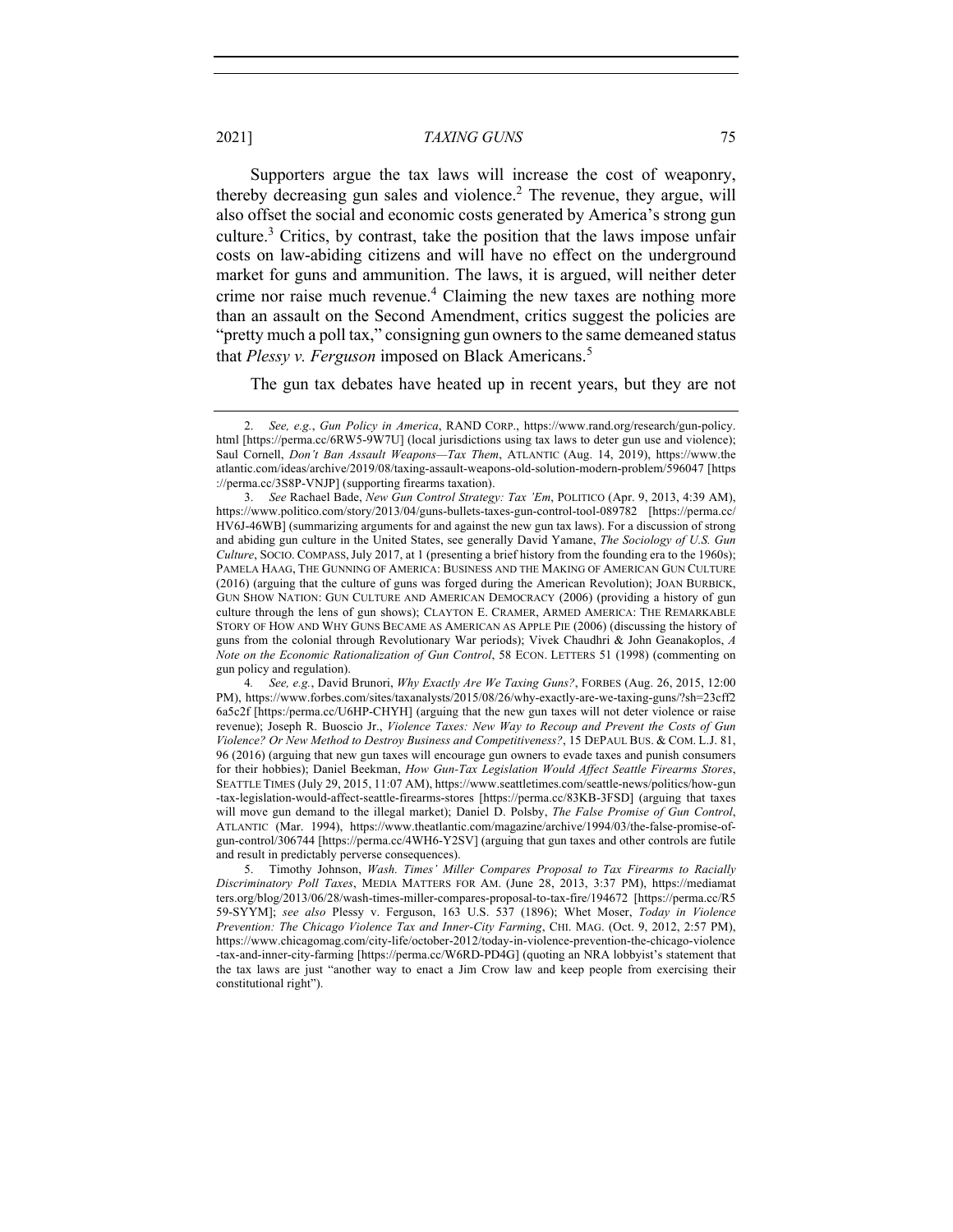Supporters argue the tax laws will increase the cost of weaponry, thereby decreasing gun sales and violence.<sup>2</sup> The revenue, they argue, will also offset the social and economic costs generated by America's strong gun culture.<sup>3</sup> Critics, by contrast, take the position that the laws impose unfair costs on law-abiding citizens and will have no effect on the underground market for guns and ammunition. The laws, it is argued, will neither deter crime nor raise much revenue.<sup>4</sup> Claiming the new taxes are nothing more than an assault on the Second Amendment, critics suggest the policies are "pretty much a poll tax," consigning gun owners to the same demeaned status that *Plessy v. Ferguson* imposed on Black Americans.<sup>5</sup>

The gun tax debates have heated up in recent years, but they are not

4*. See, e.g.*, David Brunori, *Why Exactly Are We Taxing Guns?*, FORBES (Aug. 26, 2015, 12:00 PM), https://www.forbes.com/sites/taxanalysts/2015/08/26/why-exactly-are-we-taxing-guns/?sh=23cff2 6a5c2f [https:/perma.cc/U6HP-CHYH] (arguing that the new gun taxes will not deter violence or raise revenue); Joseph R. Buoscio Jr., *Violence Taxes: New Way to Recoup and Prevent the Costs of Gun Violence? Or New Method to Destroy Business and Competitiveness?*, 15 DEPAUL BUS. & COM. L.J. 81, 96 (2016) (arguing that new gun taxes will encourage gun owners to evade taxes and punish consumers for their hobbies); Daniel Beekman, *How Gun-Tax Legislation Would Affect Seattle Firearms Stores*, SEATTLE TIMES (July 29, 2015, 11:07 AM), https://www.seattletimes.com/seattle-news/politics/how-gun -tax-legislation-would-affect-seattle-firearms-stores [https://perma.cc/83KB-3FSD] (arguing that taxes will move gun demand to the illegal market); Daniel D. Polsby, *The False Promise of Gun Control*, ATLANTIC (Mar. 1994), https://www.theatlantic.com/magazine/archive/1994/03/the-false-promise-ofgun-control/306744 [https://perma.cc/4WH6-Y2SV] (arguing that gun taxes and other controls are futile and result in predictably perverse consequences).

5. Timothy Johnson, *Wash. Times' Miller Compares Proposal to Tax Firearms to Racially Discriminatory Poll Taxes*, MEDIA MATTERS FOR AM. (June 28, 2013, 3:37 PM), https://mediamat ters.org/blog/2013/06/28/wash-times-miller-compares-proposal-to-tax-fire/194672 [https://perma.cc/R5 59-SYYM]; *see also* Plessy v. Ferguson, 163 U.S. 537 (1896); Whet Moser, *Today in Violence Prevention: The Chicago Violence Tax and Inner-City Farming*, CHI. MAG. (Oct. 9, 2012, 2:57 PM), https://www.chicagomag.com/city-life/october-2012/today-in-violence-prevention-the-chicago-violence -tax-and-inner-city-farming [https://perma.cc/W6RD-PD4G] (quoting an NRA lobbyist's statement that the tax laws are just "another way to enact a Jim Crow law and keep people from exercising their constitutional right").

<sup>2.</sup> *See, e.g.*, *Gun Policy in America*, RAND CORP., https://www.rand.org/research/gun-policy. html [https://perma.cc/6RW5-9W7U] (local jurisdictions using tax laws to deter gun use and violence); Saul Cornell, *Don't Ban Assault Weapons—Tax Them*, ATLANTIC (Aug. 14, 2019), https://www.the atlantic.com/ideas/archive/2019/08/taxing-assault-weapons-old-solution-modern-problem/596047 [https ://perma.cc/3S8P-VNJP] (supporting firearms taxation).

<sup>3.</sup> *See* Rachael Bade, *New Gun Control Strategy: Tax 'Em*, POLITICO (Apr. 9, 2013, 4:39 AM), https://www.politico.com/story/2013/04/guns-bullets-taxes-gun-control-tool-089782 [https://perma.cc/ HV6J-46WB] (summarizing arguments for and against the new gun tax laws). For a discussion of strong and abiding gun culture in the United States, see generally David Yamane, *The Sociology of U.S. Gun Culture*, SOCIO. COMPASS, July 2017, at 1 (presenting a brief history from the founding era to the 1960s); PAMELA HAAG, THE GUNNING OF AMERICA: BUSINESS AND THE MAKING OF AMERICAN GUN CULTURE (2016) (arguing that the culture of guns was forged during the American Revolution); JOAN BURBICK, GUN SHOW NATION: GUN CULTURE AND AMERICAN DEMOCRACY (2006) (providing a history of gun culture through the lens of gun shows); CLAYTON E. CRAMER, ARMED AMERICA: THE REMARKABLE STORY OF HOW AND WHY GUNS BECAME AS AMERICAN AS APPLE PIE (2006) (discussing the history of guns from the colonial through Revolutionary War periods); Vivek Chaudhri & John Geanakoplos, *A Note on the Economic Rationalization of Gun Control*, 58 ECON. LETTERS 51 (1998) (commenting on gun policy and regulation).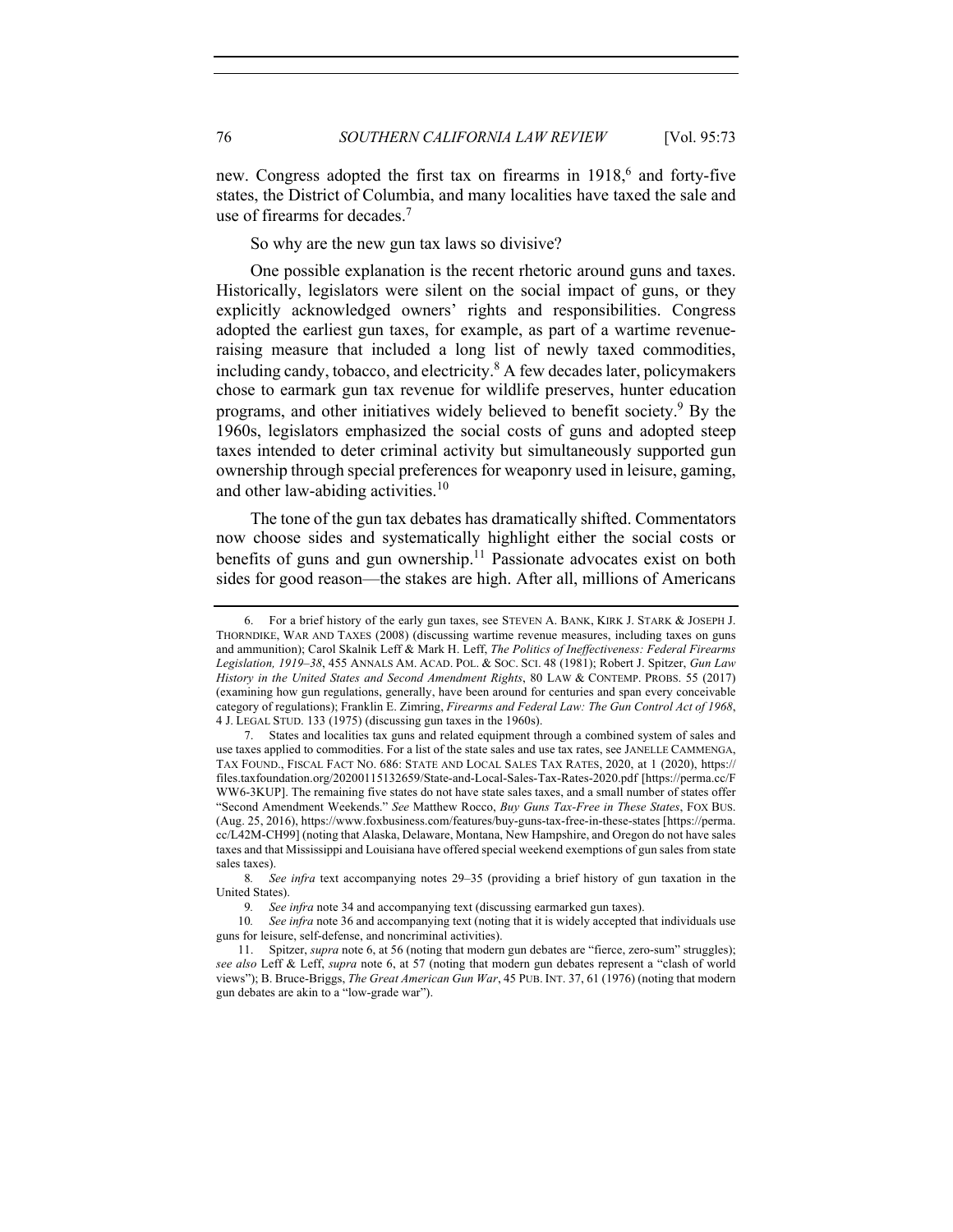new. Congress adopted the first tax on firearms in  $1918$ <sup>6</sup>, and forty-five states, the District of Columbia, and many localities have taxed the sale and use of firearms for decades.<sup>7</sup>

So why are the new gun tax laws so divisive?

One possible explanation is the recent rhetoric around guns and taxes. Historically, legislators were silent on the social impact of guns, or they explicitly acknowledged owners' rights and responsibilities. Congress adopted the earliest gun taxes, for example, as part of a wartime revenueraising measure that included a long list of newly taxed commodities, including candy, tobacco, and electricity. $8$  A few decades later, policymakers chose to earmark gun tax revenue for wildlife preserves, hunter education programs, and other initiatives widely believed to benefit society.<sup>9</sup> By the 1960s, legislators emphasized the social costs of guns and adopted steep taxes intended to deter criminal activity but simultaneously supported gun ownership through special preferences for weaponry used in leisure, gaming, and other law-abiding activities.<sup>10</sup>

The tone of the gun tax debates has dramatically shifted. Commentators now choose sides and systematically highlight either the social costs or benefits of guns and gun ownership.<sup>11</sup> Passionate advocates exist on both sides for good reason—the stakes are high. After all, millions of Americans

<sup>6.</sup> For a brief history of the early gun taxes, see STEVEN A. BANK, KIRK J. STARK & JOSEPH J. THORNDIKE, WAR AND TAXES (2008) (discussing wartime revenue measures, including taxes on guns and ammunition); Carol Skalnik Leff & Mark H. Leff, *The Politics of Ineffectiveness: Federal Firearms Legislation, 1919–38*, 455 ANNALS AM. ACAD. POL. & SOC. SCI. 48 (1981); Robert J. Spitzer, *Gun Law History in the United States and Second Amendment Rights*, 80 LAW & CONTEMP. PROBS. 55 (2017) (examining how gun regulations, generally, have been around for centuries and span every conceivable category of regulations); Franklin E. Zimring, *Firearms and Federal Law: The Gun Control Act of 1968*, 4 J. LEGAL STUD. 133 (1975) (discussing gun taxes in the 1960s).

<sup>7.</sup> States and localities tax guns and related equipment through a combined system of sales and use taxes applied to commodities. For a list of the state sales and use tax rates, see JANELLE CAMMENGA, TAX FOUND., FISCAL FACT NO. 686: STATE AND LOCAL SALES TAX RATES, 2020, at 1 (2020), https:// files.taxfoundation.org/20200115132659/State-and-Local-Sales-Tax-Rates-2020.pdf [https://perma.cc/F WW6-3KUP]. The remaining five states do not have state sales taxes, and a small number of states offer "Second Amendment Weekends." *See* Matthew Rocco, *Buy Guns Tax-Free in These States*, FOX BUS. (Aug. 25, 2016), https://www.foxbusiness.com/features/buy-guns-tax-free-in-these-states [https://perma. cc/L42M-CH99] (noting that Alaska, Delaware, Montana, New Hampshire, and Oregon do not have sales taxes and that Mississippi and Louisiana have offered special weekend exemptions of gun sales from state sales taxes).

<sup>8</sup>*. See infra* text accompanying notes 29–35 (providing a brief history of gun taxation in the United States).

<sup>9</sup>*. See infra* note 34 and accompanying text (discussing earmarked gun taxes).

<sup>10</sup>*. See infra* note 36 and accompanying text (noting that it is widely accepted that individuals use guns for leisure, self-defense, and noncriminal activities).

<sup>11.</sup> Spitzer, *supra* note 6, at 56 (noting that modern gun debates are "fierce, zero-sum" struggles); *see also* Leff & Leff, *supra* note 6, at 57 (noting that modern gun debates represent a "clash of world views"); B. Bruce-Briggs, *The Great American Gun War*, 45 PUB. INT. 37, 61 (1976) (noting that modern gun debates are akin to a "low-grade war").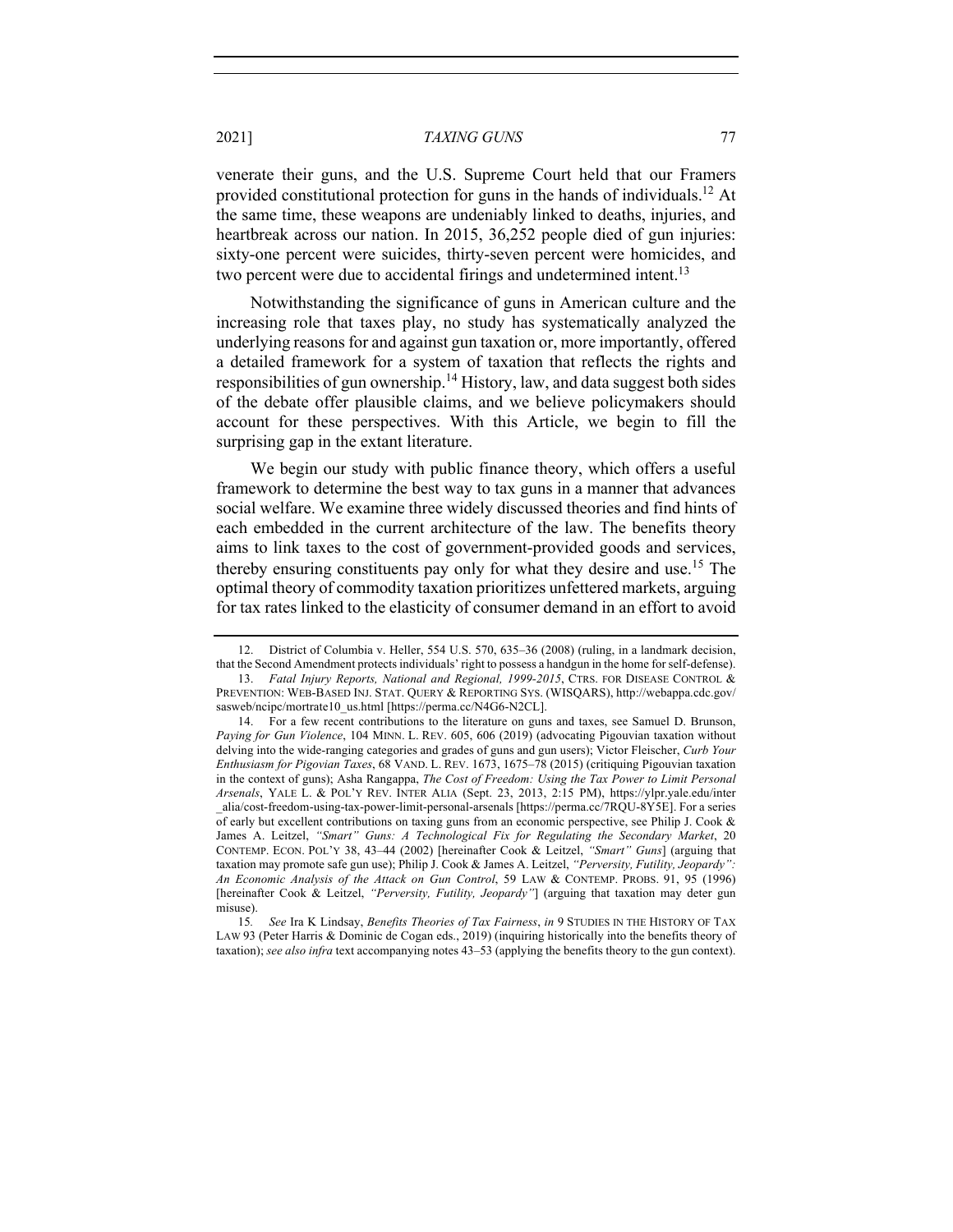venerate their guns, and the U.S. Supreme Court held that our Framers provided constitutional protection for guns in the hands of individuals.<sup>12</sup> At the same time, these weapons are undeniably linked to deaths, injuries, and heartbreak across our nation. In 2015, 36,252 people died of gun injuries: sixty-one percent were suicides, thirty-seven percent were homicides, and two percent were due to accidental firings and undetermined intent.<sup>13</sup>

Notwithstanding the significance of guns in American culture and the increasing role that taxes play, no study has systematically analyzed the underlying reasons for and against gun taxation or, more importantly, offered a detailed framework for a system of taxation that reflects the rights and responsibilities of gun ownership.<sup>14</sup> History, law, and data suggest both sides of the debate offer plausible claims, and we believe policymakers should account for these perspectives. With this Article, we begin to fill the surprising gap in the extant literature.

We begin our study with public finance theory, which offers a useful framework to determine the best way to tax guns in a manner that advances social welfare. We examine three widely discussed theories and find hints of each embedded in the current architecture of the law. The benefits theory aims to link taxes to the cost of government-provided goods and services, thereby ensuring constituents pay only for what they desire and use.<sup>15</sup> The optimal theory of commodity taxation prioritizes unfettered markets, arguing for tax rates linked to the elasticity of consumer demand in an effort to avoid

15*. See* Ira K Lindsay, *Benefits Theories of Tax Fairness*, *in* 9 STUDIES IN THE HISTORY OF TAX LAW 93 (Peter Harris & Dominic de Cogan eds., 2019) (inquiring historically into the benefits theory of taxation); *see also infra* text accompanying notes 43–53 (applying the benefits theory to the gun context).

<sup>12.</sup> District of Columbia v. Heller, 554 U.S. 570, 635–36 (2008) (ruling, in a landmark decision, that the Second Amendment protects individuals' right to possess a handgun in the home for self-defense).

<sup>13.</sup> *Fatal Injury Reports, National and Regional, 1999-2015*, CTRS. FOR DISEASE CONTROL & PREVENTION: WEB-BASED INJ. STAT. QUERY & REPORTING SYS. (WISQARS), http://webappa.cdc.gov/ sasweb/ncipc/mortrate10\_us.html [https://perma.cc/N4G6-N2CL].

<sup>14.</sup> For a few recent contributions to the literature on guns and taxes, see Samuel D. Brunson, *Paying for Gun Violence*, 104 MINN. L. REV. 605, 606 (2019) (advocating Pigouvian taxation without delving into the wide-ranging categories and grades of guns and gun users); Victor Fleischer, *Curb Your Enthusiasm for Pigovian Taxes*, 68 VAND. L. REV. 1673, 1675–78 (2015) (critiquing Pigouvian taxation in the context of guns); Asha Rangappa, *The Cost of Freedom: Using the Tax Power to Limit Personal Arsenals*, YALE L. & POL'Y REV. INTER ALIA (Sept. 23, 2013, 2:15 PM), https://ylpr.yale.edu/inter \_alia/cost-freedom-using-tax-power-limit-personal-arsenals [https://perma.cc/7RQU-8Y5E]. For a series of early but excellent contributions on taxing guns from an economic perspective, see Philip J. Cook & James A. Leitzel, *"Smart" Guns: A Technological Fix for Regulating the Secondary Market*, 20 CONTEMP. ECON. POL'Y 38, 43–44 (2002) [hereinafter Cook & Leitzel, *"Smart" Guns*] (arguing that taxation may promote safe gun use); Philip J. Cook & James A. Leitzel, *"Perversity, Futility, Jeopardy": An Economic Analysis of the Attack on Gun Control*, 59 LAW & CONTEMP. PROBS. 91, 95 (1996) [hereinafter Cook & Leitzel, *"Perversity, Futility, Jeopardy"*] (arguing that taxation may deter gun misuse).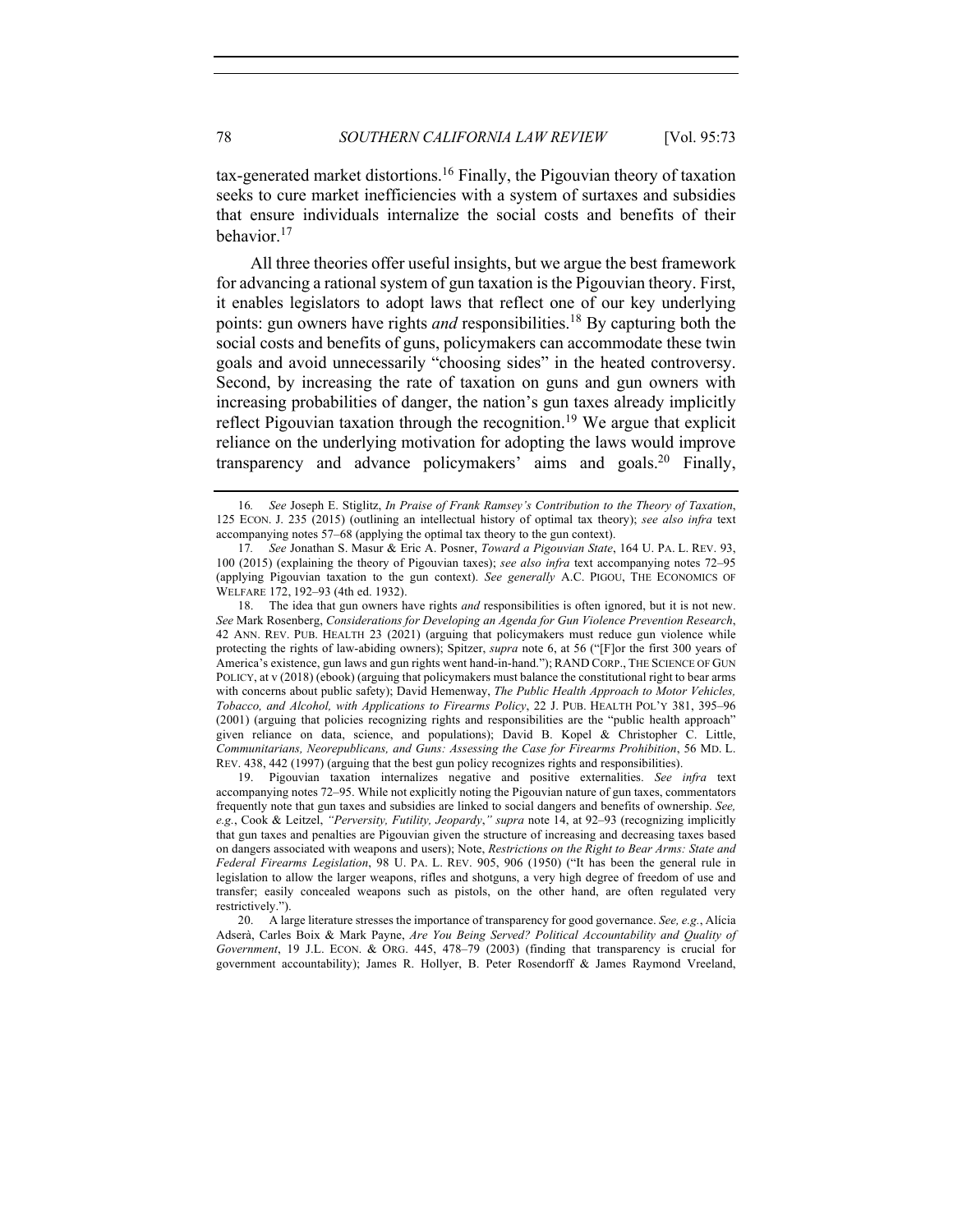$tax-generated market distortions.<sup>16</sup> Finally, the Pigouvian theory of taxation$ seeks to cure market inefficiencies with a system of surtaxes and subsidies that ensure individuals internalize the social costs and benefits of their behavior.<sup>17</sup>

All three theories offer useful insights, but we argue the best framework for advancing a rational system of gun taxation is the Pigouvian theory. First, it enables legislators to adopt laws that reflect one of our key underlying points: gun owners have rights *and* responsibilities.18 By capturing both the social costs and benefits of guns, policymakers can accommodate these twin goals and avoid unnecessarily "choosing sides" in the heated controversy. Second, by increasing the rate of taxation on guns and gun owners with increasing probabilities of danger, the nation's gun taxes already implicitly reflect Pigouvian taxation through the recognition.<sup>19</sup> We argue that explicit reliance on the underlying motivation for adopting the laws would improve transparency and advance policymakers' aims and goals.<sup>20</sup> Finally,

18. The idea that gun owners have rights *and* responsibilities is often ignored, but it is not new. *See* Mark Rosenberg, *Considerations for Developing an Agenda for Gun Violence Prevention Research*, 42 ANN. REV. PUB. HEALTH 23 (2021) (arguing that policymakers must reduce gun violence while protecting the rights of law-abiding owners); Spitzer, *supra* note 6, at 56 ("[F]or the first 300 years of America's existence, gun laws and gun rights went hand-in-hand."); RAND CORP., THE SCIENCE OF GUN POLICY, at v (2018) (ebook) (arguing that policymakers must balance the constitutional right to bear arms with concerns about public safety); David Hemenway, *The Public Health Approach to Motor Vehicles, Tobacco, and Alcohol, with Applications to Firearms Policy*, 22 J. PUB. HEALTH POL'Y 381, 395–96 (2001) (arguing that policies recognizing rights and responsibilities are the "public health approach" given reliance on data, science, and populations); David B. Kopel & Christopher C. Little, *Communitarians, Neorepublicans, and Guns: Assessing the Case for Firearms Prohibition*, 56 MD. L. REV. 438, 442 (1997) (arguing that the best gun policy recognizes rights and responsibilities).

19. Pigouvian taxation internalizes negative and positive externalities. *See infra* text accompanying notes 72–95. While not explicitly noting the Pigouvian nature of gun taxes, commentators frequently note that gun taxes and subsidies are linked to social dangers and benefits of ownership. *See, e.g.*, Cook & Leitzel, *"Perversity, Futility, Jeopardy*,*" supra* note 14, at 92–93 (recognizing implicitly that gun taxes and penalties are Pigouvian given the structure of increasing and decreasing taxes based on dangers associated with weapons and users); Note, *Restrictions on the Right to Bear Arms: State and Federal Firearms Legislation*, 98 U. PA. L. REV. 905, 906 (1950) ("It has been the general rule in legislation to allow the larger weapons, rifles and shotguns, a very high degree of freedom of use and transfer; easily concealed weapons such as pistols, on the other hand, are often regulated very restrictively.").

20. A large literature stresses the importance of transparency for good governance. *See, e.g.*, Alícia Adserà, Carles Boix & Mark Payne, *Are You Being Served? Political Accountability and Quality of Government*, 19 J.L. ECON. & ORG. 445, 478–79 (2003) (finding that transparency is crucial for government accountability); James R. Hollyer, B. Peter Rosendorff & James Raymond Vreeland,

<sup>16</sup>*. See* Joseph E. Stiglitz, *In Praise of Frank Ramsey's Contribution to the Theory of Taxation*, 125 ECON. J. 235 (2015) (outlining an intellectual history of optimal tax theory); *see also infra* text accompanying notes 57–68 (applying the optimal tax theory to the gun context).

<sup>17</sup>*. See* Jonathan S. Masur & Eric A. Posner, *Toward a Pigouvian State*, 164 U. PA. L. REV. 93, 100 (2015) (explaining the theory of Pigouvian taxes); *see also infra* text accompanying notes 72–95 (applying Pigouvian taxation to the gun context). *See generally* A.C. PIGOU, THE ECONOMICS OF WELFARE 172, 192–93 (4th ed. 1932).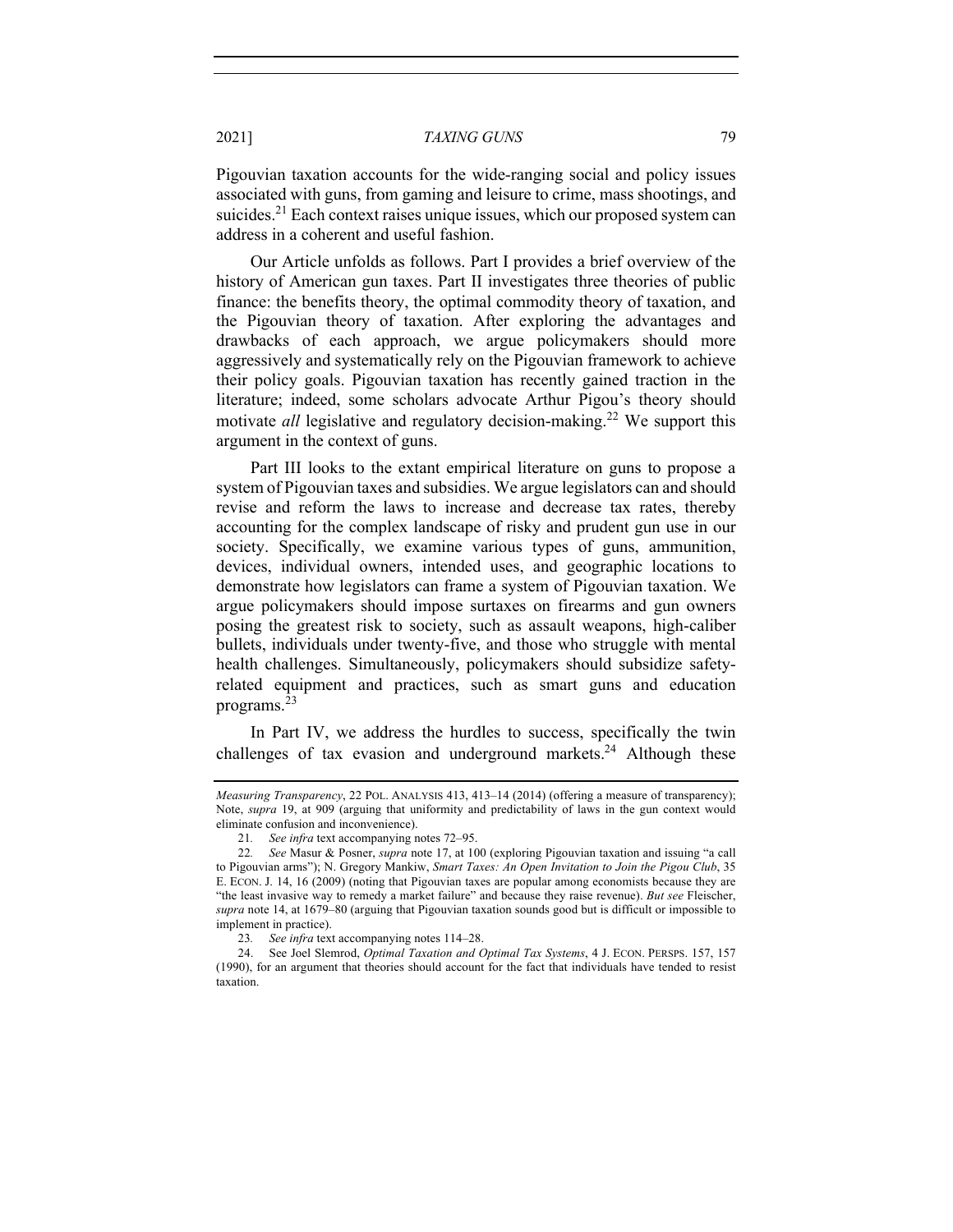Pigouvian taxation accounts for the wide-ranging social and policy issues associated with guns, from gaming and leisure to crime, mass shootings, and suicides.<sup>21</sup> Each context raises unique issues, which our proposed system can address in a coherent and useful fashion.

Our Article unfolds as follows. Part I provides a brief overview of the history of American gun taxes. Part II investigates three theories of public finance: the benefits theory, the optimal commodity theory of taxation, and the Pigouvian theory of taxation. After exploring the advantages and drawbacks of each approach, we argue policymakers should more aggressively and systematically rely on the Pigouvian framework to achieve their policy goals. Pigouvian taxation has recently gained traction in the literature; indeed, some scholars advocate Arthur Pigou's theory should motivate *all* legislative and regulatory decision-making.<sup>22</sup> We support this argument in the context of guns.

Part III looks to the extant empirical literature on guns to propose a system of Pigouvian taxes and subsidies. We argue legislators can and should revise and reform the laws to increase and decrease tax rates, thereby accounting for the complex landscape of risky and prudent gun use in our society. Specifically, we examine various types of guns, ammunition, devices, individual owners, intended uses, and geographic locations to demonstrate how legislators can frame a system of Pigouvian taxation. We argue policymakers should impose surtaxes on firearms and gun owners posing the greatest risk to society, such as assault weapons, high-caliber bullets, individuals under twenty-five, and those who struggle with mental health challenges. Simultaneously, policymakers should subsidize safetyrelated equipment and practices, such as smart guns and education programs.<sup>23</sup>

In Part IV, we address the hurdles to success, specifically the twin challenges of tax evasion and underground markets.<sup>24</sup> Although these

*Measuring Transparency*, 22 POL. ANALYSIS 413, 413–14 (2014) (offering a measure of transparency); Note, *supra* 19, at 909 (arguing that uniformity and predictability of laws in the gun context would eliminate confusion and inconvenience).

<sup>21</sup>*. See infra* text accompanying notes 72–95.

<sup>22</sup>*. See* Masur & Posner, *supra* note 17, at 100 (exploring Pigouvian taxation and issuing "a call to Pigouvian arms"); N. Gregory Mankiw, *Smart Taxes: An Open Invitation to Join the Pigou Club*, 35 E. ECON. J. 14, 16 (2009) (noting that Pigouvian taxes are popular among economists because they are "the least invasive way to remedy a market failure" and because they raise revenue). *But see* Fleischer, *supra* note 14, at 1679–80 (arguing that Pigouvian taxation sounds good but is difficult or impossible to implement in practice).

<sup>23</sup>*. See infra* text accompanying notes 114–28.

<sup>24.</sup> See Joel Slemrod, *Optimal Taxation and Optimal Tax Systems*, 4 J. ECON. PERSPS. 157, 157 (1990), for an argument that theories should account for the fact that individuals have tended to resist taxation.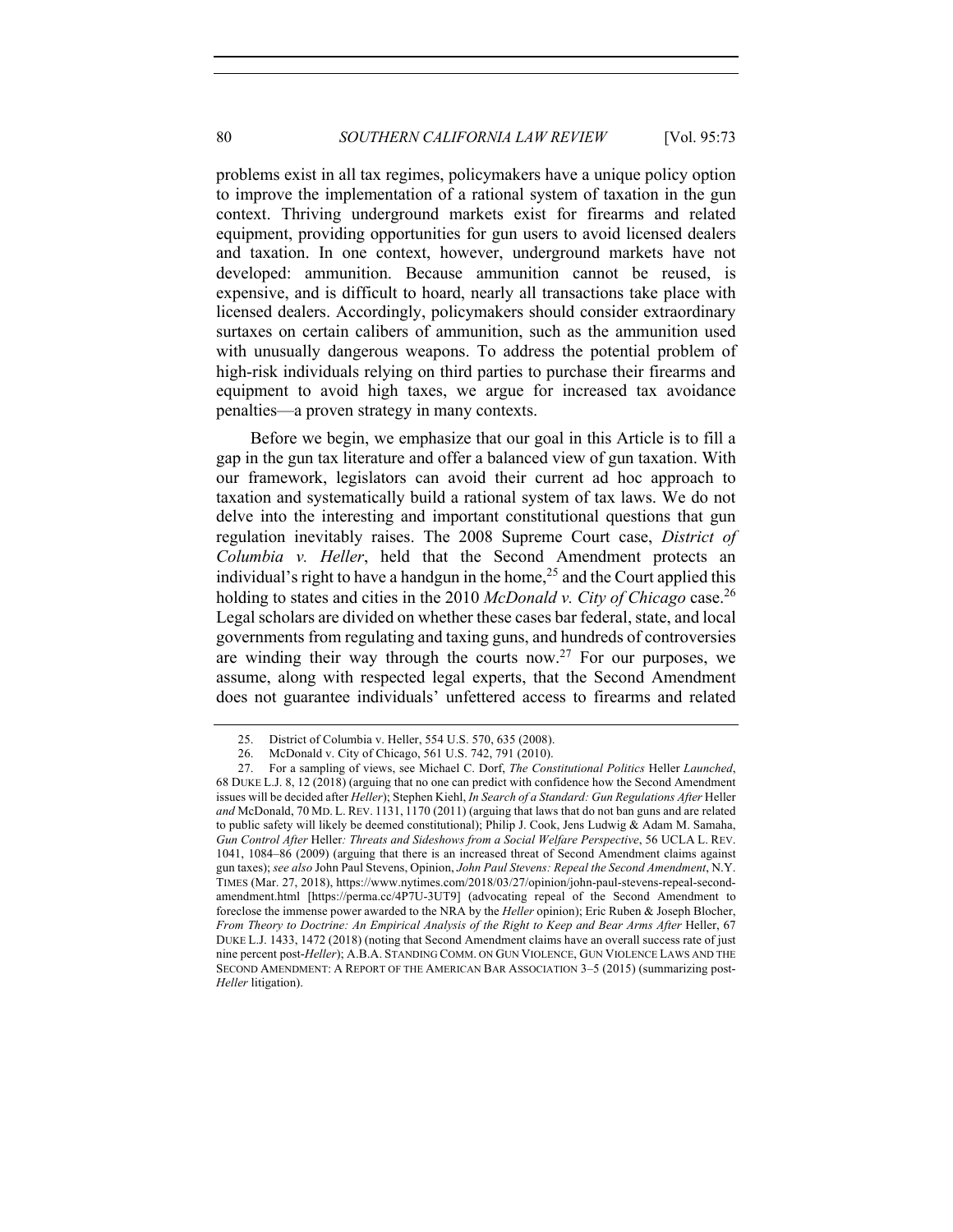problems exist in all tax regimes, policymakers have a unique policy option to improve the implementation of a rational system of taxation in the gun context. Thriving underground markets exist for firearms and related equipment, providing opportunities for gun users to avoid licensed dealers and taxation. In one context, however, underground markets have not developed: ammunition. Because ammunition cannot be reused, is expensive, and is difficult to hoard, nearly all transactions take place with licensed dealers. Accordingly, policymakers should consider extraordinary surtaxes on certain calibers of ammunition, such as the ammunition used with unusually dangerous weapons. To address the potential problem of high-risk individuals relying on third parties to purchase their firearms and equipment to avoid high taxes, we argue for increased tax avoidance penalties—a proven strategy in many contexts.

Before we begin, we emphasize that our goal in this Article is to fill a gap in the gun tax literature and offer a balanced view of gun taxation. With our framework, legislators can avoid their current ad hoc approach to taxation and systematically build a rational system of tax laws. We do not delve into the interesting and important constitutional questions that gun regulation inevitably raises. The 2008 Supreme Court case, *District of Columbia v. Heller*, held that the Second Amendment protects an individual's right to have a handgun in the home,<sup>25</sup> and the Court applied this holding to states and cities in the 2010 *McDonald v. City of Chicago* case.<sup>26</sup> Legal scholars are divided on whether these cases bar federal, state, and local governments from regulating and taxing guns, and hundreds of controversies are winding their way through the courts now.<sup>27</sup> For our purposes, we assume, along with respected legal experts, that the Second Amendment does not guarantee individuals' unfettered access to firearms and related

<sup>25.</sup> District of Columbia v. Heller, 554 U.S. 570, 635 (2008).

<sup>26.</sup> McDonald v. City of Chicago, 561 U.S. 742, 791 (2010).

<sup>27.</sup> For a sampling of views, see Michael C. Dorf, *The Constitutional Politics* Heller *Launched*, 68 DUKE L.J. 8, 12 (2018) (arguing that no one can predict with confidence how the Second Amendment issues will be decided after *Heller*); Stephen Kiehl, *In Search of a Standard: Gun Regulations After* Heller *and* McDonald, 70 MD. L. REV. 1131, 1170 (2011) (arguing that laws that do not ban guns and are related to public safety will likely be deemed constitutional); Philip J. Cook, Jens Ludwig & Adam M. Samaha, *Gun Control After* Heller*: Threats and Sideshows from a Social Welfare Perspective*, 56 UCLA L. REV. 1041, 1084–86 (2009) (arguing that there is an increased threat of Second Amendment claims against gun taxes); *see also* John Paul Stevens, Opinion, *John Paul Stevens: Repeal the Second Amendment*, N.Y. TIMES (Mar. 27, 2018), https://www.nytimes.com/2018/03/27/opinion/john-paul-stevens-repeal-secondamendment.html [https://perma.cc/4P7U-3UT9] (advocating repeal of the Second Amendment to foreclose the immense power awarded to the NRA by the *Heller* opinion); Eric Ruben & Joseph Blocher, *From Theory to Doctrine: An Empirical Analysis of the Right to Keep and Bear Arms After Heller, 67* DUKE L.J. 1433, 1472 (2018) (noting that Second Amendment claims have an overall success rate of just nine percent post-*Heller*); A.B.A. STANDING COMM. ON GUN VIOLENCE, GUN VIOLENCE LAWS AND THE SECOND AMENDMENT: A REPORT OF THE AMERICAN BAR ASSOCIATION 3–5 (2015) (summarizing post-*Heller* litigation).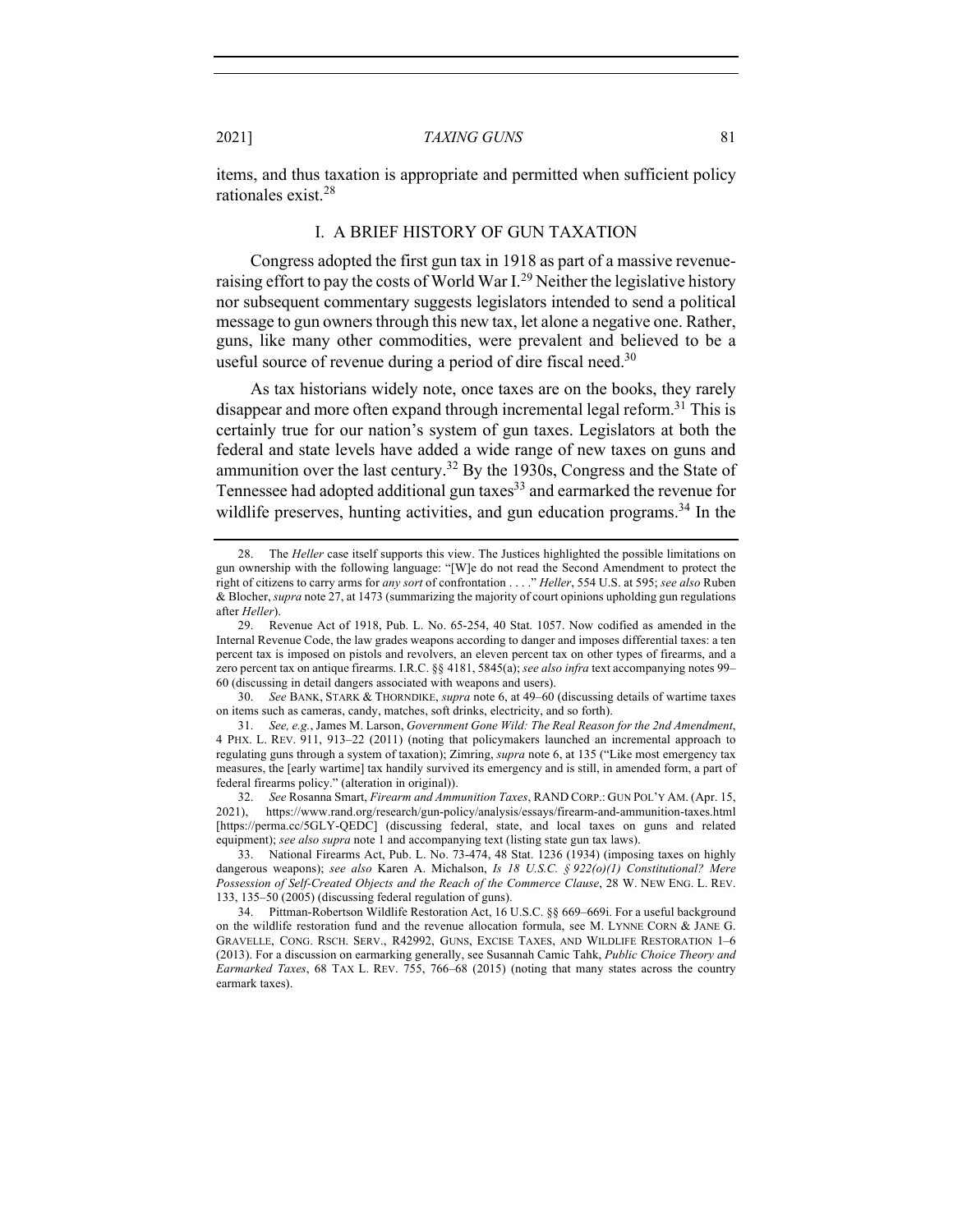items, and thus taxation is appropriate and permitted when sufficient policy rationales exist.<sup>28</sup>

## I. A BRIEF HISTORY OF GUN TAXATION

Congress adopted the first gun tax in 1918 as part of a massive revenueraising effort to pay the costs of World War I.<sup>29</sup> Neither the legislative history nor subsequent commentary suggests legislators intended to send a political message to gun owners through this new tax, let alone a negative one. Rather, guns, like many other commodities, were prevalent and believed to be a useful source of revenue during a period of dire fiscal need.<sup>30</sup>

As tax historians widely note, once taxes are on the books, they rarely disappear and more often expand through incremental legal reform.<sup>31</sup> This is certainly true for our nation's system of gun taxes. Legislators at both the federal and state levels have added a wide range of new taxes on guns and ammunition over the last century.<sup>32</sup> By the 1930s, Congress and the State of Tennessee had adopted additional gun taxes $33$  and earmarked the revenue for wildlife preserves, hunting activities, and gun education programs.<sup>34</sup> In the

30. *See* BANK, STARK & THORNDIKE, *supra* note 6, at 49–60 (discussing details of wartime taxes on items such as cameras, candy, matches, soft drinks, electricity, and so forth).

<sup>28.</sup> The *Heller* case itself supports this view. The Justices highlighted the possible limitations on gun ownership with the following language: "[W]e do not read the Second Amendment to protect the right of citizens to carry arms for *any sort* of confrontation . . . ." *Heller*, 554 U.S. at 595; *see also* Ruben & Blocher, *supra* note 27, at 1473 (summarizing the majority of court opinions upholding gun regulations after *Heller*).

<sup>29.</sup> Revenue Act of 1918, Pub. L. No. 65-254, 40 Stat. 1057. Now codified as amended in the Internal Revenue Code, the law grades weapons according to danger and imposes differential taxes: a ten percent tax is imposed on pistols and revolvers, an eleven percent tax on other types of firearms, and a zero percent tax on antique firearms. I.R.C. §§ 4181, 5845(a); *see also infra* text accompanying notes 99– 60 (discussing in detail dangers associated with weapons and users).

<sup>31.</sup> *See, e.g.*, James M. Larson, *Government Gone Wild: The Real Reason for the 2nd Amendment*, 4 PHX. L. REV. 911, 913–22 (2011) (noting that policymakers launched an incremental approach to regulating guns through a system of taxation); Zimring, *supra* note 6, at 135 ("Like most emergency tax measures, the [early wartime] tax handily survived its emergency and is still, in amended form, a part of federal firearms policy." (alteration in original)).

<sup>32.</sup> *See* Rosanna Smart, *Firearm and Ammunition Taxes*, RAND CORP.: GUN POL'Y AM. (Apr. 15, 2021), https://www.rand.org/research/gun-policy/analysis/essays/firearm-and-ammunition-taxes.html [https://perma.cc/5GLY-QEDC] (discussing federal, state, and local taxes on guns and related equipment); *see also supra* note 1 and accompanying text (listing state gun tax laws).

<sup>33.</sup> National Firearms Act, Pub. L. No. 73-474, 48 Stat. 1236 (1934) (imposing taxes on highly dangerous weapons); *see also* Karen A. Michalson, *Is 18 U.S.C. § 922(o)(1) Constitutional? Mere Possession of Self-Created Objects and the Reach of the Commerce Clause*, 28 W. NEW ENG. L. REV. 133, 135–50 (2005) (discussing federal regulation of guns).

<sup>34.</sup> Pittman-Robertson Wildlife Restoration Act, 16 U.S.C. §§ 669–669i. For a useful background on the wildlife restoration fund and the revenue allocation formula, see M. LYNNE CORN & JANE G. GRAVELLE, CONG. RSCH. SERV., R42992, GUNS, EXCISE TAXES, AND WILDLIFE RESTORATION 1–6 (2013). For a discussion on earmarking generally, see Susannah Camic Tahk, *Public Choice Theory and Earmarked Taxes*, 68 TAX L. REV. 755, 766–68 (2015) (noting that many states across the country earmark taxes).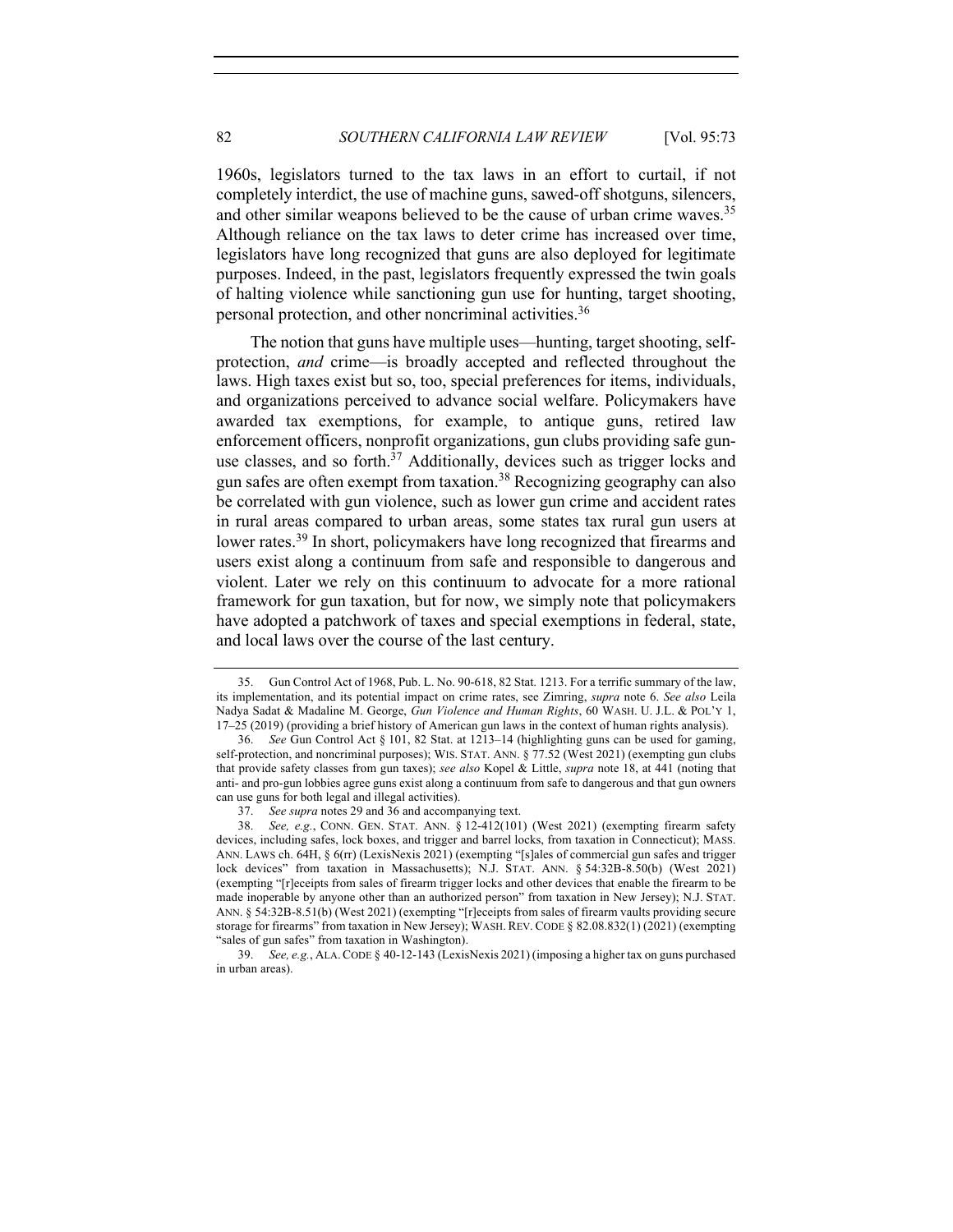1960s, legislators turned to the tax laws in an effort to curtail, if not completely interdict, the use of machine guns, sawed-off shotguns, silencers, and other similar weapons believed to be the cause of urban crime waves.<sup>35</sup> Although reliance on the tax laws to deter crime has increased over time, legislators have long recognized that guns are also deployed for legitimate purposes. Indeed, in the past, legislators frequently expressed the twin goals of halting violence while sanctioning gun use for hunting, target shooting, personal protection, and other noncriminal activities.<sup>36</sup>

The notion that guns have multiple uses—hunting, target shooting, selfprotection, *and* crime—is broadly accepted and reflected throughout the laws. High taxes exist but so, too, special preferences for items, individuals, and organizations perceived to advance social welfare. Policymakers have awarded tax exemptions, for example, to antique guns, retired law enforcement officers, nonprofit organizations, gun clubs providing safe gunuse classes, and so forth. $37$  Additionally, devices such as trigger locks and gun safes are often exempt from taxation.<sup>38</sup> Recognizing geography can also be correlated with gun violence, such as lower gun crime and accident rates in rural areas compared to urban areas, some states tax rural gun users at lower rates.<sup>39</sup> In short, policymakers have long recognized that firearms and users exist along a continuum from safe and responsible to dangerous and violent. Later we rely on this continuum to advocate for a more rational framework for gun taxation, but for now, we simply note that policymakers have adopted a patchwork of taxes and special exemptions in federal, state, and local laws over the course of the last century.

<sup>35.</sup> Gun Control Act of 1968, Pub. L. No. 90-618, 82 Stat. 1213. For a terrific summary of the law, its implementation, and its potential impact on crime rates, see Zimring, *supra* note 6. *See also* Leila Nadya Sadat & Madaline M. George, *Gun Violence and Human Rights*, 60 WASH. U. J.L. & POL'Y 1, 17–25 (2019) (providing a brief history of American gun laws in the context of human rights analysis).

<sup>36.</sup> *See* Gun Control Act § 101, 82 Stat. at 1213–14 (highlighting guns can be used for gaming, self-protection, and noncriminal purposes); WIS. STAT. ANN. § 77.52 (West 2021) (exempting gun clubs that provide safety classes from gun taxes); *see also* Kopel & Little, *supra* note 18, at 441 (noting that anti- and pro-gun lobbies agree guns exist along a continuum from safe to dangerous and that gun owners can use guns for both legal and illegal activities).

<sup>37.</sup> *See supra* notes 29 and 36 and accompanying text.

<sup>38.</sup> *See, e.g.*, CONN. GEN. STAT. ANN. § 12-412(101) (West 2021) (exempting firearm safety devices, including safes, lock boxes, and trigger and barrel locks, from taxation in Connecticut); MASS. ANN. LAWS ch. 64H, § 6(rr) (LexisNexis 2021) (exempting "[s]ales of commercial gun safes and trigger lock devices" from taxation in Massachusetts); N.J. STAT. ANN. § 54:32B-8.50(b) (West 2021) (exempting "[r]eceipts from sales of firearm trigger locks and other devices that enable the firearm to be made inoperable by anyone other than an authorized person" from taxation in New Jersey); N.J. STAT. ANN. § 54:32B-8.51(b) (West 2021) (exempting "[r]eceipts from sales of firearm vaults providing secure storage for firearms" from taxation in New Jersey); WASH. REV. CODE § 82.08.832(1) (2021) (exempting "sales of gun safes" from taxation in Washington).

<sup>39.</sup> *See, e.g.*, ALA.CODE § 40-12-143 (LexisNexis 2021) (imposing a higher tax on guns purchased in urban areas).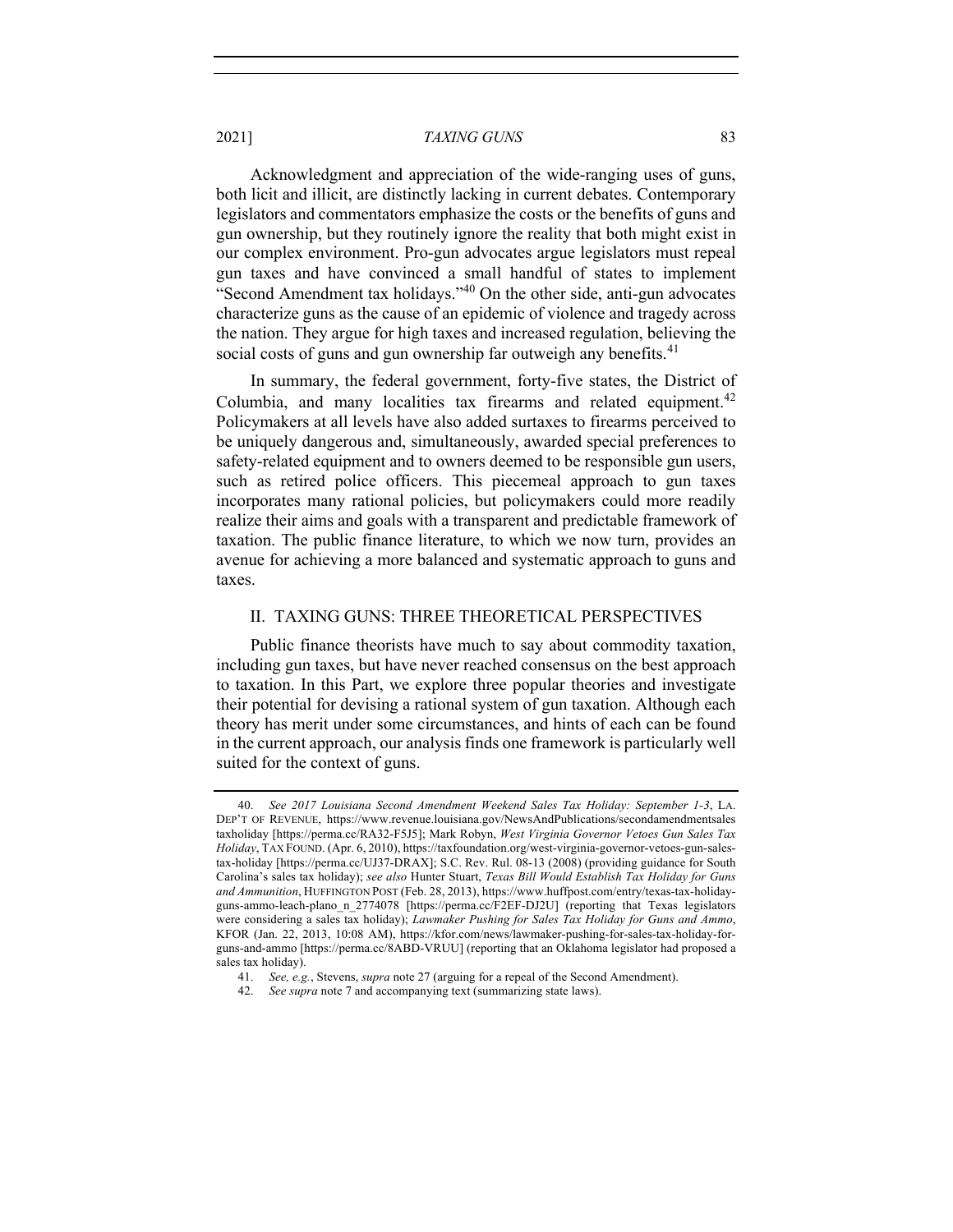Acknowledgment and appreciation of the wide-ranging uses of guns, both licit and illicit, are distinctly lacking in current debates. Contemporary legislators and commentators emphasize the costs or the benefits of guns and gun ownership, but they routinely ignore the reality that both might exist in our complex environment. Pro-gun advocates argue legislators must repeal gun taxes and have convinced a small handful of states to implement "Second Amendment tax holidays."<sup>40</sup> On the other side, anti-gun advocates characterize guns as the cause of an epidemic of violence and tragedy across the nation. They argue for high taxes and increased regulation, believing the social costs of guns and gun ownership far outweigh any benefits.<sup>41</sup>

In summary, the federal government, forty-five states, the District of Columbia, and many localities tax firearms and related equipment.<sup>42</sup> Policymakers at all levels have also added surtaxes to firearms perceived to be uniquely dangerous and, simultaneously, awarded special preferences to safety-related equipment and to owners deemed to be responsible gun users, such as retired police officers. This piecemeal approach to gun taxes incorporates many rational policies, but policymakers could more readily realize their aims and goals with a transparent and predictable framework of taxation. The public finance literature, to which we now turn, provides an avenue for achieving a more balanced and systematic approach to guns and taxes.

## II. TAXING GUNS: THREE THEORETICAL PERSPECTIVES

Public finance theorists have much to say about commodity taxation, including gun taxes, but have never reached consensus on the best approach to taxation. In this Part, we explore three popular theories and investigate their potential for devising a rational system of gun taxation. Although each theory has merit under some circumstances, and hints of each can be found in the current approach, our analysis finds one framework is particularly well suited for the context of guns.

<sup>40.</sup> *See 2017 Louisiana Second Amendment Weekend Sales Tax Holiday: September 1-3*, LA. DEP'T OF REVENUE, https://www.revenue.louisiana.gov/NewsAndPublications/secondamendmentsales taxholiday [https://perma.cc/RA32-F5J5]; Mark Robyn, *West Virginia Governor Vetoes Gun Sales Tax Holiday*, TAX FOUND. (Apr. 6, 2010), https://taxfoundation.org/west-virginia-governor-vetoes-gun-salestax-holiday [https://perma.cc/UJ37-DRAX]; S.C. Rev. Rul. 08-13 (2008) (providing guidance for South Carolina's sales tax holiday); *see also* Hunter Stuart, *Texas Bill Would Establish Tax Holiday for Guns and Ammunition*, HUFFINGTON POST (Feb. 28, 2013), https://www.huffpost.com/entry/texas-tax-holidayguns-ammo-leach-plano\_n\_2774078 [https://perma.cc/F2EF-DJ2U] (reporting that Texas legislators were considering a sales tax holiday); *Lawmaker Pushing for Sales Tax Holiday for Guns and Ammo*, KFOR (Jan. 22, 2013, 10:08 AM), https://kfor.com/news/lawmaker-pushing-for-sales-tax-holiday-forguns-and-ammo [https://perma.cc/8ABD-VRUU] (reporting that an Oklahoma legislator had proposed a sales tax holiday).

<sup>41.</sup> *See, e.g.*, Stevens, *supra* note 27 (arguing for a repeal of the Second Amendment).

<sup>42.</sup> *See supra* note 7 and accompanying text (summarizing state laws).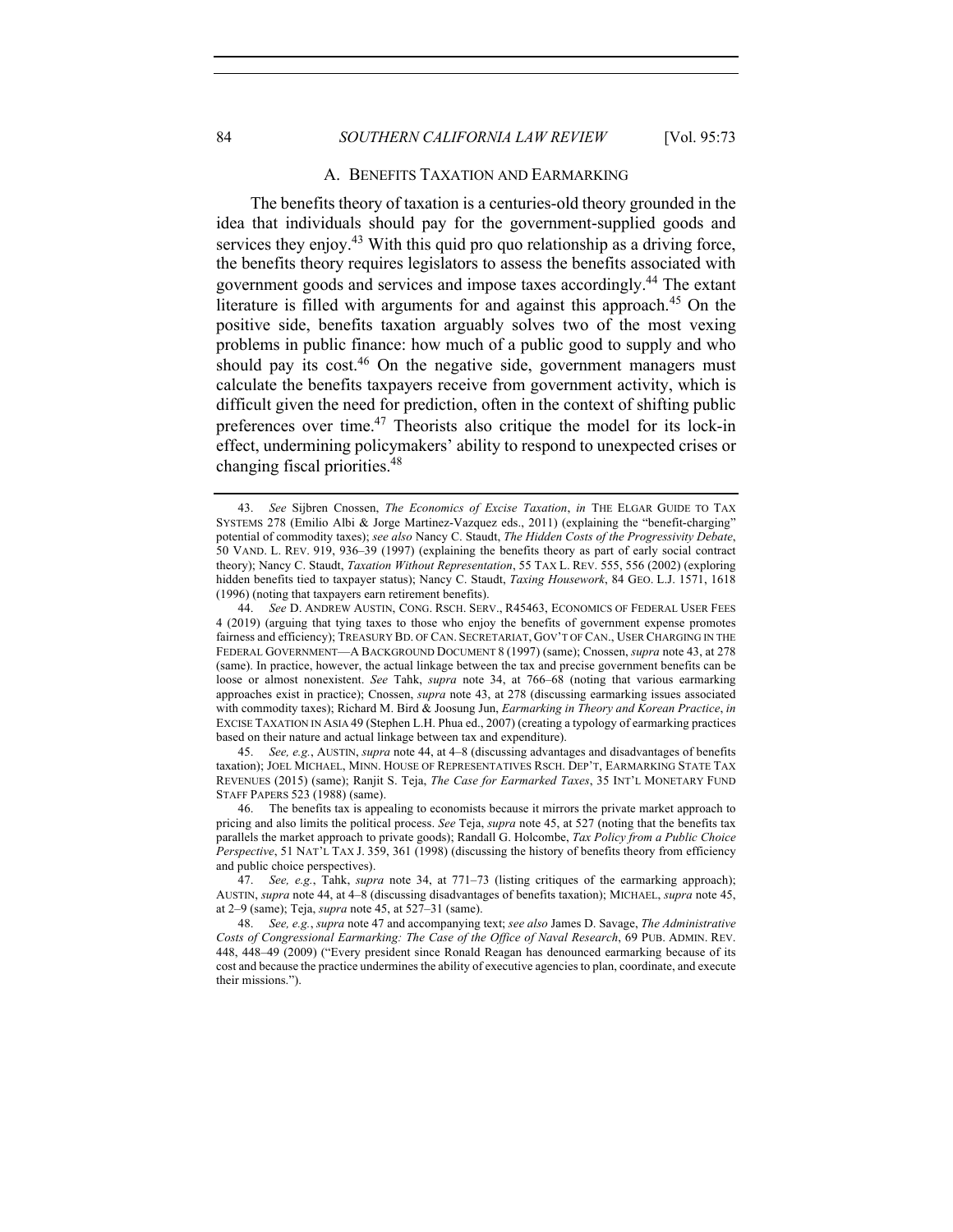## 84 *SOUTHERN CALIFORNIA LAW REVIEW* [Vol. 95:73

#### A. BENEFITS TAXATION AND EARMARKING

The benefits theory of taxation is a centuries-old theory grounded in the idea that individuals should pay for the government-supplied goods and services they enjoy.<sup>43</sup> With this quid pro quo relationship as a driving force, the benefits theory requires legislators to assess the benefits associated with government goods and services and impose taxes accordingly.44 The extant literature is filled with arguments for and against this approach.<sup>45</sup> On the positive side, benefits taxation arguably solves two of the most vexing problems in public finance: how much of a public good to supply and who should pay its cost.<sup>46</sup> On the negative side, government managers must calculate the benefits taxpayers receive from government activity, which is difficult given the need for prediction, often in the context of shifting public preferences over time.<sup>47</sup> Theorists also critique the model for its lock-in effect, undermining policymakers' ability to respond to unexpected crises or changing fiscal priorities.48

45. *See, e.g.*, AUSTIN, *supra* note 44, at 4–8 (discussing advantages and disadvantages of benefits taxation); JOEL MICHAEL, MINN. HOUSE OF REPRESENTATIVES RSCH. DEP'T, EARMARKING STATE TAX REVENUES (2015) (same); Ranjit S. Teja, *The Case for Earmarked Taxes*, 35 INT'L MONETARY FUND STAFF PAPERS 523 (1988) (same).

<sup>43.</sup> *See* Sijbren Cnossen, *The Economics of Excise Taxation*, *in* THE ELGAR GUIDE TO TAX SYSTEMS 278 (Emilio Albi & Jorge Martinez-Vazquez eds., 2011) (explaining the "benefit-charging" potential of commodity taxes); *see also* Nancy C. Staudt, *The Hidden Costs of the Progressivity Debate*, 50 VAND. L. REV. 919, 936–39 (1997) (explaining the benefits theory as part of early social contract theory); Nancy C. Staudt, *Taxation Without Representation*, 55 TAX L. REV. 555, 556 (2002) (exploring hidden benefits tied to taxpayer status); Nancy C. Staudt, *Taxing Housework*, 84 GEO. L.J. 1571, 1618 (1996) (noting that taxpayers earn retirement benefits).

<sup>44.</sup> *See* D. ANDREW AUSTIN, CONG. RSCH. SERV., R45463, ECONOMICS OF FEDERAL USER FEES 4 (2019) (arguing that tying taxes to those who enjoy the benefits of government expense promotes fairness and efficiency); TREASURY BD. OF CAN. SECRETARIAT, GOV'T OF CAN., USER CHARGING IN THE FEDERAL GOVERNMENT—A BACKGROUND DOCUMENT 8 (1997) (same); Cnossen, *supra* note 43, at 278 (same). In practice, however, the actual linkage between the tax and precise government benefits can be loose or almost nonexistent. *See* Tahk, *supra* note 34, at 766–68 (noting that various earmarking approaches exist in practice); Cnossen, *supra* note 43, at 278 (discussing earmarking issues associated with commodity taxes); Richard M. Bird & Joosung Jun, *Earmarking in Theory and Korean Practice*, *in*  EXCISE TAXATION IN ASIA 49 (Stephen L.H. Phua ed., 2007) (creating a typology of earmarking practices based on their nature and actual linkage between tax and expenditure).

<sup>46.</sup> The benefits tax is appealing to economists because it mirrors the private market approach to pricing and also limits the political process. *See* Teja, *supra* note 45, at 527 (noting that the benefits tax parallels the market approach to private goods); Randall G. Holcombe, *Tax Policy from a Public Choice Perspective*, 51 NAT'L TAX J. 359, 361 (1998) (discussing the history of benefits theory from efficiency and public choice perspectives).

<sup>47.</sup> *See, e.g.*, Tahk, *supra* note 34, at 771–73 (listing critiques of the earmarking approach); AUSTIN, *supra* note 44, at 4–8 (discussing disadvantages of benefits taxation); MICHAEL, *supra* note 45, at 2–9 (same); Teja, *supra* note 45, at 527–31 (same).

<sup>48.</sup> *See, e.g.*, *supra* note 47 and accompanying text; *see also* James D. Savage, *The Administrative Costs of Congressional Earmarking: The Case of the Office of Naval Research*, 69 PUB. ADMIN. REV. 448, 448–49 (2009) ("Every president since Ronald Reagan has denounced earmarking because of its cost and because the practice undermines the ability of executive agencies to plan, coordinate, and execute their missions.").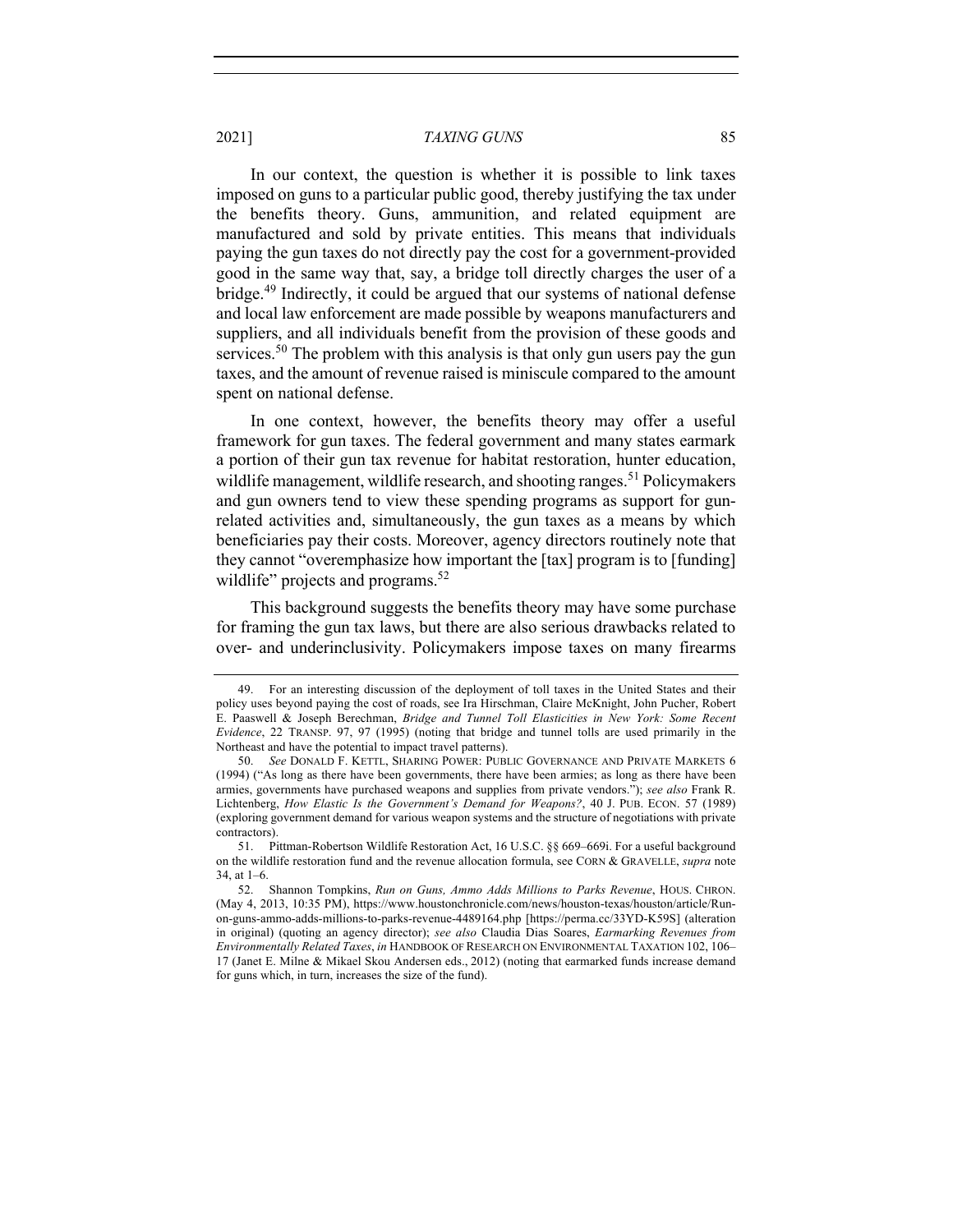In our context, the question is whether it is possible to link taxes imposed on guns to a particular public good, thereby justifying the tax under the benefits theory. Guns, ammunition, and related equipment are manufactured and sold by private entities. This means that individuals paying the gun taxes do not directly pay the cost for a government-provided good in the same way that, say, a bridge toll directly charges the user of a bridge.<sup>49</sup> Indirectly, it could be argued that our systems of national defense and local law enforcement are made possible by weapons manufacturers and suppliers, and all individuals benefit from the provision of these goods and services.<sup>50</sup> The problem with this analysis is that only gun users pay the gun taxes, and the amount of revenue raised is miniscule compared to the amount spent on national defense.

In one context, however, the benefits theory may offer a useful framework for gun taxes. The federal government and many states earmark a portion of their gun tax revenue for habitat restoration, hunter education, wildlife management, wildlife research, and shooting ranges.<sup>51</sup> Policymakers and gun owners tend to view these spending programs as support for gunrelated activities and, simultaneously, the gun taxes as a means by which beneficiaries pay their costs. Moreover, agency directors routinely note that they cannot "overemphasize how important the [tax] program is to [funding] wildlife" projects and programs. $52$ 

This background suggests the benefits theory may have some purchase for framing the gun tax laws, but there are also serious drawbacks related to over- and underinclusivity. Policymakers impose taxes on many firearms

<sup>49.</sup> For an interesting discussion of the deployment of toll taxes in the United States and their policy uses beyond paying the cost of roads, see Ira Hirschman, Claire McKnight, John Pucher, Robert E. Paaswell & Joseph Berechman, *Bridge and Tunnel Toll Elasticities in New York: Some Recent Evidence*, 22 TRANSP. 97, 97 (1995) (noting that bridge and tunnel tolls are used primarily in the Northeast and have the potential to impact travel patterns).

<sup>50.</sup> *See* DONALD F. KETTL, SHARING POWER: PUBLIC GOVERNANCE AND PRIVATE MARKETS 6 (1994) ("As long as there have been governments, there have been armies; as long as there have been armies, governments have purchased weapons and supplies from private vendors."); *see also* Frank R. Lichtenberg, *How Elastic Is the Government's Demand for Weapons?*, 40 J. PUB. ECON. 57 (1989) (exploring government demand for various weapon systems and the structure of negotiations with private contractors).

<sup>51.</sup> Pittman-Robertson Wildlife Restoration Act, 16 U.S.C. §§ 669–669i. For a useful background on the wildlife restoration fund and the revenue allocation formula, see CORN & GRAVELLE, *supra* note 34, at 1–6.

<sup>52.</sup> Shannon Tompkins, *Run on Guns, Ammo Adds Millions to Parks Revenue*, HOUS. CHRON. (May 4, 2013, 10:35 PM), https://www.houstonchronicle.com/news/houston-texas/houston/article/Runon-guns-ammo-adds-millions-to-parks-revenue-4489164.php [https://perma.cc/33YD-K59S] (alteration in original) (quoting an agency director); *see also* Claudia Dias Soares, *Earmarking Revenues from Environmentally Related Taxes*, *in* HANDBOOK OF RESEARCH ON ENVIRONMENTAL TAXATION 102, 106– 17 (Janet E. Milne & Mikael Skou Andersen eds., 2012) (noting that earmarked funds increase demand for guns which, in turn, increases the size of the fund).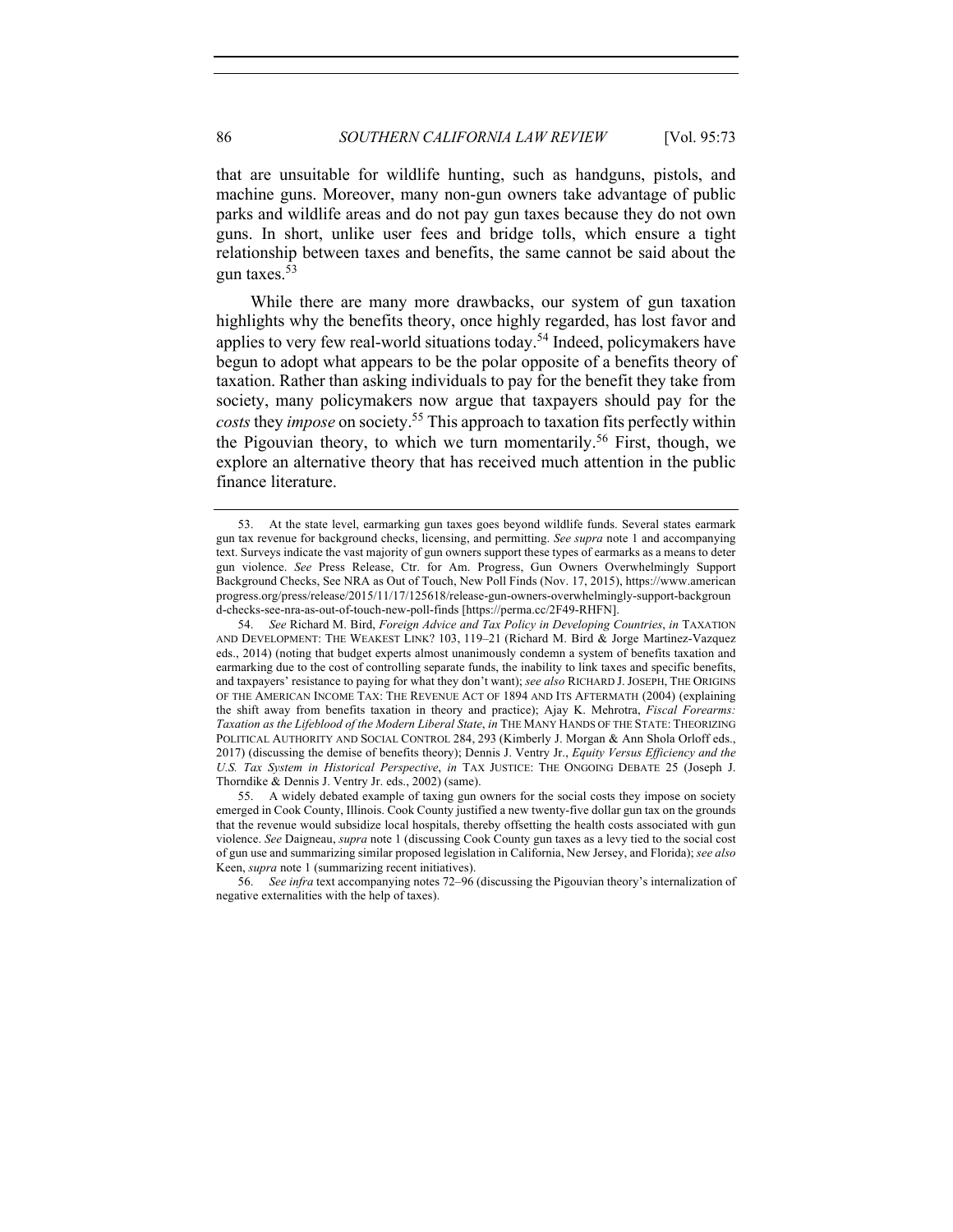that are unsuitable for wildlife hunting, such as handguns, pistols, and machine guns. Moreover, many non-gun owners take advantage of public parks and wildlife areas and do not pay gun taxes because they do not own guns. In short, unlike user fees and bridge tolls, which ensure a tight relationship between taxes and benefits, the same cannot be said about the gun taxes. $5\overline{3}$ 

While there are many more drawbacks, our system of gun taxation highlights why the benefits theory, once highly regarded, has lost favor and applies to very few real-world situations today.<sup>54</sup> Indeed, policymakers have begun to adopt what appears to be the polar opposite of a benefits theory of taxation. Rather than asking individuals to pay for the benefit they take from society, many policymakers now argue that taxpayers should pay for the *costs* they *impose* on society.55 This approach to taxation fits perfectly within the Pigouvian theory, to which we turn momentarily. <sup>56</sup> First, though, we explore an alternative theory that has received much attention in the public finance literature.

<sup>53.</sup> At the state level, earmarking gun taxes goes beyond wildlife funds. Several states earmark gun tax revenue for background checks, licensing, and permitting. *See supra* note 1 and accompanying text. Surveys indicate the vast majority of gun owners support these types of earmarks as a means to deter gun violence. *See* Press Release, Ctr. for Am. Progress, Gun Owners Overwhelmingly Support Background Checks, See NRA as Out of Touch, New Poll Finds (Nov. 17, 2015), https://www.american progress.org/press/release/2015/11/17/125618/release-gun-owners-overwhelmingly-support-backgroun d-checks-see-nra-as-out-of-touch-new-poll-finds [https://perma.cc/2F49-RHFN].

<sup>54.</sup> *See* Richard M. Bird, *Foreign Advice and Tax Policy in Developing Countries*, *in* TAXATION AND DEVELOPMENT: THE WEAKEST LINK? 103, 119–21 (Richard M. Bird & Jorge Martinez-Vazquez eds., 2014) (noting that budget experts almost unanimously condemn a system of benefits taxation and earmarking due to the cost of controlling separate funds, the inability to link taxes and specific benefits, and taxpayers' resistance to paying for what they don't want); *see also* RICHARD J.JOSEPH, THE ORIGINS OF THE AMERICAN INCOME TAX: THE REVENUE ACT OF 1894 AND ITS AFTERMATH (2004) (explaining the shift away from benefits taxation in theory and practice); Ajay K. Mehrotra, *Fiscal Forearms: Taxation as the Lifeblood of the Modern Liberal State*, *in* THE MANY HANDS OF THE STATE: THEORIZING POLITICAL AUTHORITY AND SOCIAL CONTROL 284, 293 (Kimberly J. Morgan & Ann Shola Orloff eds., 2017) (discussing the demise of benefits theory); Dennis J. Ventry Jr., *Equity Versus Efficiency and the U.S. Tax System in Historical Perspective*, *in* TAX JUSTICE: THE ONGOING DEBATE 25 (Joseph J. Thorndike & Dennis J. Ventry Jr. eds., 2002) (same).

<sup>55.</sup> A widely debated example of taxing gun owners for the social costs they impose on society emerged in Cook County, Illinois. Cook County justified a new twenty-five dollar gun tax on the grounds that the revenue would subsidize local hospitals, thereby offsetting the health costs associated with gun violence. *See* Daigneau, *supra* note 1 (discussing Cook County gun taxes as a levy tied to the social cost of gun use and summarizing similar proposed legislation in California, New Jersey, and Florida); *see also*  Keen, *supra* note 1 (summarizing recent initiatives).

<sup>56.</sup> *See infra* text accompanying notes 72–96 (discussing the Pigouvian theory's internalization of negative externalities with the help of taxes).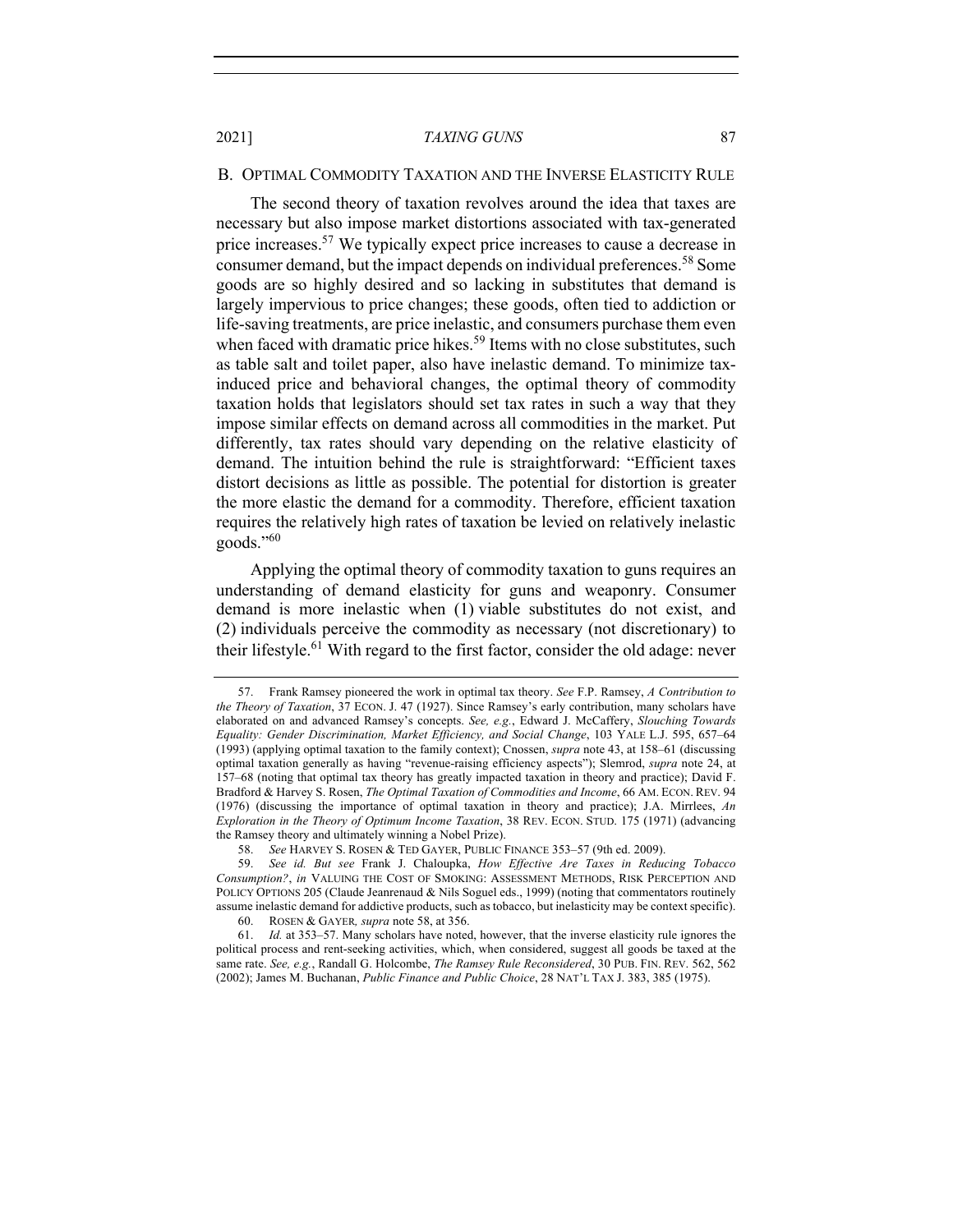#### B. OPTIMAL COMMODITY TAXATION AND THE INVERSE ELASTICITY RULE

The second theory of taxation revolves around the idea that taxes are necessary but also impose market distortions associated with tax-generated price increases.<sup>57</sup> We typically expect price increases to cause a decrease in consumer demand, but the impact depends on individual preferences.<sup>58</sup> Some goods are so highly desired and so lacking in substitutes that demand is largely impervious to price changes; these goods, often tied to addiction or life-saving treatments, are price inelastic, and consumers purchase them even when faced with dramatic price hikes.<sup>59</sup> Items with no close substitutes, such as table salt and toilet paper, also have inelastic demand. To minimize taxinduced price and behavioral changes, the optimal theory of commodity taxation holds that legislators should set tax rates in such a way that they impose similar effects on demand across all commodities in the market. Put differently, tax rates should vary depending on the relative elasticity of demand. The intuition behind the rule is straightforward: "Efficient taxes distort decisions as little as possible. The potential for distortion is greater the more elastic the demand for a commodity. Therefore, efficient taxation requires the relatively high rates of taxation be levied on relatively inelastic goods."60

Applying the optimal theory of commodity taxation to guns requires an understanding of demand elasticity for guns and weaponry. Consumer demand is more inelastic when (1) viable substitutes do not exist, and (2) individuals perceive the commodity as necessary (not discretionary) to their lifestyle.<sup>61</sup> With regard to the first factor, consider the old adage: never

<sup>57.</sup> Frank Ramsey pioneered the work in optimal tax theory. *See* F.P. Ramsey, *A Contribution to the Theory of Taxation*, 37 ECON. J. 47 (1927). Since Ramsey's early contribution, many scholars have elaborated on and advanced Ramsey's concepts. *See, e.g.*, Edward J. McCaffery, *Slouching Towards Equality: Gender Discrimination, Market Efficiency, and Social Change*, 103 YALE L.J. 595, 657–64 (1993) (applying optimal taxation to the family context); Cnossen, *supra* note 43, at 158–61 (discussing optimal taxation generally as having "revenue-raising efficiency aspects"); Slemrod, *supra* note 24, at 157–68 (noting that optimal tax theory has greatly impacted taxation in theory and practice); David F. Bradford & Harvey S. Rosen, *The Optimal Taxation of Commodities and Income*, 66 AM. ECON. REV. 94 (1976) (discussing the importance of optimal taxation in theory and practice); J.A. Mirrlees, *An Exploration in the Theory of Optimum Income Taxation*, 38 REV. ECON. STUD. 175 (1971) (advancing the Ramsey theory and ultimately winning a Nobel Prize).

<sup>58.</sup> *See* HARVEY S. ROSEN & TED GAYER, PUBLIC FINANCE 353–57 (9th ed. 2009).

<sup>59.</sup> *See id. But see* Frank J. Chaloupka, *How Effective Are Taxes in Reducing Tobacco Consumption?*, *in* VALUING THE COST OF SMOKING: ASSESSMENT METHODS, RISK PERCEPTION AND POLICY OPTIONS 205 (Claude Jeanrenaud & Nils Soguel eds., 1999) (noting that commentators routinely assume inelastic demand for addictive products, such as tobacco, but inelasticity may be context specific).

<sup>60.</sup> ROSEN & GAYER*, supra* note 58, at 356.

<sup>61.</sup> *Id.* at 353–57. Many scholars have noted, however, that the inverse elasticity rule ignores the political process and rent-seeking activities, which, when considered, suggest all goods be taxed at the same rate. *See, e.g.*, Randall G. Holcombe, *The Ramsey Rule Reconsidered*, 30 PUB. FIN. REV. 562, 562 (2002); James M. Buchanan, *Public Finance and Public Choice*, 28 NAT'L TAX J. 383, 385 (1975).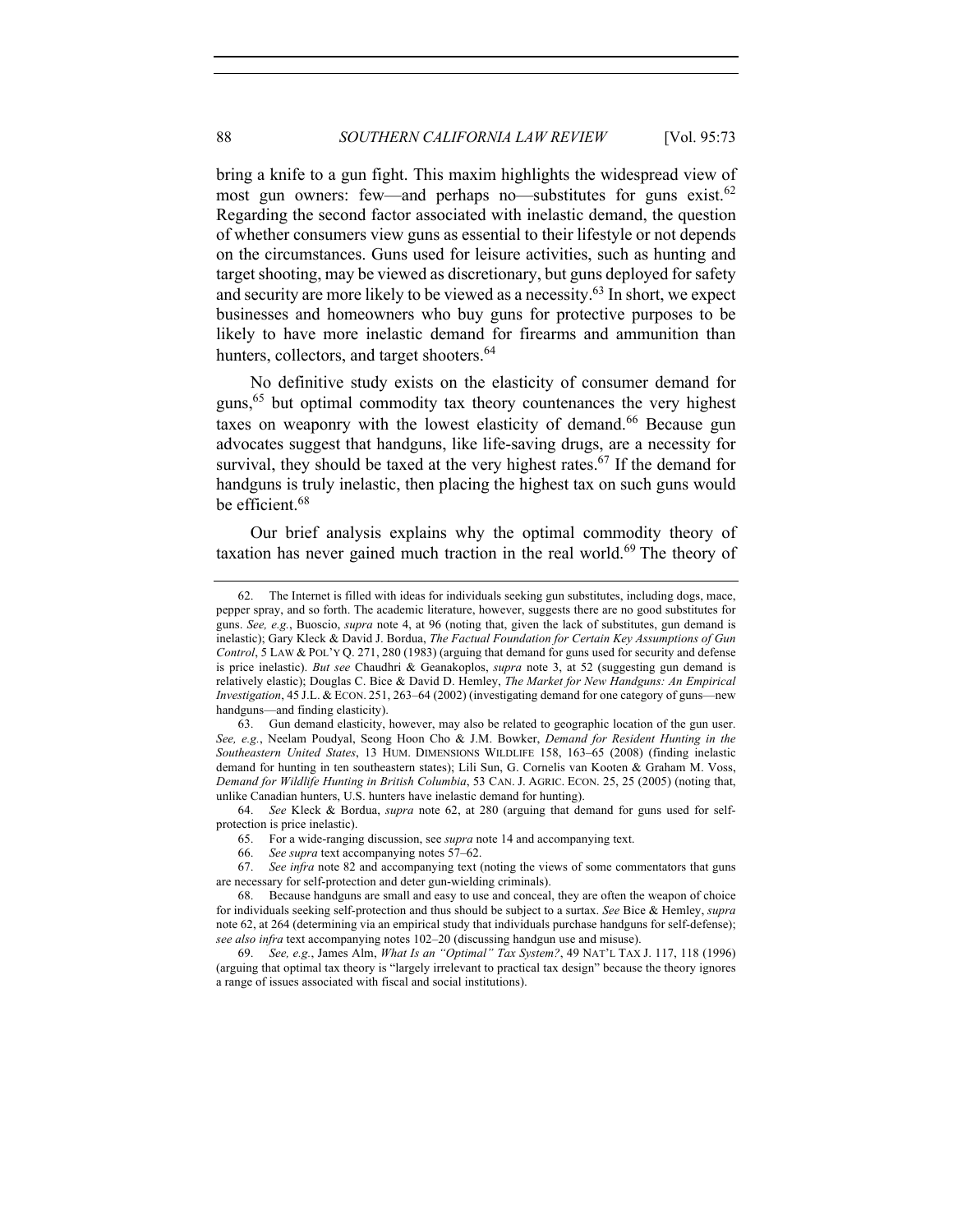bring a knife to a gun fight. This maxim highlights the widespread view of most gun owners: few—and perhaps no—substitutes for guns exist.<sup>62</sup> Regarding the second factor associated with inelastic demand, the question of whether consumers view guns as essential to their lifestyle or not depends on the circumstances. Guns used for leisure activities, such as hunting and target shooting, may be viewed as discretionary, but guns deployed for safety and security are more likely to be viewed as a necessity.<sup>63</sup> In short, we expect businesses and homeowners who buy guns for protective purposes to be likely to have more inelastic demand for firearms and ammunition than hunters, collectors, and target shooters.<sup>64</sup>

No definitive study exists on the elasticity of consumer demand for guns,<sup>65</sup> but optimal commodity tax theory countenances the very highest taxes on weaponry with the lowest elasticity of demand.<sup>66</sup> Because gun advocates suggest that handguns, like life-saving drugs, are a necessity for survival, they should be taxed at the very highest rates.<sup>67</sup> If the demand for handguns is truly inelastic, then placing the highest tax on such guns would be efficient.<sup>68</sup>

Our brief analysis explains why the optimal commodity theory of taxation has never gained much traction in the real world.<sup>69</sup> The theory of

<sup>62.</sup> The Internet is filled with ideas for individuals seeking gun substitutes, including dogs, mace, pepper spray, and so forth. The academic literature, however, suggests there are no good substitutes for guns. *See, e.g.*, Buoscio, *supra* note 4, at 96 (noting that, given the lack of substitutes, gun demand is inelastic); Gary Kleck & David J. Bordua, *The Factual Foundation for Certain Key Assumptions of Gun Control*, 5 LAW & POL'Y Q. 271, 280 (1983) (arguing that demand for guns used for security and defense is price inelastic). *But see* Chaudhri & Geanakoplos, *supra* note 3, at 52 (suggesting gun demand is relatively elastic); Douglas C. Bice & David D. Hemley, *The Market for New Handguns: An Empirical Investigation*, 45 J.L. & ECON. 251, 263–64 (2002) (investigating demand for one category of guns—new handguns—and finding elasticity).

<sup>63.</sup> Gun demand elasticity, however, may also be related to geographic location of the gun user. *See, e.g.*, Neelam Poudyal, Seong Hoon Cho & J.M. Bowker, *Demand for Resident Hunting in the Southeastern United States*, 13 HUM. DIMENSIONS WILDLIFE 158, 163–65 (2008) (finding inelastic demand for hunting in ten southeastern states); Lili Sun, G. Cornelis van Kooten & Graham M. Voss, *Demand for Wildlife Hunting in British Columbia*, 53 CAN. J. AGRIC. ECON. 25, 25 (2005) (noting that, unlike Canadian hunters, U.S. hunters have inelastic demand for hunting).

<sup>64.</sup> *See* Kleck & Bordua, *supra* note 62, at 280 (arguing that demand for guns used for selfprotection is price inelastic).

<sup>65.</sup> For a wide-ranging discussion, see *supra* note 14 and accompanying text.

<sup>66.</sup> *See supra* text accompanying notes 57–62.

<sup>67.</sup> *See infra* note 82 and accompanying text (noting the views of some commentators that guns are necessary for self-protection and deter gun-wielding criminals).

<sup>68.</sup> Because handguns are small and easy to use and conceal, they are often the weapon of choice for individuals seeking self-protection and thus should be subject to a surtax. *See* Bice & Hemley, *supra*  note 62, at 264 (determining via an empirical study that individuals purchase handguns for self-defense); *see also infra* text accompanying notes 102–20 (discussing handgun use and misuse).

<sup>69.</sup> *See, e.g.*, James Alm, *What Is an "Optimal" Tax System?*, 49 NAT'L TAX J. 117, 118 (1996) (arguing that optimal tax theory is "largely irrelevant to practical tax design" because the theory ignores a range of issues associated with fiscal and social institutions).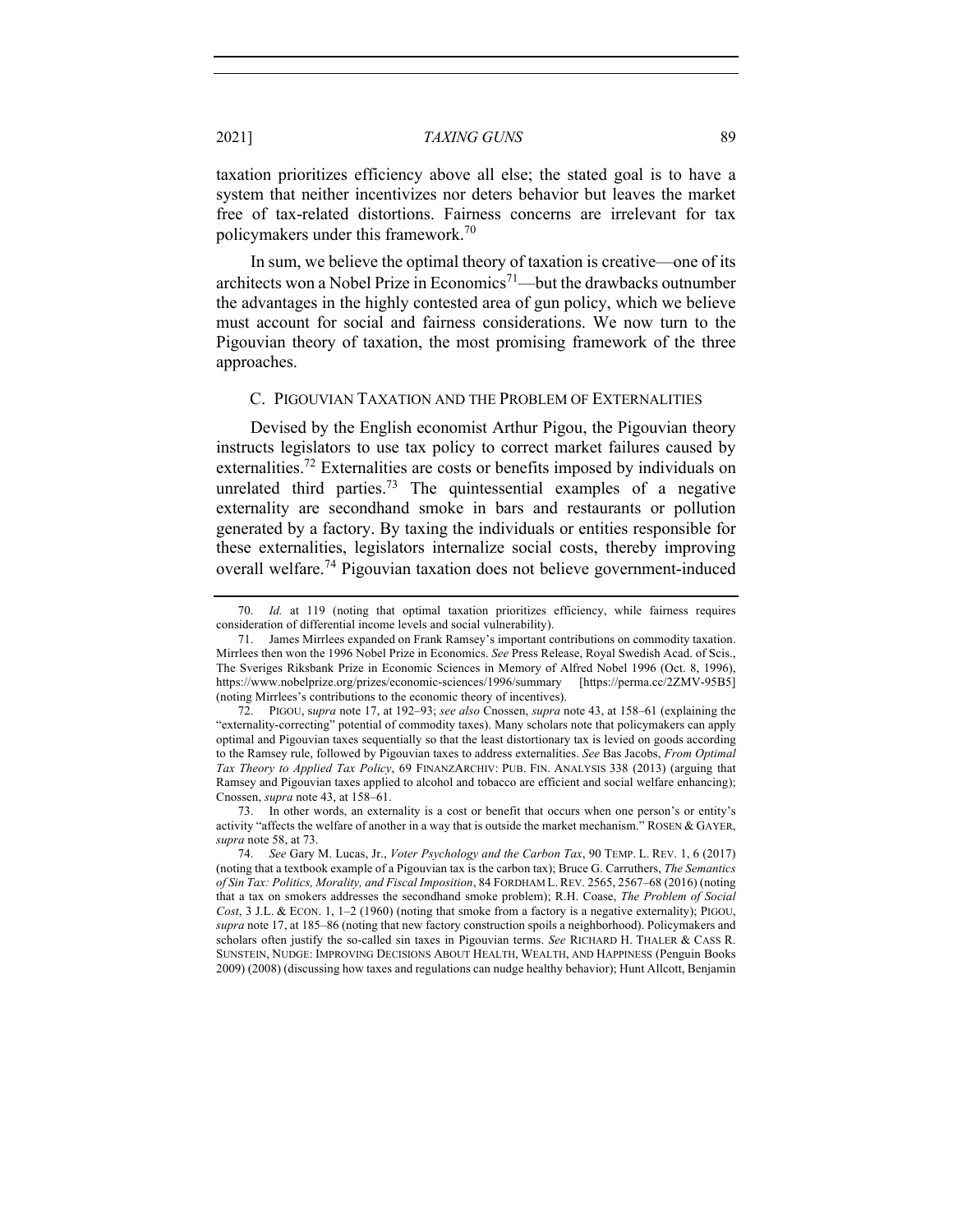taxation prioritizes efficiency above all else; the stated goal is to have a system that neither incentivizes nor deters behavior but leaves the market free of tax-related distortions. Fairness concerns are irrelevant for tax policymakers under this framework.70

In sum, we believe the optimal theory of taxation is creative—one of its architects won a Nobel Prize in Economics<sup>71</sup>—but the drawbacks outnumber the advantages in the highly contested area of gun policy, which we believe must account for social and fairness considerations. We now turn to the Pigouvian theory of taxation, the most promising framework of the three approaches.

#### C. PIGOUVIAN TAXATION AND THE PROBLEM OF EXTERNALITIES

Devised by the English economist Arthur Pigou, the Pigouvian theory instructs legislators to use tax policy to correct market failures caused by externalities.<sup>72</sup> Externalities are costs or benefits imposed by individuals on unrelated third parties.<sup>73</sup> The quintessential examples of a negative externality are secondhand smoke in bars and restaurants or pollution generated by a factory. By taxing the individuals or entities responsible for these externalities, legislators internalize social costs, thereby improving overall welfare.<sup>74</sup> Pigouvian taxation does not believe government-induced

<sup>70.</sup> *Id.* at 119 (noting that optimal taxation prioritizes efficiency, while fairness requires consideration of differential income levels and social vulnerability).

<sup>71.</sup> James Mirrlees expanded on Frank Ramsey's important contributions on commodity taxation. Mirrlees then won the 1996 Nobel Prize in Economics. *See* Press Release, Royal Swedish Acad. of Scis., The Sveriges Riksbank Prize in Economic Sciences in Memory of Alfred Nobel 1996 (Oct. 8, 1996), https://www.nobelprize.org/prizes/economic-sciences/1996/summary [https://perma.cc/2ZMV-95B5] https://www.nobelprize.org/prizes/economic-sciences/1996/summary (noting Mirrlees's contributions to the economic theory of incentives).

<sup>72.</sup> PIGOU, s*upra* note 17, at 192–93; *see also* Cnossen, *supra* note 43, at 158–61 (explaining the "externality-correcting" potential of commodity taxes). Many scholars note that policymakers can apply optimal and Pigouvian taxes sequentially so that the least distortionary tax is levied on goods according to the Ramsey rule, followed by Pigouvian taxes to address externalities. *See* Bas Jacobs, *From Optimal Tax Theory to Applied Tax Policy*, 69 FINANZARCHIV: PUB. FIN. ANALYSIS 338 (2013) (arguing that Ramsey and Pigouvian taxes applied to alcohol and tobacco are efficient and social welfare enhancing); Cnossen, *supra* note 43, at 158–61.

<sup>73.</sup> In other words, an externality is a cost or benefit that occurs when one person's or entity's activity "affects the welfare of another in a way that is outside the market mechanism." ROSEN & GAYER, *supra* note 58, at 73.

<sup>74.</sup> *See* Gary M. Lucas, Jr., *Voter Psychology and the Carbon Tax*, 90 TEMP. L. REV. 1, 6 (2017) (noting that a textbook example of a Pigouvian tax is the carbon tax); Bruce G. Carruthers, *The Semantics of Sin Tax: Politics, Morality, and Fiscal Imposition*, 84 FORDHAM L. REV. 2565, 2567–68 (2016) (noting that a tax on smokers addresses the secondhand smoke problem); R.H. Coase, *The Problem of Social Cost*, 3 J.L. & ECON. 1, 1–2 (1960) (noting that smoke from a factory is a negative externality); PIGOU, *supra* note 17, at 185–86 (noting that new factory construction spoils a neighborhood). Policymakers and scholars often justify the so-called sin taxes in Pigouvian terms. *See* RICHARD H. THALER & CASS R. SUNSTEIN, NUDGE: IMPROVING DECISIONS ABOUT HEALTH, WEALTH, AND HAPPINESS (Penguin Books 2009) (2008) (discussing how taxes and regulations can nudge healthy behavior); Hunt Allcott, Benjamin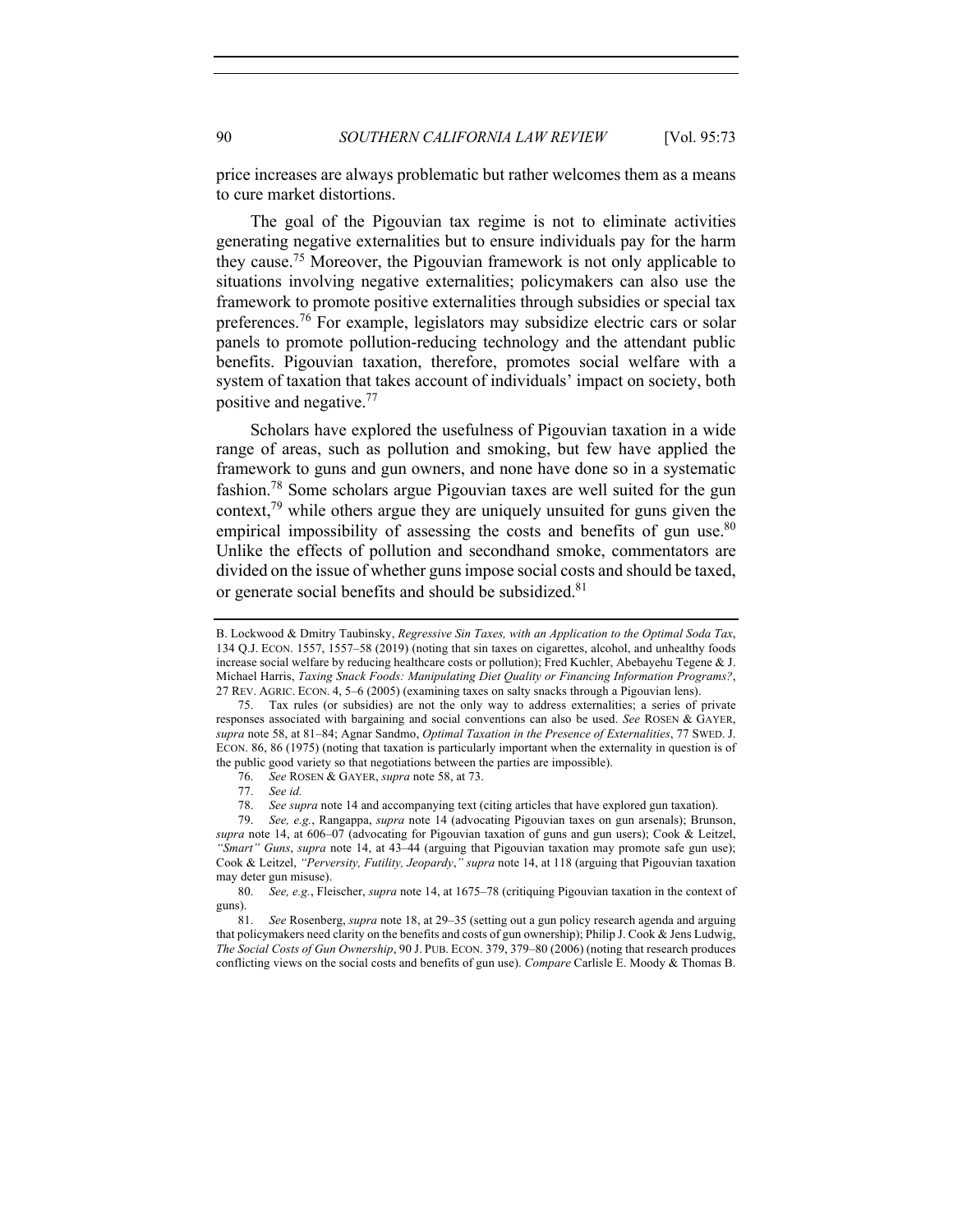price increases are always problematic but rather welcomes them as a means to cure market distortions.

The goal of the Pigouvian tax regime is not to eliminate activities generating negative externalities but to ensure individuals pay for the harm they cause.<sup>75</sup> Moreover, the Pigouvian framework is not only applicable to situations involving negative externalities; policymakers can also use the framework to promote positive externalities through subsidies or special tax preferences.<sup>76</sup> For example, legislators may subsidize electric cars or solar panels to promote pollution-reducing technology and the attendant public benefits. Pigouvian taxation, therefore, promotes social welfare with a system of taxation that takes account of individuals' impact on society, both positive and negative.77

Scholars have explored the usefulness of Pigouvian taxation in a wide range of areas, such as pollution and smoking, but few have applied the framework to guns and gun owners, and none have done so in a systematic fashion.78 Some scholars argue Pigouvian taxes are well suited for the gun context,<sup>79</sup> while others argue they are uniquely unsuited for guns given the empirical impossibility of assessing the costs and benefits of gun use. $80$ Unlike the effects of pollution and secondhand smoke, commentators are divided on the issue of whether guns impose social costs and should be taxed, or generate social benefits and should be subsidized.<sup>81</sup>

B. Lockwood & Dmitry Taubinsky, *Regressive Sin Taxes, with an Application to the Optimal Soda Tax*, 134 Q.J. ECON. 1557, 1557–58 (2019) (noting that sin taxes on cigarettes, alcohol, and unhealthy foods increase social welfare by reducing healthcare costs or pollution); Fred Kuchler, Abebayehu Tegene & J. Michael Harris, *Taxing Snack Foods: Manipulating Diet Quality or Financing Information Programs?*, 27 REV. AGRIC. ECON. 4, 5–6 (2005) (examining taxes on salty snacks through a Pigouvian lens).

<sup>75.</sup> Tax rules (or subsidies) are not the only way to address externalities; a series of private responses associated with bargaining and social conventions can also be used. *See* ROSEN & GAYER, *supra* note 58, at 81–84; Agnar Sandmo, *Optimal Taxation in the Presence of Externalities*, 77 SWED. J. ECON. 86, 86 (1975) (noting that taxation is particularly important when the externality in question is of the public good variety so that negotiations between the parties are impossible).

<sup>76.</sup> *See* ROSEN & GAYER, *supra* note 58, at 73.

<sup>77.</sup> *See id.*

<sup>78.</sup> *See supra* note 14 and accompanying text (citing articles that have explored gun taxation).

<sup>79.</sup> *See, e.g.*, Rangappa, *supra* note 14 (advocating Pigouvian taxes on gun arsenals); Brunson, *supra* note 14, at 606–07 (advocating for Pigouvian taxation of guns and gun users); Cook & Leitzel, *"Smart" Guns*, *supra* note 14, at 43–44 (arguing that Pigouvian taxation may promote safe gun use); Cook & Leitzel, *"Perversity, Futility, Jeopardy*,*" supra* note 14, at 118 (arguing that Pigouvian taxation may deter gun misuse).

<sup>80.</sup> *See, e.g.*, Fleischer, *supra* note 14, at 1675–78 (critiquing Pigouvian taxation in the context of guns).

<sup>81.</sup> *See* Rosenberg, *supra* note 18, at 29–35 (setting out a gun policy research agenda and arguing that policymakers need clarity on the benefits and costs of gun ownership); Philip J. Cook & Jens Ludwig, *The Social Costs of Gun Ownership*, 90 J. PUB. ECON. 379, 379–80 (2006) (noting that research produces conflicting views on the social costs and benefits of gun use). *Compare* Carlisle E. Moody & Thomas B.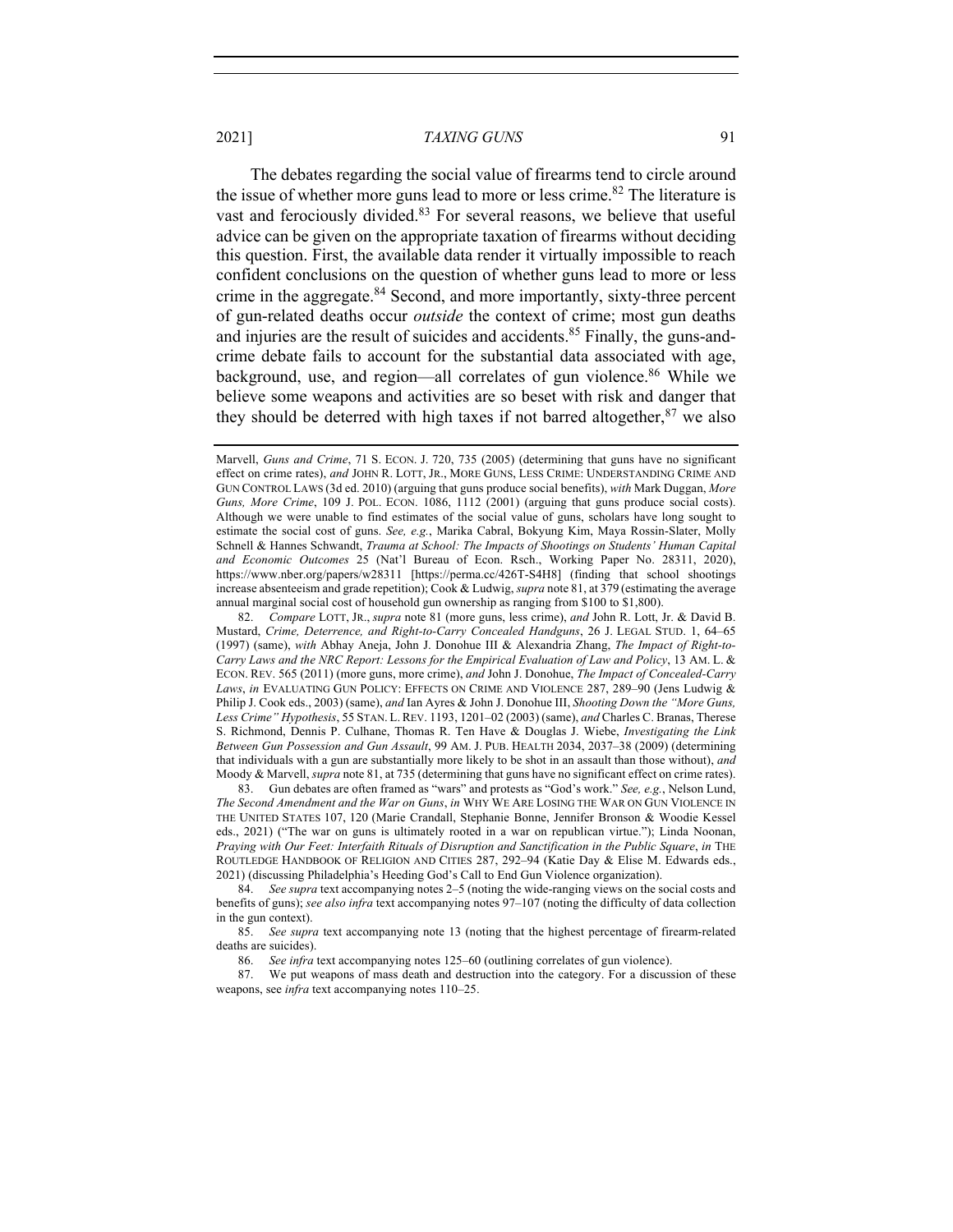The debates regarding the social value of firearms tend to circle around the issue of whether more guns lead to more or less crime.<sup>82</sup> The literature is vast and ferociously divided.<sup>83</sup> For several reasons, we believe that useful advice can be given on the appropriate taxation of firearms without deciding this question. First, the available data render it virtually impossible to reach confident conclusions on the question of whether guns lead to more or less crime in the aggregate.<sup>84</sup> Second, and more importantly, sixty-three percent of gun-related deaths occur *outside* the context of crime; most gun deaths and injuries are the result of suicides and accidents.<sup>85</sup> Finally, the guns-andcrime debate fails to account for the substantial data associated with age, background, use, and region—all correlates of gun violence.<sup>86</sup> While we believe some weapons and activities are so beset with risk and danger that they should be deterred with high taxes if not barred altogether,  $87$  we also

83. Gun debates are often framed as "wars" and protests as "God's work." *See, e.g.*, Nelson Lund, *The Second Amendment and the War on Guns*, *in* WHY WE ARE LOSING THE WAR ON GUN VIOLENCE IN THE UNITED STATES 107, 120 (Marie Crandall, Stephanie Bonne, Jennifer Bronson & Woodie Kessel eds., 2021) ("The war on guns is ultimately rooted in a war on republican virtue."); Linda Noonan, *Praying with Our Feet: Interfaith Rituals of Disruption and Sanctification in the Public Square*, *in* THE ROUTLEDGE HANDBOOK OF RELIGION AND CITIES 287, 292–94 (Katie Day & Elise M. Edwards eds., 2021) (discussing Philadelphia's Heeding God's Call to End Gun Violence organization).

84. *See supra* text accompanying notes 2–5 (noting the wide-ranging views on the social costs and benefits of guns); *see also infra* text accompanying notes 97–107 (noting the difficulty of data collection in the gun context).

85. *See supra* text accompanying note 13 (noting that the highest percentage of firearm-related deaths are suicides).

86. *See infra* text accompanying notes 125–60 (outlining correlates of gun violence).

87. We put weapons of mass death and destruction into the category. For a discussion of these weapons, see *infra* text accompanying notes 110–25.

Marvell, *Guns and Crime*, 71 S. ECON. J. 720, 735 (2005) (determining that guns have no significant effect on crime rates), *and* JOHN R. LOTT, JR., MORE GUNS, LESS CRIME: UNDERSTANDING CRIME AND GUN CONTROL LAWS (3d ed. 2010) (arguing that guns produce social benefits), *with* Mark Duggan, *More Guns, More Crime*, 109 J. POL. ECON. 1086, 1112 (2001) (arguing that guns produce social costs). Although we were unable to find estimates of the social value of guns, scholars have long sought to estimate the social cost of guns. *See, e.g.*, Marika Cabral, Bokyung Kim, Maya Rossin-Slater, Molly Schnell & Hannes Schwandt, *Trauma at School: The Impacts of Shootings on Students' Human Capital and Economic Outcomes* 25 (Nat'l Bureau of Econ. Rsch., Working Paper No. 28311, 2020), https://www.nber.org/papers/w28311 [https://perma.cc/426T-S4H8] (finding that school shootings increase absenteeism and grade repetition); Cook & Ludwig, *supra* note 81, at 379 (estimating the average annual marginal social cost of household gun ownership as ranging from \$100 to \$1,800).

<sup>82.</sup> *Compare* LOTT, JR., *supra* note 81 (more guns, less crime), *and* John R. Lott, Jr. & David B. Mustard, *Crime, Deterrence, and Right-to-Carry Concealed Handguns*, 26 J. LEGAL STUD. 1, 64–65 (1997) (same), *with* Abhay Aneja, John J. Donohue III & Alexandria Zhang, *The Impact of Right-to-Carry Laws and the NRC Report: Lessons for the Empirical Evaluation of Law and Policy*, 13 AM. L. & ECON. REV. 565 (2011) (more guns, more crime), *and* John J. Donohue, *The Impact of Concealed-Carry*  Laws, in EVALUATING GUN POLICY: EFFECTS ON CRIME AND VIOLENCE 287, 289-90 (Jens Ludwig & Philip J. Cook eds., 2003) (same), *and* Ian Ayres & John J. Donohue III, *Shooting Down the "More Guns, Less Crime" Hypothesis*, 55 STAN. L.REV. 1193, 1201–02 (2003) (same), *and* Charles C. Branas, Therese S. Richmond, Dennis P. Culhane, Thomas R. Ten Have & Douglas J. Wiebe, *Investigating the Link Between Gun Possession and Gun Assault*, 99 AM. J. PUB. HEALTH 2034, 2037–38 (2009) (determining that individuals with a gun are substantially more likely to be shot in an assault than those without), *and* Moody & Marvell, *supra* note 81, at 735 (determining that guns have no significant effect on crime rates).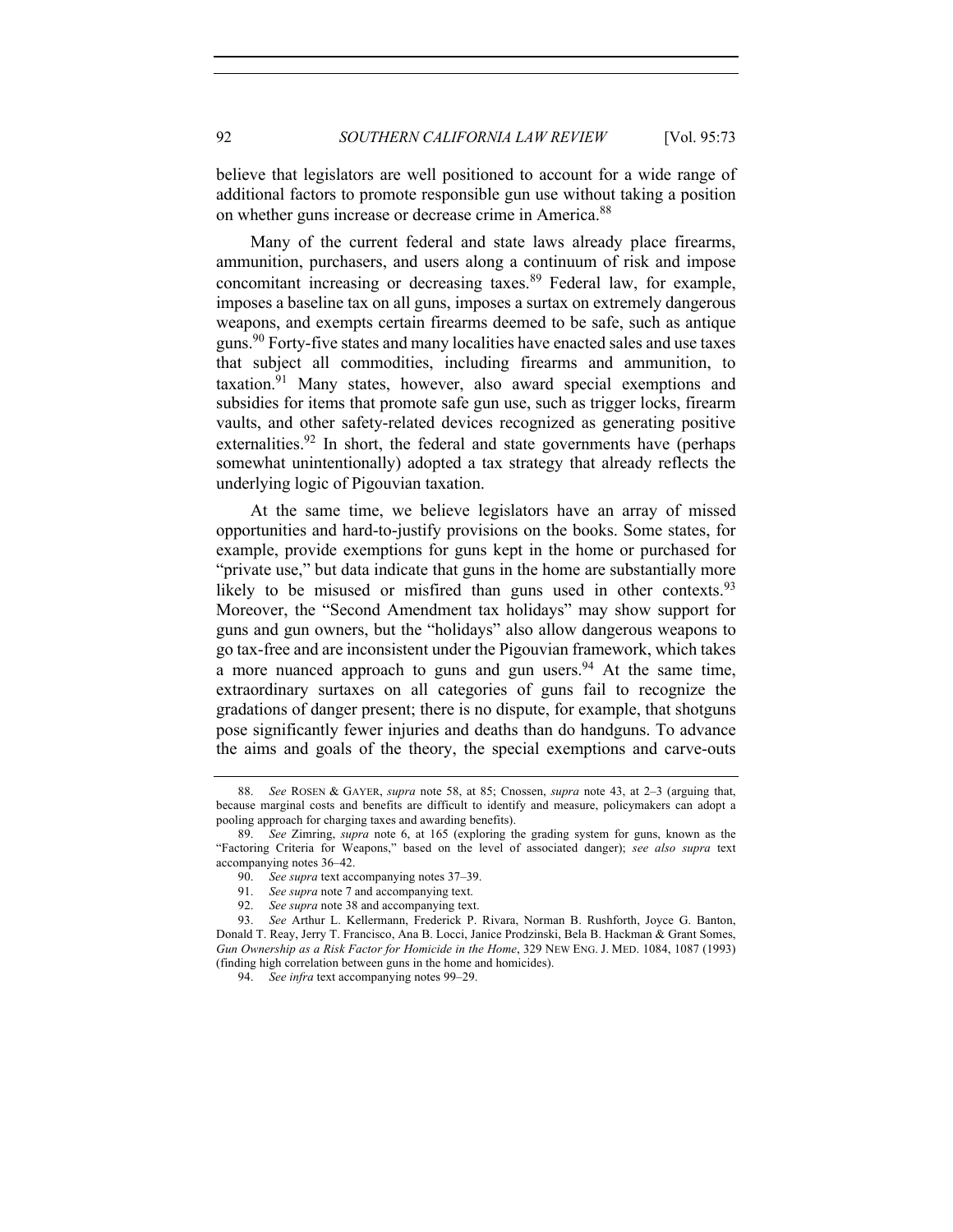believe that legislators are well positioned to account for a wide range of additional factors to promote responsible gun use without taking a position on whether guns increase or decrease crime in America.<sup>88</sup>

Many of the current federal and state laws already place firearms, ammunition, purchasers, and users along a continuum of risk and impose concomitant increasing or decreasing taxes. $89$  Federal law, for example, imposes a baseline tax on all guns, imposes a surtax on extremely dangerous weapons, and exempts certain firearms deemed to be safe, such as antique guns.<sup>90</sup> Forty-five states and many localities have enacted sales and use taxes that subject all commodities, including firearms and ammunition, to taxation.<sup>91</sup> Many states, however, also award special exemptions and subsidies for items that promote safe gun use, such as trigger locks, firearm vaults, and other safety-related devices recognized as generating positive externalities.<sup>92</sup> In short, the federal and state governments have (perhaps somewhat unintentionally) adopted a tax strategy that already reflects the underlying logic of Pigouvian taxation.

At the same time, we believe legislators have an array of missed opportunities and hard-to-justify provisions on the books. Some states, for example, provide exemptions for guns kept in the home or purchased for "private use," but data indicate that guns in the home are substantially more likely to be misused or misfired than guns used in other contexts.  $93$ Moreover, the "Second Amendment tax holidays" may show support for guns and gun owners, but the "holidays" also allow dangerous weapons to go tax-free and are inconsistent under the Pigouvian framework, which takes a more nuanced approach to guns and gun users.<sup>94</sup> At the same time, extraordinary surtaxes on all categories of guns fail to recognize the gradations of danger present; there is no dispute, for example, that shotguns pose significantly fewer injuries and deaths than do handguns. To advance the aims and goals of the theory, the special exemptions and carve-outs

<sup>88.</sup> *See* ROSEN & GAYER, *supra* note 58, at 85; Cnossen, *supra* note 43, at 2–3 (arguing that, because marginal costs and benefits are difficult to identify and measure, policymakers can adopt a pooling approach for charging taxes and awarding benefits).

<sup>89.</sup> *See* Zimring, *supra* note 6, at 165 (exploring the grading system for guns, known as the "Factoring Criteria for Weapons," based on the level of associated danger); *see also supra* text accompanying notes 36–42.

<sup>90.</sup> *See supra* text accompanying notes 37–39.

<sup>91.</sup> *See supra* note 7 and accompanying text.

<sup>92.</sup> *See supra* note 38 and accompanying text.

<sup>93.</sup> *See* Arthur L. Kellermann, Frederick P. Rivara, Norman B. Rushforth, Joyce G. Banton, Donald T. Reay, Jerry T. Francisco, Ana B. Locci, Janice Prodzinski, Bela B. Hackman & Grant Somes, *Gun Ownership as a Risk Factor for Homicide in the Home*, 329 NEW ENG. J. MED. 1084, 1087 (1993) (finding high correlation between guns in the home and homicides).

<sup>94.</sup> *See infra* text accompanying notes 99–29.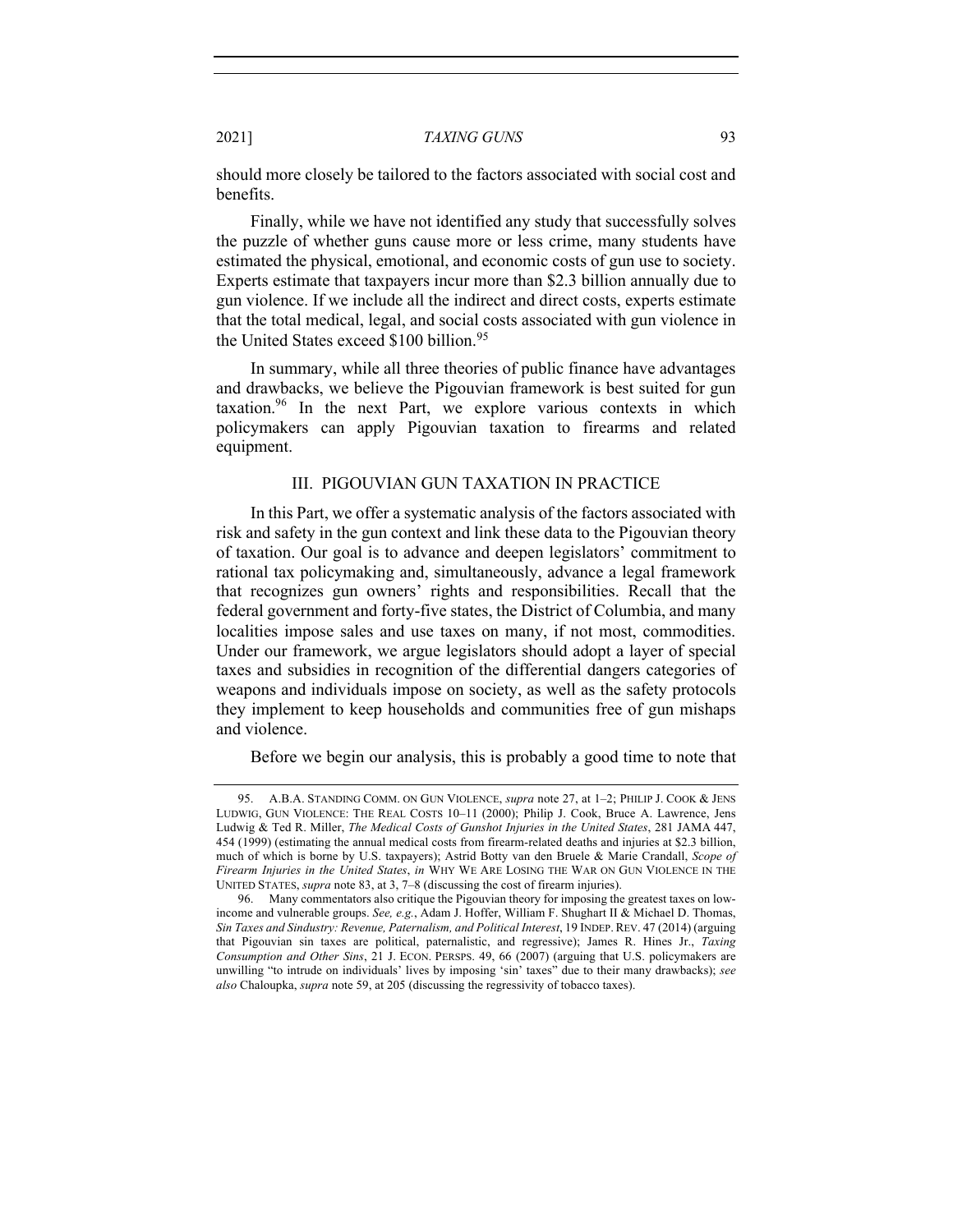should more closely be tailored to the factors associated with social cost and benefits.

Finally, while we have not identified any study that successfully solves the puzzle of whether guns cause more or less crime, many students have estimated the physical, emotional, and economic costs of gun use to society. Experts estimate that taxpayers incur more than \$2.3 billion annually due to gun violence. If we include all the indirect and direct costs, experts estimate that the total medical, legal, and social costs associated with gun violence in the United States exceed \$100 billion.<sup>95</sup>

In summary, while all three theories of public finance have advantages and drawbacks, we believe the Pigouvian framework is best suited for gun taxation.<sup>96</sup> In the next Part, we explore various contexts in which policymakers can apply Pigouvian taxation to firearms and related equipment.

#### III. PIGOUVIAN GUN TAXATION IN PRACTICE

In this Part, we offer a systematic analysis of the factors associated with risk and safety in the gun context and link these data to the Pigouvian theory of taxation. Our goal is to advance and deepen legislators' commitment to rational tax policymaking and, simultaneously, advance a legal framework that recognizes gun owners' rights and responsibilities. Recall that the federal government and forty-five states, the District of Columbia, and many localities impose sales and use taxes on many, if not most, commodities. Under our framework, we argue legislators should adopt a layer of special taxes and subsidies in recognition of the differential dangers categories of weapons and individuals impose on society, as well as the safety protocols they implement to keep households and communities free of gun mishaps and violence.

Before we begin our analysis, this is probably a good time to note that

<sup>95.</sup> A.B.A. STANDING COMM. ON GUN VIOLENCE, *supra* note 27, at 1–2; PHILIP J. COOK & JENS LUDWIG, GUN VIOLENCE: THE REAL COSTS 10–11 (2000); Philip J. Cook, Bruce A. Lawrence, Jens Ludwig & Ted R. Miller, *The Medical Costs of Gunshot Injuries in the United States*, 281 JAMA 447, 454 (1999) (estimating the annual medical costs from firearm-related deaths and injuries at \$2.3 billion, much of which is borne by U.S. taxpayers); Astrid Botty van den Bruele & Marie Crandall, *Scope of Firearm Injuries in the United States*, *in* WHY WE ARE LOSING THE WAR ON GUN VIOLENCE IN THE UNITED STATES, *supra* note 83, at 3, 7–8 (discussing the cost of firearm injuries).

<sup>96.</sup> Many commentators also critique the Pigouvian theory for imposing the greatest taxes on lowincome and vulnerable groups. *See, e.g.*, Adam J. Hoffer, William F. Shughart II & Michael D. Thomas, *Sin Taxes and Sindustry: Revenue, Paternalism, and Political Interest*, 19 INDEP.REV. 47 (2014) (arguing that Pigouvian sin taxes are political, paternalistic, and regressive); James R. Hines Jr., *Taxing Consumption and Other Sins*, 21 J. ECON. PERSPS. 49, 66 (2007) (arguing that U.S. policymakers are unwilling "to intrude on individuals' lives by imposing 'sin' taxes" due to their many drawbacks); *see also* Chaloupka, *supra* note 59, at 205 (discussing the regressivity of tobacco taxes).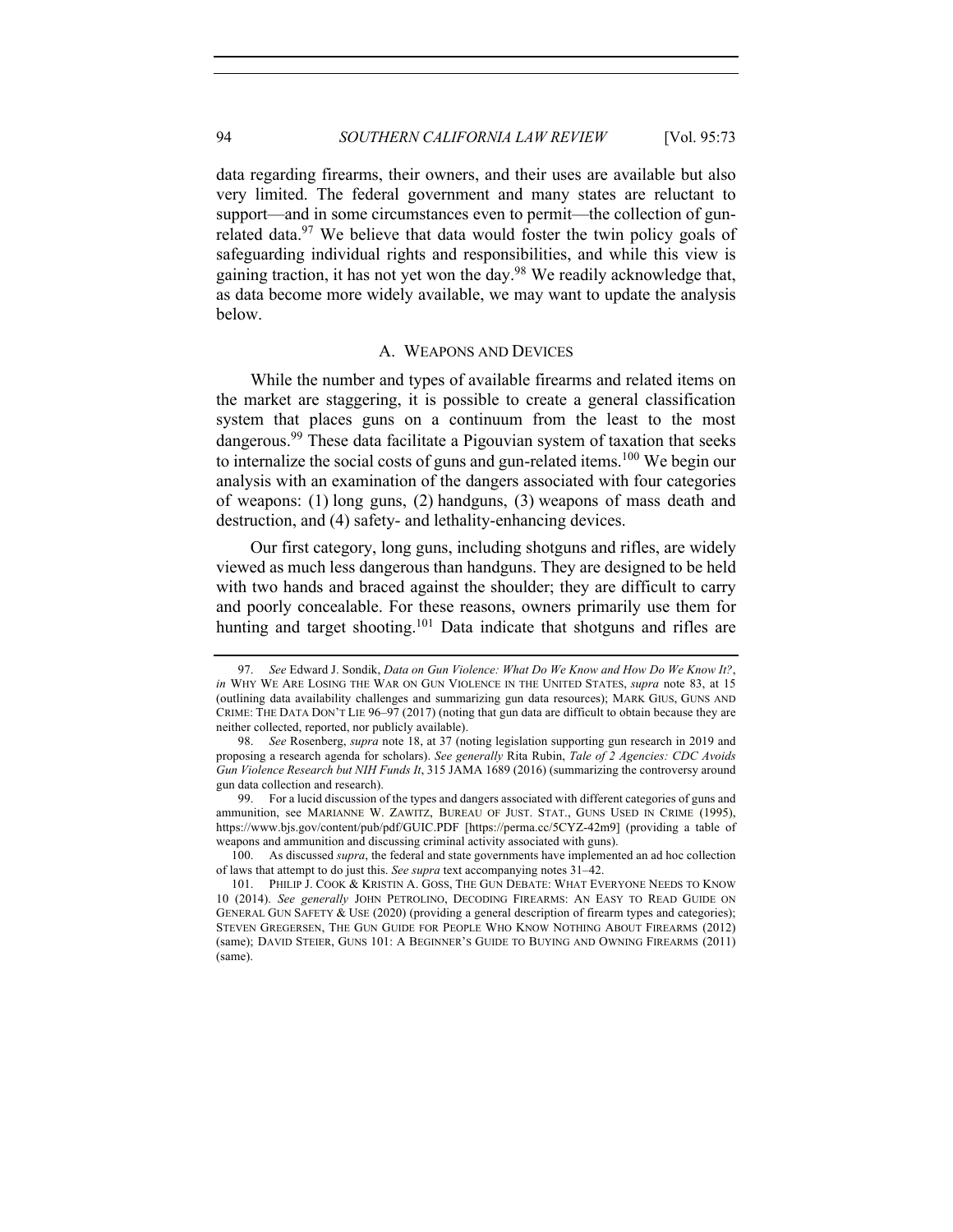data regarding firearms, their owners, and their uses are available but also very limited. The federal government and many states are reluctant to support—and in some circumstances even to permit—the collection of gunrelated data.<sup>97</sup> We believe that data would foster the twin policy goals of safeguarding individual rights and responsibilities, and while this view is gaining traction, it has not yet won the day.<sup>98</sup> We readily acknowledge that, as data become more widely available, we may want to update the analysis below.

## A. WEAPONS AND DEVICES

While the number and types of available firearms and related items on the market are staggering, it is possible to create a general classification system that places guns on a continuum from the least to the most dangerous.<sup>99</sup> These data facilitate a Pigouvian system of taxation that seeks to internalize the social costs of guns and gun-related items.<sup>100</sup> We begin our analysis with an examination of the dangers associated with four categories of weapons: (1) long guns, (2) handguns, (3) weapons of mass death and destruction, and (4) safety- and lethality-enhancing devices.

Our first category, long guns, including shotguns and rifles, are widely viewed as much less dangerous than handguns. They are designed to be held with two hands and braced against the shoulder; they are difficult to carry and poorly concealable. For these reasons, owners primarily use them for hunting and target shooting.<sup>101</sup> Data indicate that shotguns and rifles are

<sup>97.</sup> *See* Edward J. Sondik, *Data on Gun Violence: What Do We Know and How Do We Know It?*, *in* WHY WE ARE LOSING THE WAR ON GUN VIOLENCE IN THE UNITED STATES, *supra* note 83, at 15 (outlining data availability challenges and summarizing gun data resources); MARK GIUS, GUNS AND CRIME: THE DATA DON'T LIE 96–97 (2017) (noting that gun data are difficult to obtain because they are neither collected, reported, nor publicly available).

<sup>98.</sup> *See* Rosenberg, *supra* note 18, at 37 (noting legislation supporting gun research in 2019 and proposing a research agenda for scholars). *See generally* Rita Rubin, *Tale of 2 Agencies: CDC Avoids Gun Violence Research but NIH Funds It*, 315 JAMA 1689 (2016) (summarizing the controversy around gun data collection and research).

<sup>99.</sup> For a lucid discussion of the types and dangers associated with different categories of guns and ammunition, see MARIANNE W. ZAWITZ, BUREAU OF JUST. STAT., GUNS USED IN CRIME (1995), https://www.bjs.gov/content/pub/pdf/GUIC.PDF [https://perma.cc/5CYZ-42m9] (providing a table of weapons and ammunition and discussing criminal activity associated with guns).

<sup>100.</sup> As discussed *supra*, the federal and state governments have implemented an ad hoc collection of laws that attempt to do just this. *See supra* text accompanying notes 31–42.

<sup>101.</sup> PHILIP J. COOK & KRISTIN A. GOSS, THE GUN DEBATE: WHAT EVERYONE NEEDS TO KNOW 10 (2014). *See generally* JOHN PETROLINO, DECODING FIREARMS: AN EASY TO READ GUIDE ON GENERAL GUN SAFETY & USE (2020) (providing a general description of firearm types and categories); STEVEN GREGERSEN, THE GUN GUIDE FOR PEOPLE WHO KNOW NOTHING ABOUT FIREARMS (2012) (same); DAVID STEIER, GUNS 101: A BEGINNER'S GUIDE TO BUYING AND OWNING FIREARMS (2011) (same).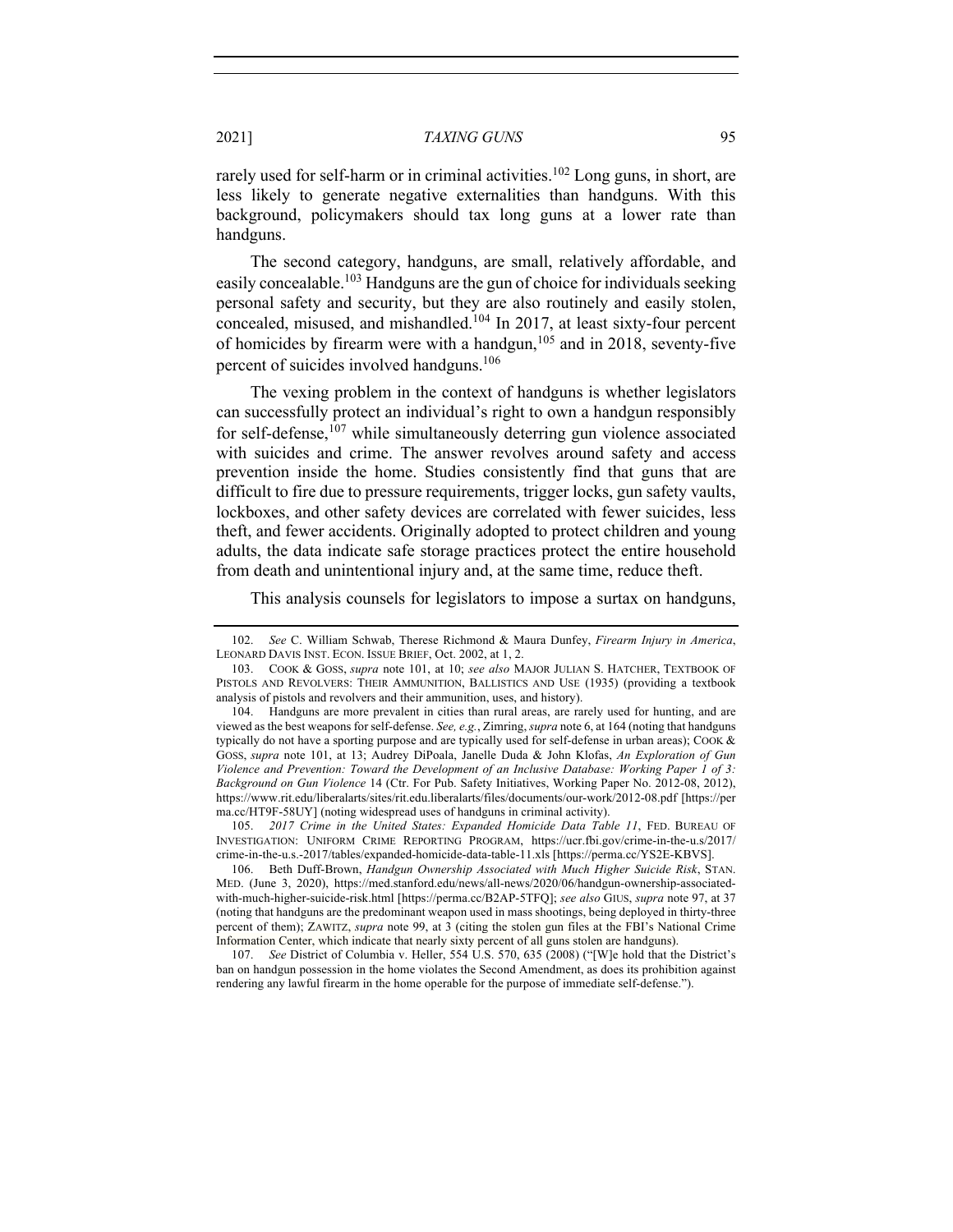rarely used for self-harm or in criminal activities.<sup>102</sup> Long guns, in short, are less likely to generate negative externalities than handguns. With this background, policymakers should tax long guns at a lower rate than handguns.

The second category, handguns, are small, relatively affordable, and easily concealable.<sup>103</sup> Handguns are the gun of choice for individuals seeking personal safety and security, but they are also routinely and easily stolen, concealed, misused, and mishandled.<sup>104</sup> In 2017, at least sixty-four percent of homicides by firearm were with a handgun,<sup>105</sup> and in 2018, seventy-five percent of suicides involved handguns. 106

The vexing problem in the context of handguns is whether legislators can successfully protect an individual's right to own a handgun responsibly for self-defense,  $107$  while simultaneously deterring gun violence associated with suicides and crime. The answer revolves around safety and access prevention inside the home. Studies consistently find that guns that are difficult to fire due to pressure requirements, trigger locks, gun safety vaults, lockboxes, and other safety devices are correlated with fewer suicides, less theft, and fewer accidents. Originally adopted to protect children and young adults, the data indicate safe storage practices protect the entire household from death and unintentional injury and, at the same time, reduce theft.

This analysis counsels for legislators to impose a surtax on handguns,

105. *2017 Crime in the United States: Expanded Homicide Data Table 11*, FED. BUREAU OF INVESTIGATION: UNIFORM CRIME REPORTING PROGRAM, https://ucr.fbi.gov/crime-in-the-u.s/2017/ crime-in-the-u.s.-2017/tables/expanded-homicide-data-table-11.xls [https://perma.cc/YS2E-KBVS].

107. *See* District of Columbia v. Heller, 554 U.S. 570, 635 (2008) ("[W]e hold that the District's ban on handgun possession in the home violates the Second Amendment, as does its prohibition against rendering any lawful firearm in the home operable for the purpose of immediate self-defense.").

<sup>102.</sup> *See* C. William Schwab, Therese Richmond & Maura Dunfey, *Firearm Injury in America*, LEONARD DAVIS INST. ECON. ISSUE BRIEF, Oct. 2002, at 1, 2.

<sup>103.</sup> COOK & GOSS, *supra* note 101, at 10; *see also* MAJOR JULIAN S. HATCHER, TEXTBOOK OF PISTOLS AND REVOLVERS: THEIR AMMUNITION, BALLISTICS AND USE (1935) (providing a textbook analysis of pistols and revolvers and their ammunition, uses, and history).

<sup>104.</sup> Handguns are more prevalent in cities than rural areas, are rarely used for hunting, and are viewed as the best weapons for self-defense. *See, e.g.*, Zimring, *supra* note 6, at 164 (noting that handguns typically do not have a sporting purpose and are typically used for self-defense in urban areas); COOK & GOSS, *supra* note 101, at 13; Audrey DiPoala, Janelle Duda & John Klofas, *An Exploration of Gun Violence and Prevention: Toward the Development of an Inclusive Database: Working Paper 1 of 3: Background on Gun Violence* 14 (Ctr. For Pub. Safety Initiatives, Working Paper No. 2012-08, 2012), https://www.rit.edu/liberalarts/sites/rit.edu.liberalarts/files/documents/our-work/2012-08.pdf [https://per ma.cc/HT9F-58UY] (noting widespread uses of handguns in criminal activity).

<sup>106.</sup> Beth Duff-Brown, *Handgun Ownership Associated with Much Higher Suicide Risk*, STAN. MED. (June 3, 2020), https://med.stanford.edu/news/all-news/2020/06/handgun-ownership-associatedwith-much-higher-suicide-risk.html [https://perma.cc/B2AP-5TFQ]; *see also* GIUS, *supra* note 97, at 37 (noting that handguns are the predominant weapon used in mass shootings, being deployed in thirty-three percent of them); ZAWITZ, *supra* note 99, at 3 (citing the stolen gun files at the FBI's National Crime Information Center, which indicate that nearly sixty percent of all guns stolen are handguns).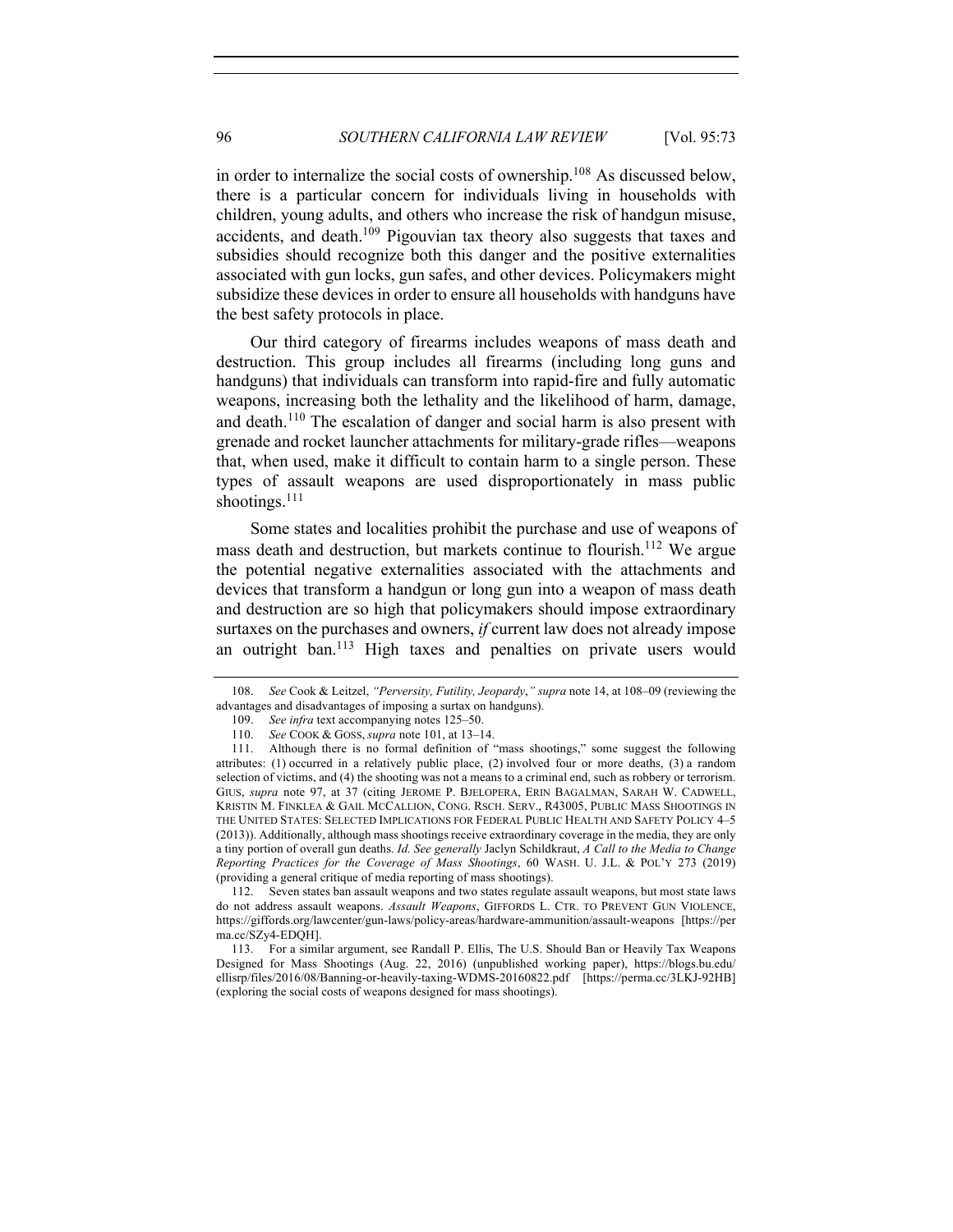in order to internalize the social costs of ownership.<sup>108</sup> As discussed below, there is a particular concern for individuals living in households with children, young adults, and others who increase the risk of handgun misuse, accidents, and death.<sup>109</sup> Pigouvian tax theory also suggests that taxes and subsidies should recognize both this danger and the positive externalities associated with gun locks, gun safes, and other devices. Policymakers might subsidize these devices in order to ensure all households with handguns have the best safety protocols in place.

Our third category of firearms includes weapons of mass death and destruction. This group includes all firearms (including long guns and handguns) that individuals can transform into rapid-fire and fully automatic weapons, increasing both the lethality and the likelihood of harm, damage, and death.<sup>110</sup> The escalation of danger and social harm is also present with grenade and rocket launcher attachments for military-grade rifles—weapons that, when used, make it difficult to contain harm to a single person. These types of assault weapons are used disproportionately in mass public shootings.<sup>111</sup>

Some states and localities prohibit the purchase and use of weapons of mass death and destruction, but markets continue to flourish.<sup>112</sup> We argue the potential negative externalities associated with the attachments and devices that transform a handgun or long gun into a weapon of mass death and destruction are so high that policymakers should impose extraordinary surtaxes on the purchases and owners, *if* current law does not already impose an outright ban.<sup>113</sup> High taxes and penalties on private users would

112. Seven states ban assault weapons and two states regulate assault weapons, but most state laws do not address assault weapons. *Assault Weapons*, GIFFORDS L. CTR. TO PREVENT GUN VIOLENCE, https://giffords.org/lawcenter/gun-laws/policy-areas/hardware-ammunition/assault-weapons [https://per ma.cc/SZy4-EDQH].

<sup>108.</sup> *See* Cook & Leitzel, *"Perversity, Futility, Jeopardy*,*" supra* note 14, at 108–09 (reviewing the advantages and disadvantages of imposing a surtax on handguns).

<sup>109.</sup> *See infra* text accompanying notes 125–50.

<sup>110.</sup> *See* COOK & GOSS, *supra* note 101, at 13–14.

<sup>111.</sup> Although there is no formal definition of "mass shootings," some suggest the following attributes: (1) occurred in a relatively public place, (2) involved four or more deaths, (3) a random selection of victims, and (4) the shooting was not a means to a criminal end, such as robbery or terrorism. GIUS, *supra* note 97, at 37 (citing JEROME P. BJELOPERA, ERIN BAGALMAN, SARAH W. CADWELL, KRISTIN M. FINKLEA & GAIL MCCALLION, CONG. RSCH. SERV., R43005, PUBLIC MASS SHOOTINGS IN THE UNITED STATES: SELECTED IMPLICATIONS FOR FEDERAL PUBLIC HEALTH AND SAFETY POLICY 4–5 (2013)). Additionally, although mass shootings receive extraordinary coverage in the media, they are only a tiny portion of overall gun deaths. *Id. See generally* Jaclyn Schildkraut, *A Call to the Media to Change Reporting Practices for the Coverage of Mass Shootings*, 60 WASH. U. J.L. & POL'Y 273 (2019) (providing a general critique of media reporting of mass shootings).

<sup>113.</sup> For a similar argument, see Randall P. Ellis, The U.S. Should Ban or Heavily Tax Weapons Designed for Mass Shootings (Aug. 22, 2016) (unpublished working paper), https://blogs.bu.edu/ ellisrp/files/2016/08/Banning-or-heavily-taxing-WDMS-20160822.pdf [https://perma.cc/3LKJ-92HB] (exploring the social costs of weapons designed for mass shootings).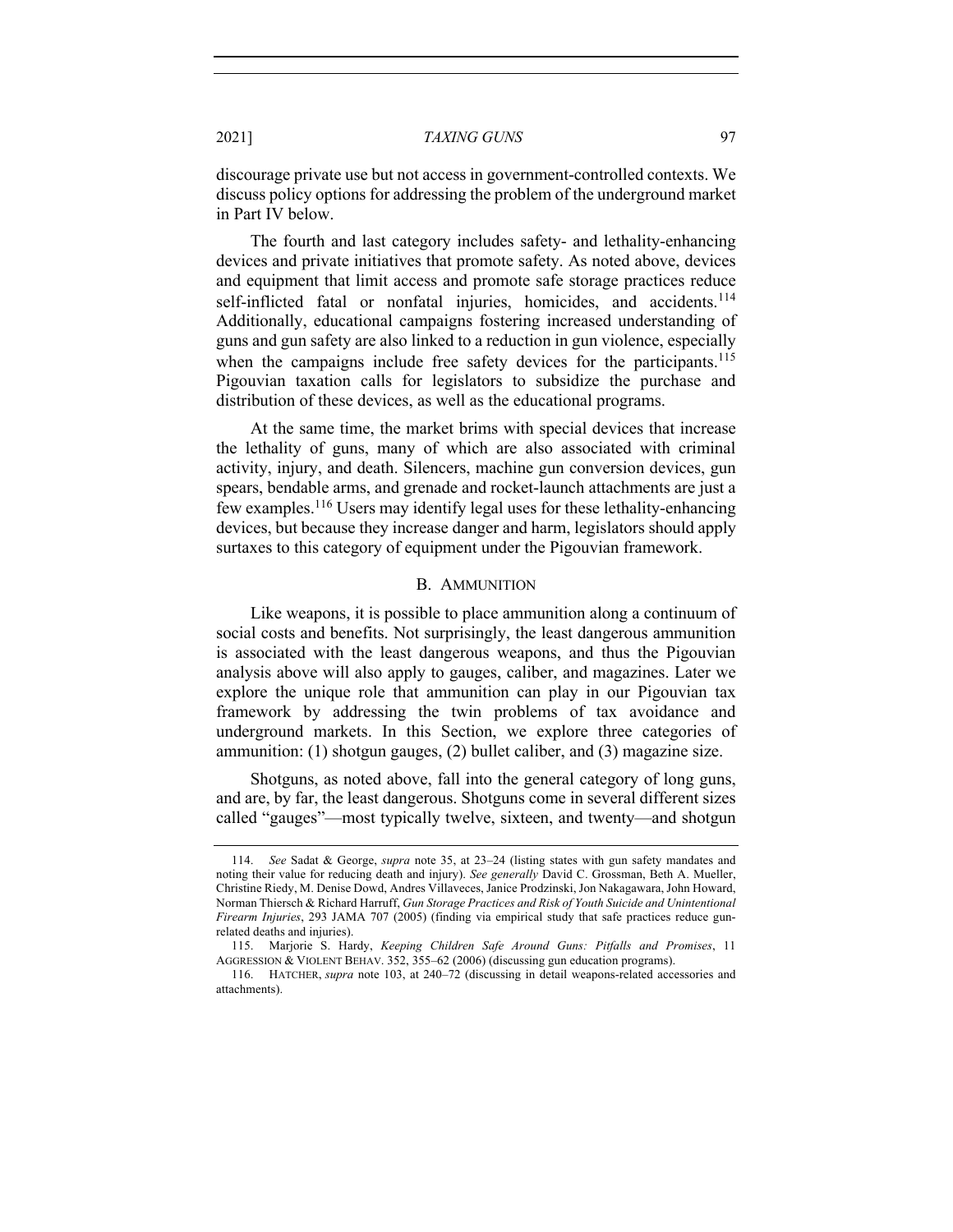discourage private use but not access in government-controlled contexts. We discuss policy options for addressing the problem of the underground market in Part IV below.

The fourth and last category includes safety- and lethality-enhancing devices and private initiatives that promote safety. As noted above, devices and equipment that limit access and promote safe storage practices reduce self-inflicted fatal or nonfatal injuries, homicides, and accidents.<sup>114</sup> Additionally, educational campaigns fostering increased understanding of guns and gun safety are also linked to a reduction in gun violence, especially when the campaigns include free safety devices for the participants.<sup>115</sup> Pigouvian taxation calls for legislators to subsidize the purchase and distribution of these devices, as well as the educational programs.

At the same time, the market brims with special devices that increase the lethality of guns, many of which are also associated with criminal activity, injury, and death. Silencers, machine gun conversion devices, gun spears, bendable arms, and grenade and rocket-launch attachments are just a few examples.<sup>116</sup> Users may identify legal uses for these lethality-enhancing devices, but because they increase danger and harm, legislators should apply surtaxes to this category of equipment under the Pigouvian framework.

### B. AMMUNITION

Like weapons, it is possible to place ammunition along a continuum of social costs and benefits. Not surprisingly, the least dangerous ammunition is associated with the least dangerous weapons, and thus the Pigouvian analysis above will also apply to gauges, caliber, and magazines. Later we explore the unique role that ammunition can play in our Pigouvian tax framework by addressing the twin problems of tax avoidance and underground markets. In this Section, we explore three categories of ammunition: (1) shotgun gauges, (2) bullet caliber, and (3) magazine size.

Shotguns, as noted above, fall into the general category of long guns, and are, by far, the least dangerous. Shotguns come in several different sizes called "gauges"—most typically twelve, sixteen, and twenty—and shotgun

<sup>114.</sup> *See* Sadat & George, *supra* note 35, at 23–24 (listing states with gun safety mandates and noting their value for reducing death and injury). *See generally* David C. Grossman, Beth A. Mueller, Christine Riedy, M. Denise Dowd, Andres Villaveces, Janice Prodzinski, Jon Nakagawara, John Howard, Norman Thiersch & Richard Harruff, *Gun Storage Practices and Risk of Youth Suicide and Unintentional Firearm Injuries*, 293 JAMA 707 (2005) (finding via empirical study that safe practices reduce gunrelated deaths and injuries).

<sup>115.</sup> Marjorie S. Hardy, *Keeping Children Safe Around Guns: Pitfalls and Promises*, 11 AGGRESSION & VIOLENT BEHAV. 352, 355–62 (2006) (discussing gun education programs).

<sup>116.</sup> HATCHER, *supra* note 103, at 240–72 (discussing in detail weapons-related accessories and attachments).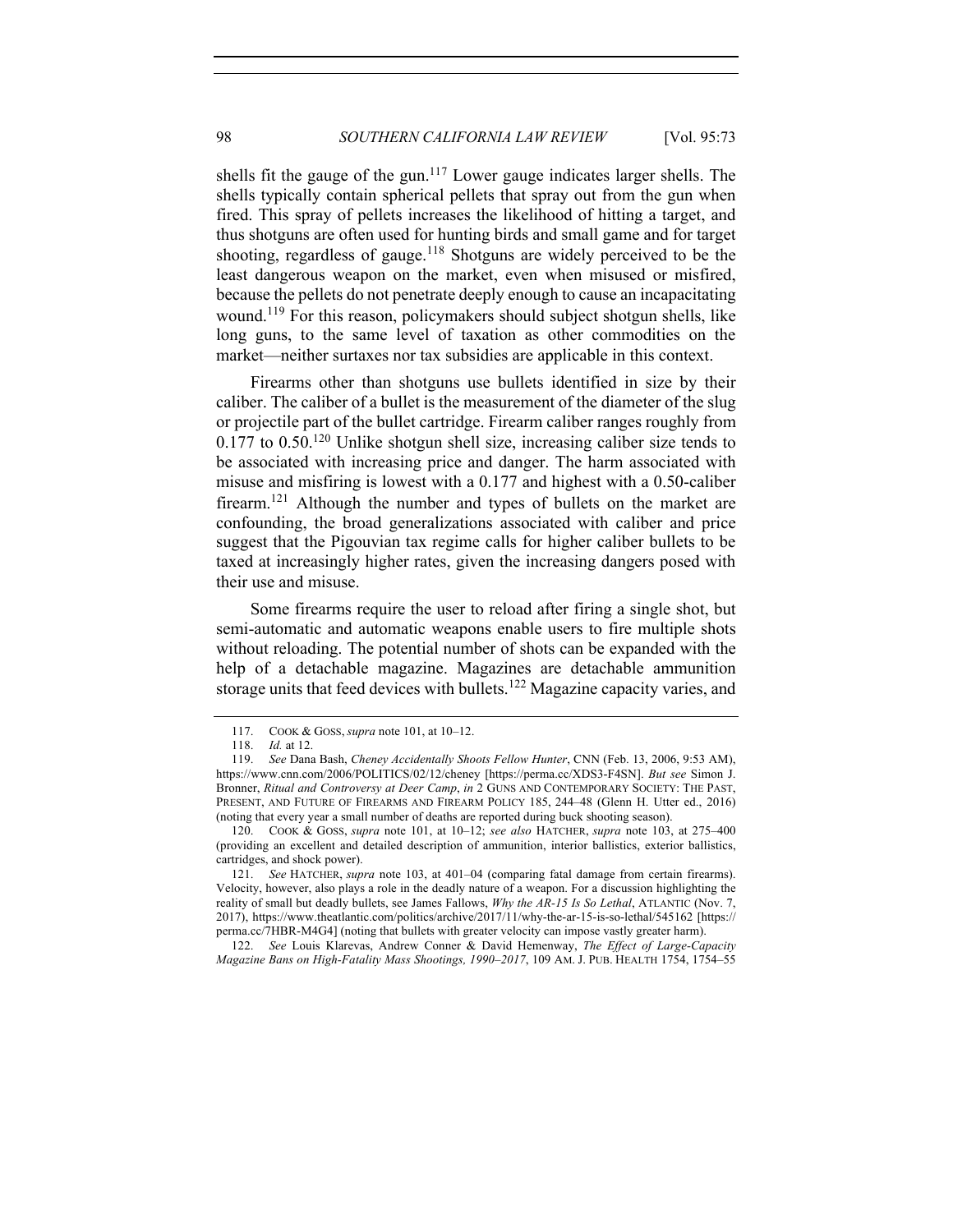shells fit the gauge of the gun.<sup>117</sup> Lower gauge indicates larger shells. The shells typically contain spherical pellets that spray out from the gun when fired. This spray of pellets increases the likelihood of hitting a target, and thus shotguns are often used for hunting birds and small game and for target shooting, regardless of gauge.<sup>118</sup> Shotguns are widely perceived to be the least dangerous weapon on the market, even when misused or misfired, because the pellets do not penetrate deeply enough to cause an incapacitating wound.<sup>119</sup> For this reason, policymakers should subject shotgun shells, like long guns, to the same level of taxation as other commodities on the market—neither surtaxes nor tax subsidies are applicable in this context.

Firearms other than shotguns use bullets identified in size by their caliber. The caliber of a bullet is the measurement of the diameter of the slug or projectile part of the bullet cartridge. Firearm caliber ranges roughly from  $0.177$  to  $0.50$ <sup>120</sup> Unlike shotgun shell size, increasing caliber size tends to be associated with increasing price and danger. The harm associated with misuse and misfiring is lowest with a 0.177 and highest with a 0.50-caliber firearm.121 Although the number and types of bullets on the market are confounding, the broad generalizations associated with caliber and price suggest that the Pigouvian tax regime calls for higher caliber bullets to be taxed at increasingly higher rates, given the increasing dangers posed with their use and misuse.

Some firearms require the user to reload after firing a single shot, but semi-automatic and automatic weapons enable users to fire multiple shots without reloading. The potential number of shots can be expanded with the help of a detachable magazine. Magazines are detachable ammunition storage units that feed devices with bullets.<sup>122</sup> Magazine capacity varies, and

<sup>117.</sup> COOK & GOSS, *supra* note 101, at 10–12.

<sup>118.</sup> *Id.* at 12.

<sup>119.</sup> *See* Dana Bash, *Cheney Accidentally Shoots Fellow Hunter*, CNN (Feb. 13, 2006, 9:53 AM), https://www.cnn.com/2006/POLITICS/02/12/cheney [https://perma.cc/XDS3-F4SN]. *But see* Simon J. Bronner, *Ritual and Controversy at Deer Camp*, *in* 2 GUNS AND CONTEMPORARY SOCIETY: THE PAST, PRESENT, AND FUTURE OF FIREARMS AND FIREARM POLICY 185, 244–48 (Glenn H. Utter ed., 2016) (noting that every year a small number of deaths are reported during buck shooting season).

<sup>120.</sup> COOK & GOSS, *supra* note 101, at 10–12; *see also* HATCHER, *supra* note 103, at 275–400 (providing an excellent and detailed description of ammunition, interior ballistics, exterior ballistics, cartridges, and shock power).

<sup>121.</sup> *See* HATCHER, *supra* note 103, at 401–04 (comparing fatal damage from certain firearms). Velocity, however, also plays a role in the deadly nature of a weapon. For a discussion highlighting the reality of small but deadly bullets, see James Fallows, *Why the AR-15 Is So Lethal*, ATLANTIC (Nov. 7, 2017), https://www.theatlantic.com/politics/archive/2017/11/why-the-ar-15-is-so-lethal/545162 [https:// perma.cc/7HBR-M4G4] (noting that bullets with greater velocity can impose vastly greater harm).

<sup>122.</sup> *See* Louis Klarevas, Andrew Conner & David Hemenway, *The Effect of Large-Capacity Magazine Bans on High-Fatality Mass Shootings, 1990–2017*, 109 AM. J. PUB. HEALTH 1754, 1754–55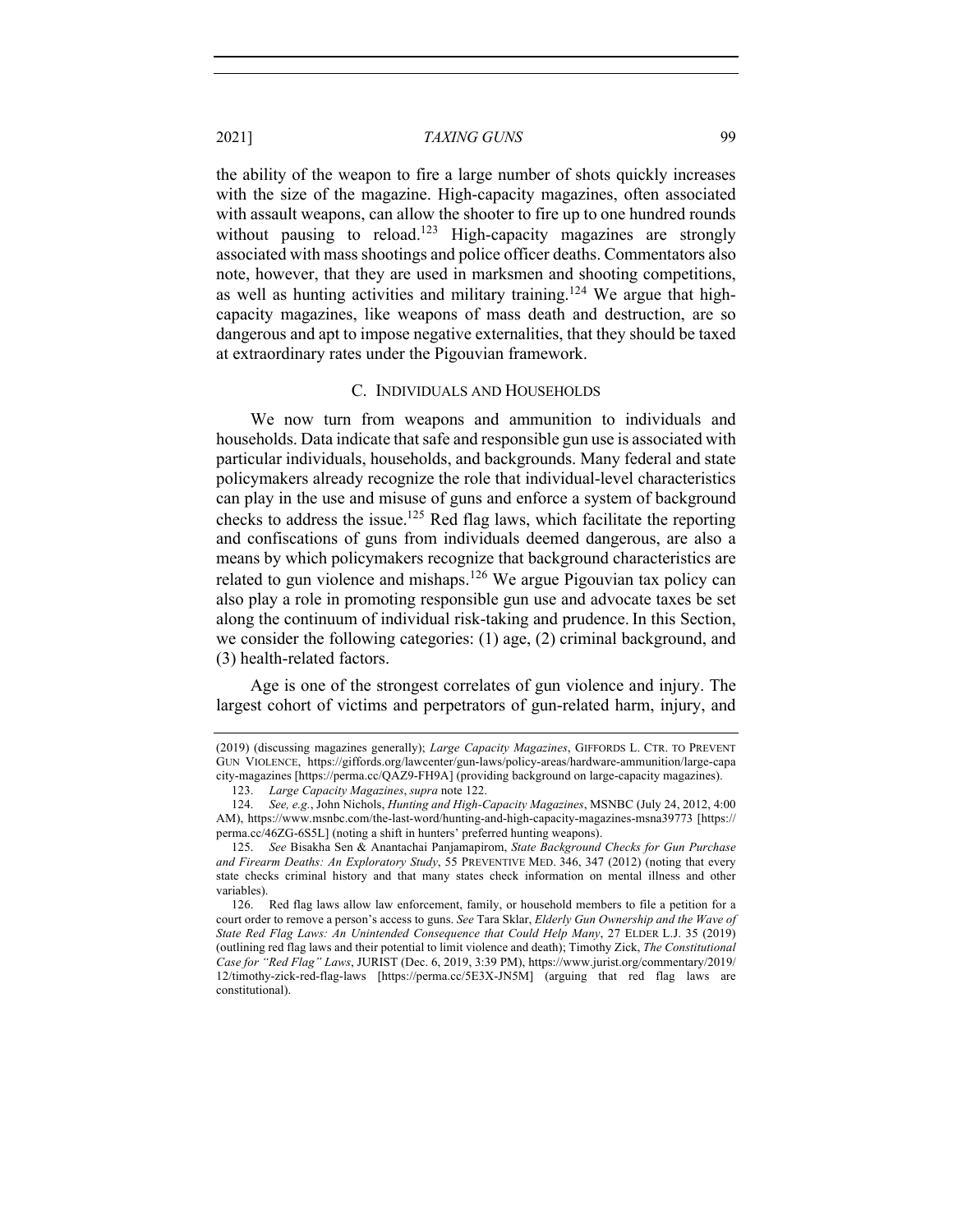the ability of the weapon to fire a large number of shots quickly increases with the size of the magazine. High-capacity magazines, often associated with assault weapons, can allow the shooter to fire up to one hundred rounds without pausing to reload.<sup>123</sup> High-capacity magazines are strongly associated with mass shootings and police officer deaths. Commentators also note, however, that they are used in marksmen and shooting competitions, as well as hunting activities and military training.<sup>124</sup> We argue that highcapacity magazines, like weapons of mass death and destruction, are so dangerous and apt to impose negative externalities, that they should be taxed at extraordinary rates under the Pigouvian framework.

#### C. INDIVIDUALS AND HOUSEHOLDS

We now turn from weapons and ammunition to individuals and households. Data indicate that safe and responsible gun use is associated with particular individuals, households, and backgrounds. Many federal and state policymakers already recognize the role that individual-level characteristics can play in the use and misuse of guns and enforce a system of background checks to address the issue.125 Red flag laws, which facilitate the reporting and confiscations of guns from individuals deemed dangerous, are also a means by which policymakers recognize that background characteristics are related to gun violence and mishaps.<sup>126</sup> We argue Pigouvian tax policy can also play a role in promoting responsible gun use and advocate taxes be set along the continuum of individual risk-taking and prudence. In this Section, we consider the following categories: (1) age, (2) criminal background, and (3) health-related factors.

Age is one of the strongest correlates of gun violence and injury. The largest cohort of victims and perpetrators of gun-related harm, injury, and

<sup>(2019) (</sup>discussing magazines generally); *Large Capacity Magazines*, GIFFORDS L. CTR. TO PREVENT GUN VIOLENCE, https://giffords.org/lawcenter/gun-laws/policy-areas/hardware-ammunition/large-capa city-magazines [https://perma.cc/QAZ9-FH9A] (providing background on large-capacity magazines).

<sup>123.</sup> *Large Capacity Magazines*, *supra* note 122.

<sup>124.</sup> *See, e.g.*, John Nichols, *Hunting and High-Capacity Magazines*, MSNBC (July 24, 2012, 4:00 AM), https://www.msnbc.com/the-last-word/hunting-and-high-capacity-magazines-msna39773 [https:// perma.cc/46ZG-6S5L] (noting a shift in hunters' preferred hunting weapons).

<sup>125.</sup> *See* Bisakha Sen & Anantachai Panjamapirom, *State Background Checks for Gun Purchase and Firearm Deaths: An Exploratory Study*, 55 PREVENTIVE MED. 346, 347 (2012) (noting that every state checks criminal history and that many states check information on mental illness and other variables).

<sup>126.</sup> Red flag laws allow law enforcement, family, or household members to file a petition for a court order to remove a person's access to guns. *See* Tara Sklar, *Elderly Gun Ownership and the Wave of State Red Flag Laws: An Unintended Consequence that Could Help Many*, 27 ELDER L.J. 35 (2019) (outlining red flag laws and their potential to limit violence and death); Timothy Zick, *The Constitutional Case for "Red Flag" Laws*, JURIST (Dec. 6, 2019, 3:39 PM), https://www.jurist.org/commentary/2019/ 12/timothy-zick-red-flag-laws [https://perma.cc/5E3X-JN5M] (arguing that red flag laws are constitutional).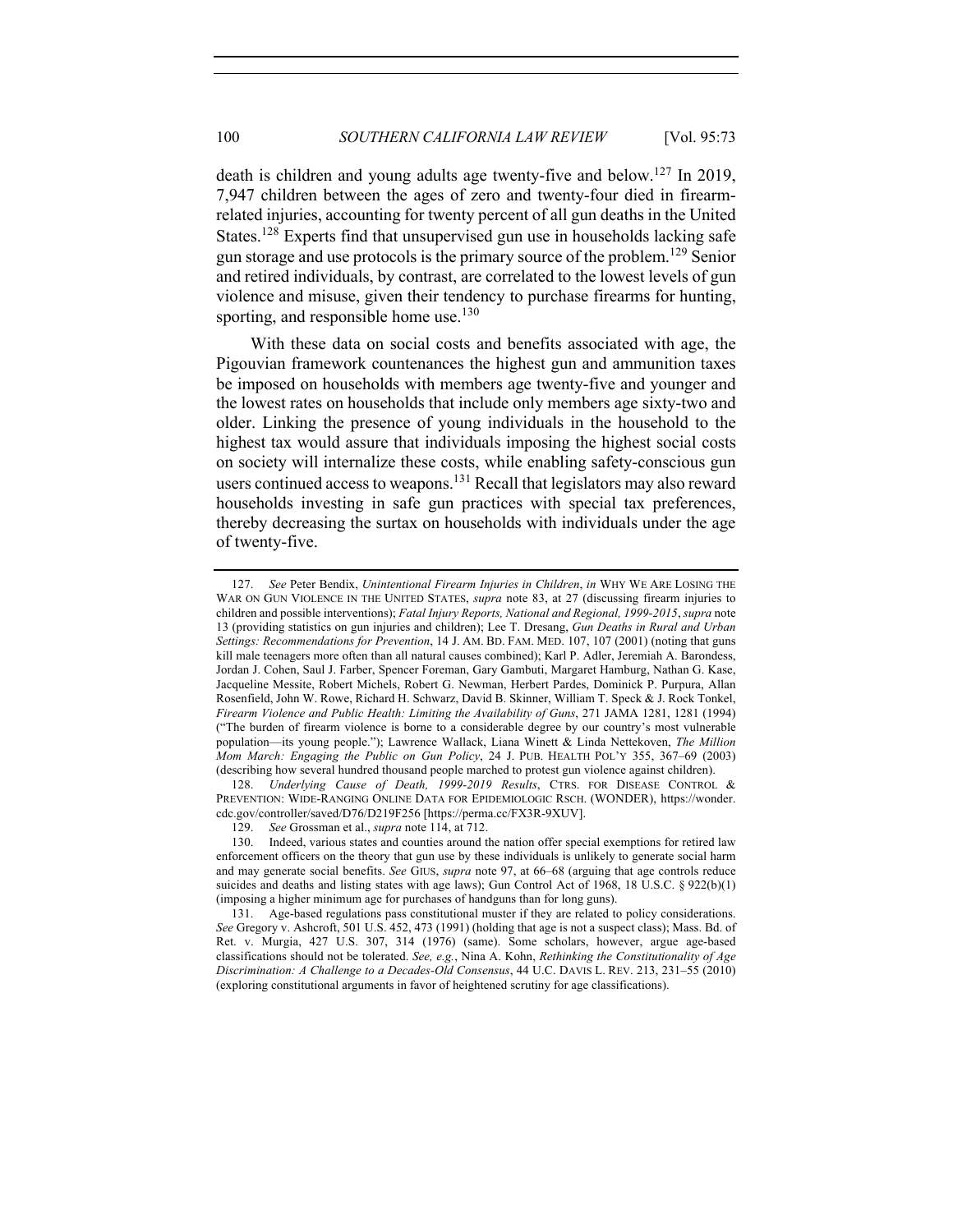death is children and young adults age twenty-five and below.<sup>127</sup> In 2019, 7,947 children between the ages of zero and twenty-four died in firearmrelated injuries, accounting for twenty percent of all gun deaths in the United States.<sup>128</sup> Experts find that unsupervised gun use in households lacking safe gun storage and use protocols is the primary source of the problem.<sup>129</sup> Senior and retired individuals, by contrast, are correlated to the lowest levels of gun violence and misuse, given their tendency to purchase firearms for hunting, sporting, and responsible home use. $130$ 

With these data on social costs and benefits associated with age, the Pigouvian framework countenances the highest gun and ammunition taxes be imposed on households with members age twenty-five and younger and the lowest rates on households that include only members age sixty-two and older. Linking the presence of young individuals in the household to the highest tax would assure that individuals imposing the highest social costs on society will internalize these costs, while enabling safety-conscious gun users continued access to weapons.<sup>131</sup> Recall that legislators may also reward households investing in safe gun practices with special tax preferences, thereby decreasing the surtax on households with individuals under the age of twenty-five.

128. *Underlying Cause of Death, 1999-2019 Results*, CTRS. FOR DISEASE CONTROL & PREVENTION: WIDE-RANGING ONLINE DATA FOR EPIDEMIOLOGIC RSCH. (WONDER), https://wonder. cdc.gov/controller/saved/D76/D219F256 [https://perma.cc/FX3R-9XUV].

<sup>127.</sup> *See* Peter Bendix, *Unintentional Firearm Injuries in Children*, *in* WHY WE ARE LOSING THE WAR ON GUN VIOLENCE IN THE UNITED STATES, *supra* note 83, at 27 (discussing firearm injuries to children and possible interventions); *Fatal Injury Reports, National and Regional, 1999-2015*, *supra* note 13 (providing statistics on gun injuries and children); Lee T. Dresang, *Gun Deaths in Rural and Urban Settings: Recommendations for Prevention*, 14 J. AM. BD. FAM. MED. 107, 107 (2001) (noting that guns kill male teenagers more often than all natural causes combined); Karl P. Adler, Jeremiah A. Barondess, Jordan J. Cohen, Saul J. Farber, Spencer Foreman, Gary Gambuti, Margaret Hamburg, Nathan G. Kase, Jacqueline Messite, Robert Michels, Robert G. Newman, Herbert Pardes, Dominick P. Purpura, Allan Rosenfield, John W. Rowe, Richard H. Schwarz, David B. Skinner, William T. Speck & J. Rock Tonkel, *Firearm Violence and Public Health: Limiting the Availability of Guns*, 271 JAMA 1281, 1281 (1994) ("The burden of firearm violence is borne to a considerable degree by our country's most vulnerable population—its young people."); Lawrence Wallack, Liana Winett & Linda Nettekoven, *The Million Mom March: Engaging the Public on Gun Policy*, 24 J. PUB. HEALTH POL'Y 355, 367–69 (2003) (describing how several hundred thousand people marched to protest gun violence against children).

<sup>129.</sup> *See* Grossman et al., *supra* note 114, at 712.

<sup>130.</sup> Indeed, various states and counties around the nation offer special exemptions for retired law enforcement officers on the theory that gun use by these individuals is unlikely to generate social harm and may generate social benefits. *See* GIUS, *supra* note 97, at 66–68 (arguing that age controls reduce suicides and deaths and listing states with age laws); Gun Control Act of 1968, 18 U.S.C. § 922(b)(1) (imposing a higher minimum age for purchases of handguns than for long guns).

<sup>131.</sup> Age-based regulations pass constitutional muster if they are related to policy considerations. *See* Gregory v. Ashcroft, 501 U.S. 452, 473 (1991) (holding that age is not a suspect class); Mass. Bd. of Ret. v. Murgia, 427 U.S. 307, 314 (1976) (same). Some scholars, however, argue age-based classifications should not be tolerated. *See, e.g.*, Nina A. Kohn, *Rethinking the Constitutionality of Age Discrimination: A Challenge to a Decades-Old Consensus*, 44 U.C. DAVIS L. REV. 213, 231–55 (2010) (exploring constitutional arguments in favor of heightened scrutiny for age classifications).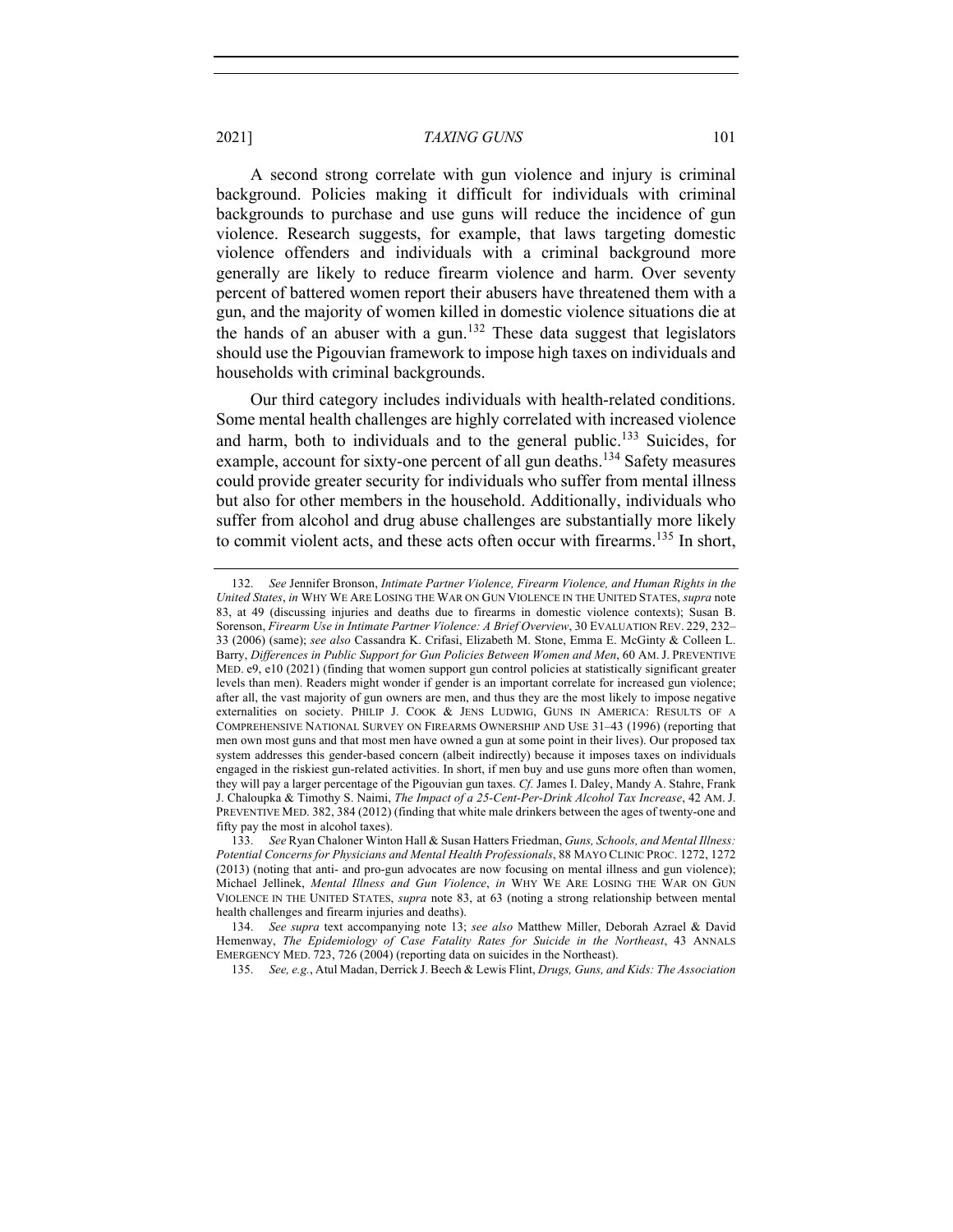A second strong correlate with gun violence and injury is criminal background. Policies making it difficult for individuals with criminal backgrounds to purchase and use guns will reduce the incidence of gun violence. Research suggests, for example, that laws targeting domestic violence offenders and individuals with a criminal background more generally are likely to reduce firearm violence and harm. Over seventy percent of battered women report their abusers have threatened them with a gun, and the majority of women killed in domestic violence situations die at the hands of an abuser with a gun.<sup>132</sup> These data suggest that legislators should use the Pigouvian framework to impose high taxes on individuals and households with criminal backgrounds.

Our third category includes individuals with health-related conditions. Some mental health challenges are highly correlated with increased violence and harm, both to individuals and to the general public.<sup>133</sup> Suicides, for example, account for sixty-one percent of all gun deaths.<sup>134</sup> Safety measures could provide greater security for individuals who suffer from mental illness but also for other members in the household. Additionally, individuals who suffer from alcohol and drug abuse challenges are substantially more likely to commit violent acts, and these acts often occur with firearms.<sup>135</sup> In short,

135. *See, e.g.*, Atul Madan, Derrick J. Beech & Lewis Flint, *Drugs, Guns, and Kids: The Association* 

<sup>132.</sup> *See* Jennifer Bronson, *Intimate Partner Violence, Firearm Violence, and Human Rights in the United States*, *in* WHY WE ARE LOSING THE WAR ON GUN VIOLENCE IN THE UNITED STATES, *supra* note 83, at 49 (discussing injuries and deaths due to firearms in domestic violence contexts); Susan B. Sorenson, *Firearm Use in Intimate Partner Violence: A Brief Overview*, 30 EVALUATION REV. 229, 232– 33 (2006) (same); *see also* Cassandra K. Crifasi, Elizabeth M. Stone, Emma E. McGinty & Colleen L. Barry, *Differences in Public Support for Gun Policies Between Women and Men*, 60 AM. J. PREVENTIVE MED. e9, e10 (2021) (finding that women support gun control policies at statistically significant greater levels than men). Readers might wonder if gender is an important correlate for increased gun violence; after all, the vast majority of gun owners are men, and thus they are the most likely to impose negative externalities on society. PHILIP J. COOK & JENS LUDWIG, GUNS IN AMERICA: RESULTS OF A COMPREHENSIVE NATIONAL SURVEY ON FIREARMS OWNERSHIP AND USE 31–43 (1996) (reporting that men own most guns and that most men have owned a gun at some point in their lives). Our proposed tax system addresses this gender-based concern (albeit indirectly) because it imposes taxes on individuals engaged in the riskiest gun-related activities. In short, if men buy and use guns more often than women, they will pay a larger percentage of the Pigouvian gun taxes. *Cf.* James I. Daley, Mandy A. Stahre, Frank J. Chaloupka & Timothy S. Naimi, *The Impact of a 25-Cent-Per-Drink Alcohol Tax Increase*, 42 AM. J. PREVENTIVE MED. 382, 384 (2012) (finding that white male drinkers between the ages of twenty-one and fifty pay the most in alcohol taxes).

<sup>133.</sup> *See* Ryan Chaloner Winton Hall & Susan Hatters Friedman, *Guns, Schools, and Mental Illness: Potential Concerns for Physicians and Mental Health Professionals*, 88 MAYO CLINIC PROC. 1272, 1272 (2013) (noting that anti- and pro-gun advocates are now focusing on mental illness and gun violence); Michael Jellinek, *Mental Illness and Gun Violence*, *in* WHY WE ARE LOSING THE WAR ON GUN VIOLENCE IN THE UNITED STATES, *supra* note 83, at 63 (noting a strong relationship between mental health challenges and firearm injuries and deaths).

<sup>134.</sup> *See supra* text accompanying note 13; *see also* Matthew Miller, Deborah Azrael & David Hemenway, *The Epidemiology of Case Fatality Rates for Suicide in the Northeast*, 43 ANNALS EMERGENCY MED. 723, 726 (2004) (reporting data on suicides in the Northeast).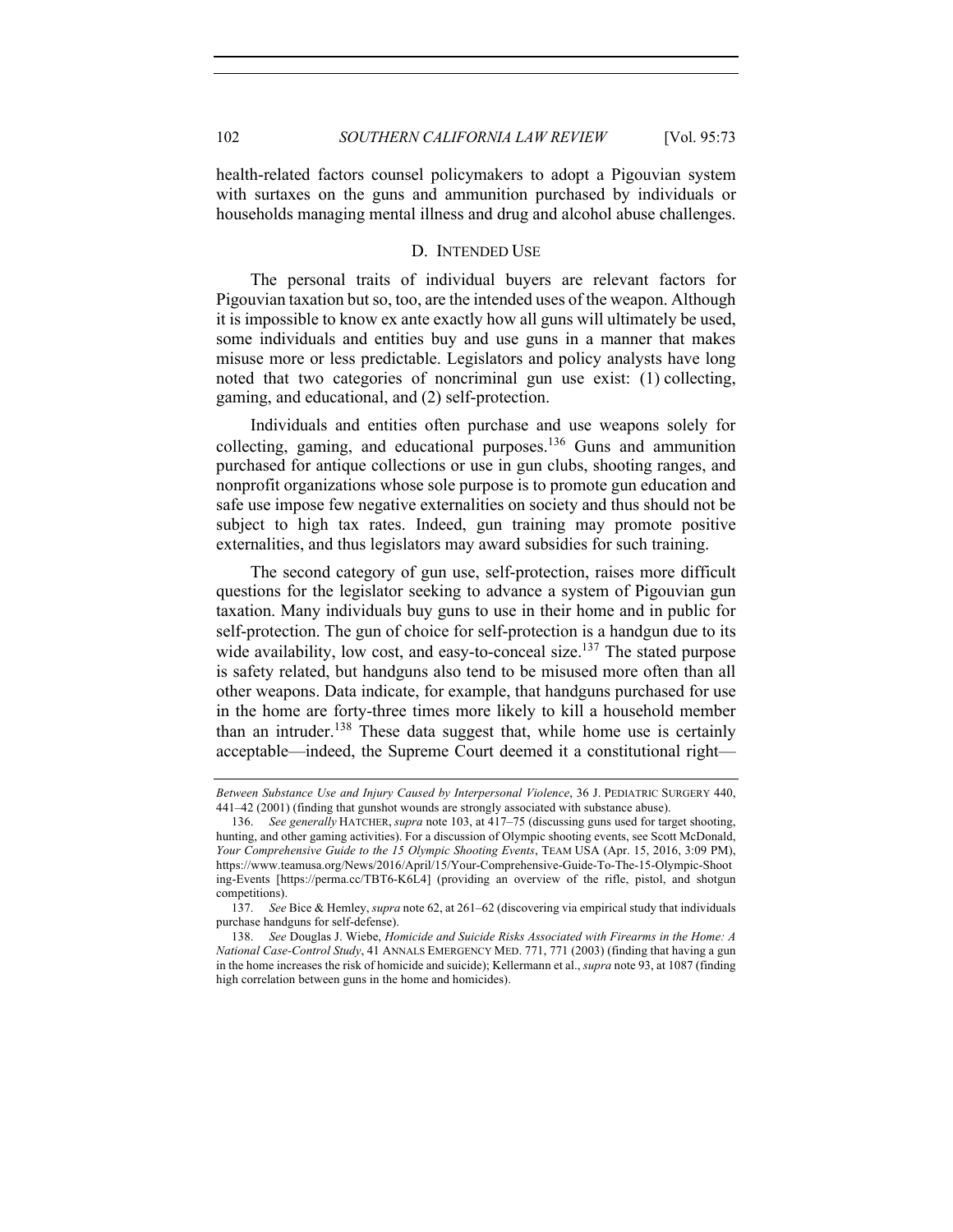health-related factors counsel policymakers to adopt a Pigouvian system with surtaxes on the guns and ammunition purchased by individuals or households managing mental illness and drug and alcohol abuse challenges.

## D. INTENDED USE

The personal traits of individual buyers are relevant factors for Pigouvian taxation but so, too, are the intended uses of the weapon. Although it is impossible to know ex ante exactly how all guns will ultimately be used, some individuals and entities buy and use guns in a manner that makes misuse more or less predictable. Legislators and policy analysts have long noted that two categories of noncriminal gun use exist: (1) collecting, gaming, and educational, and (2) self-protection.

Individuals and entities often purchase and use weapons solely for collecting, gaming, and educational purposes. <sup>136</sup> Guns and ammunition purchased for antique collections or use in gun clubs, shooting ranges, and nonprofit organizations whose sole purpose is to promote gun education and safe use impose few negative externalities on society and thus should not be subject to high tax rates. Indeed, gun training may promote positive externalities, and thus legislators may award subsidies for such training.

The second category of gun use, self-protection, raises more difficult questions for the legislator seeking to advance a system of Pigouvian gun taxation. Many individuals buy guns to use in their home and in public for self-protection. The gun of choice for self-protection is a handgun due to its wide availability, low cost, and easy-to-conceal size.<sup>137</sup> The stated purpose is safety related, but handguns also tend to be misused more often than all other weapons. Data indicate, for example, that handguns purchased for use in the home are forty-three times more likely to kill a household member than an intruder.<sup>138</sup> These data suggest that, while home use is certainly acceptable—indeed, the Supreme Court deemed it a constitutional right—

*Between Substance Use and Injury Caused by Interpersonal Violence*, 36 J. PEDIATRIC SURGERY 440, 441–42 (2001) (finding that gunshot wounds are strongly associated with substance abuse).

<sup>136.</sup> *See generally* HATCHER, *supra* note 103, at 417–75 (discussing guns used for target shooting, hunting, and other gaming activities). For a discussion of Olympic shooting events, see Scott McDonald, *Your Comprehensive Guide to the 15 Olympic Shooting Events*, TEAM USA (Apr. 15, 2016, 3:09 PM), https://www.teamusa.org/News/2016/April/15/Your-Comprehensive-Guide-To-The-15-Olympic-Shoot ing-Events [https://perma.cc/TBT6-K6L4] (providing an overview of the rifle, pistol, and shotgun competitions).

<sup>137.</sup> *See* Bice & Hemley, *supra* note 62, at 261–62 (discovering via empirical study that individuals purchase handguns for self-defense).

<sup>138.</sup> *See* Douglas J. Wiebe, *Homicide and Suicide Risks Associated with Firearms in the Home: A National Case-Control Study*, 41 ANNALS EMERGENCY MED. 771, 771 (2003) (finding that having a gun in the home increases the risk of homicide and suicide); Kellermann et al., *supra* note 93, at 1087 (finding high correlation between guns in the home and homicides).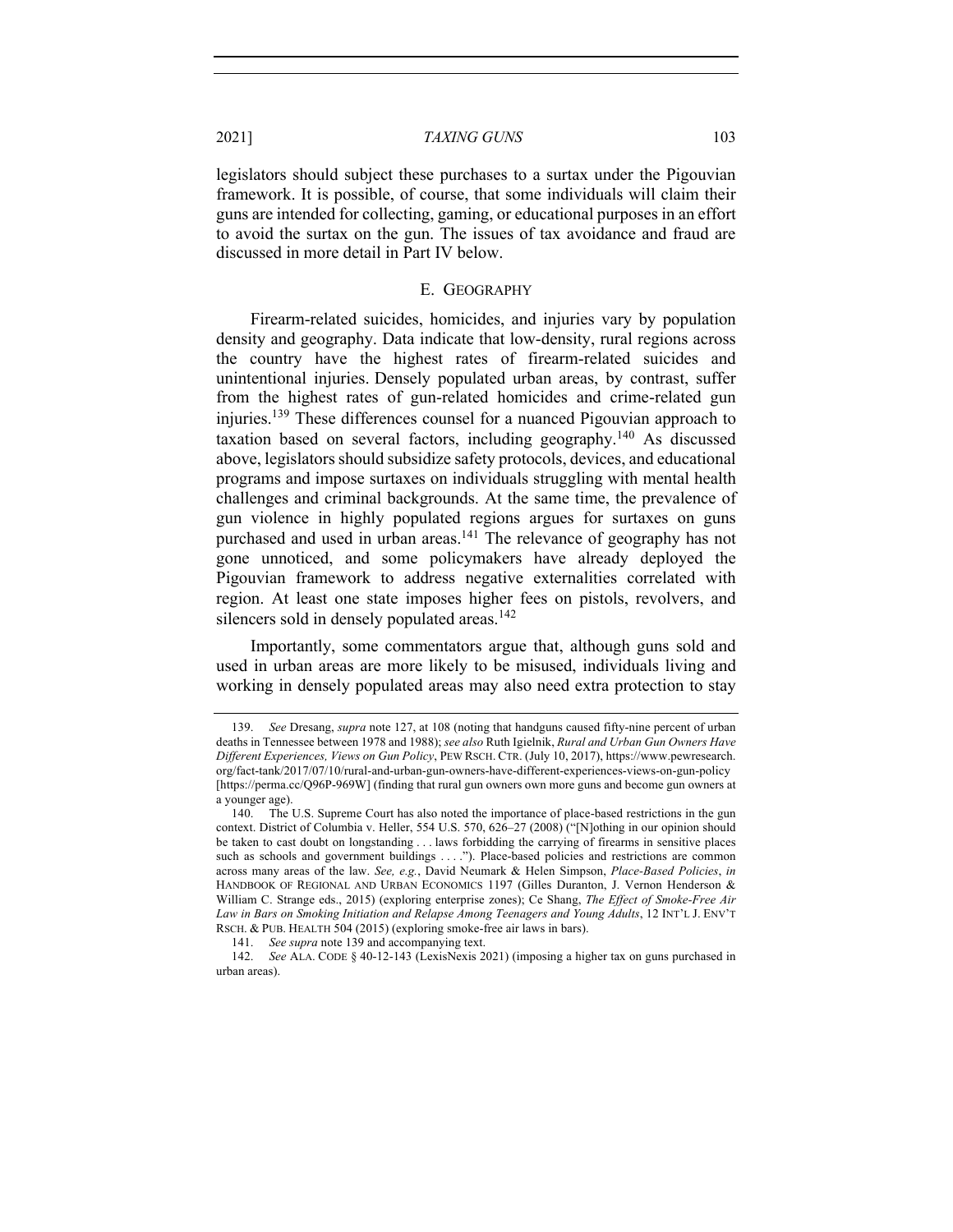legislators should subject these purchases to a surtax under the Pigouvian framework. It is possible, of course, that some individuals will claim their guns are intended for collecting, gaming, or educational purposes in an effort to avoid the surtax on the gun. The issues of tax avoidance and fraud are discussed in more detail in Part IV below.

#### E. GEOGRAPHY

Firearm-related suicides, homicides, and injuries vary by population density and geography. Data indicate that low-density, rural regions across the country have the highest rates of firearm-related suicides and unintentional injuries. Densely populated urban areas, by contrast, suffer from the highest rates of gun-related homicides and crime-related gun injuries.<sup>139</sup> These differences counsel for a nuanced Pigouvian approach to taxation based on several factors, including geography.<sup>140</sup> As discussed above, legislators should subsidize safety protocols, devices, and educational programs and impose surtaxes on individuals struggling with mental health challenges and criminal backgrounds. At the same time, the prevalence of gun violence in highly populated regions argues for surtaxes on guns purchased and used in urban areas.<sup>141</sup> The relevance of geography has not gone unnoticed, and some policymakers have already deployed the Pigouvian framework to address negative externalities correlated with region. At least one state imposes higher fees on pistols, revolvers, and silencers sold in densely populated areas.<sup>142</sup>

Importantly, some commentators argue that, although guns sold and used in urban areas are more likely to be misused, individuals living and working in densely populated areas may also need extra protection to stay

<sup>139.</sup> *See* Dresang, *supra* note 127, at 108 (noting that handguns caused fifty-nine percent of urban deaths in Tennessee between 1978 and 1988); *see also* Ruth Igielnik, *Rural and Urban Gun Owners Have Different Experiences, Views on Gun Policy*, PEW RSCH. CTR. (July 10, 2017), https://www.pewresearch. org/fact-tank/2017/07/10/rural-and-urban-gun-owners-have-different-experiences-views-on-gun-policy [https://perma.cc/Q96P-969W] (finding that rural gun owners own more guns and become gun owners at a younger age).

<sup>140.</sup> The U.S. Supreme Court has also noted the importance of place-based restrictions in the gun context. District of Columbia v. Heller, 554 U.S. 570, 626–27 (2008) ("[N]othing in our opinion should be taken to cast doubt on longstanding . . . laws forbidding the carrying of firearms in sensitive places such as schools and government buildings . . . ."). Place-based policies and restrictions are common across many areas of the law. *See, e.g.*, David Neumark & Helen Simpson, *Place-Based Policies*, *in*  HANDBOOK OF REGIONAL AND URBAN ECONOMICS 1197 (Gilles Duranton, J. Vernon Henderson & William C. Strange eds., 2015) (exploring enterprise zones); Ce Shang, *The Effect of Smoke-Free Air Law in Bars on Smoking Initiation and Relapse Among Teenagers and Young Adults*, 12 INT'L J. ENV'T RSCH. & PUB. HEALTH 504 (2015) (exploring smoke-free air laws in bars).

<sup>141.</sup> *See supra* note 139 and accompanying text.

<sup>142.</sup> *See* ALA. CODE § 40-12-143 (LexisNexis 2021) (imposing a higher tax on guns purchased in urban areas).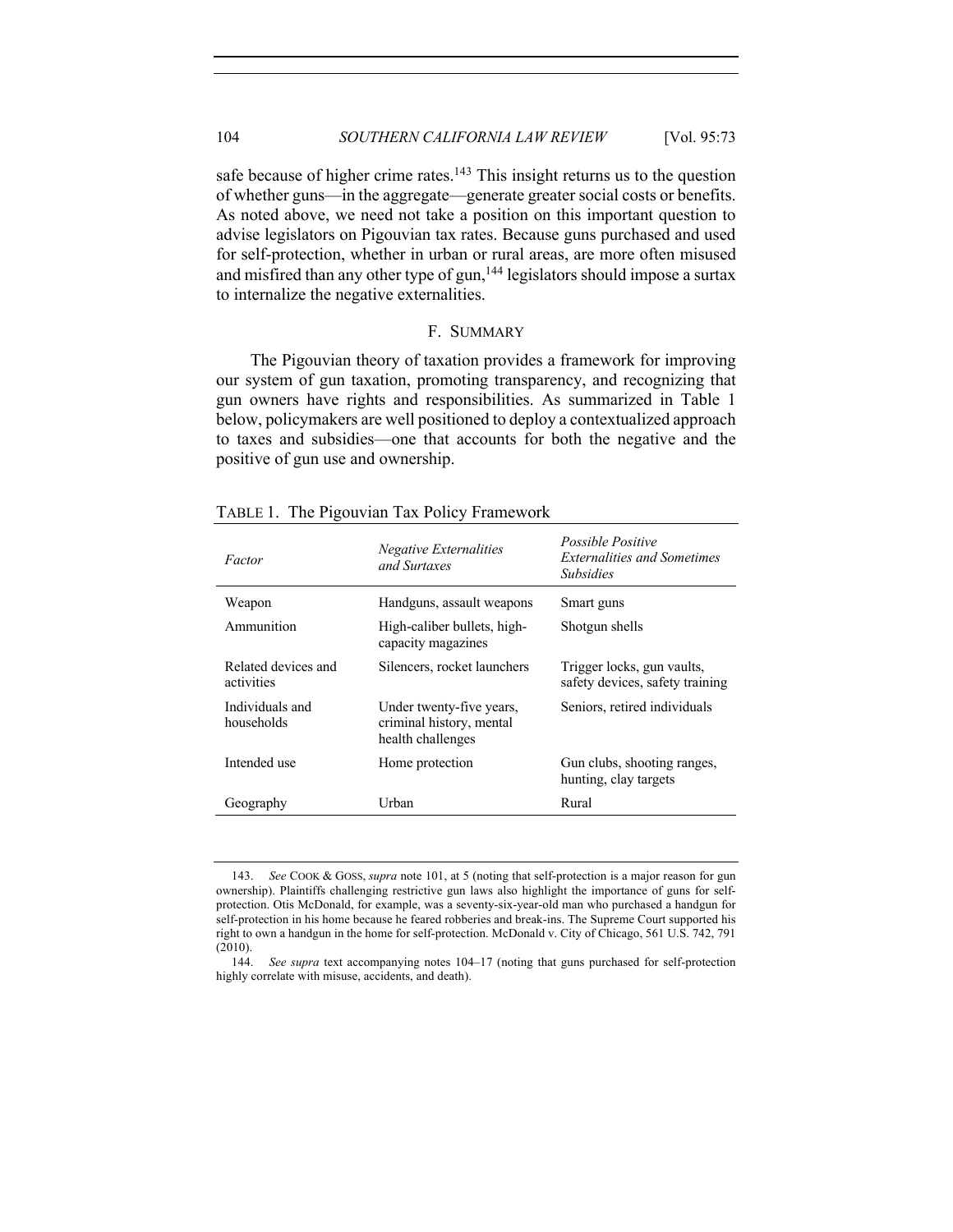safe because of higher crime rates.<sup>143</sup> This insight returns us to the question of whether guns—in the aggregate—generate greater social costs or benefits. As noted above, we need not take a position on this important question to advise legislators on Pigouvian tax rates. Because guns purchased and used for self-protection, whether in urban or rural areas, are more often misused and misfired than any other type of gun,<sup>144</sup> legislators should impose a surtax to internalize the negative externalities.

#### F. SUMMARY

The Pigouvian theory of taxation provides a framework for improving our system of gun taxation, promoting transparency, and recognizing that gun owners have rights and responsibilities. As summarized in Table 1 below, policymakers are well positioned to deploy a contextualized approach to taxes and subsidies—one that accounts for both the negative and the positive of gun use and ownership.

| Factor                            | Negative Externalities<br>and Surtaxes                                    | <i>Possible Positive</i><br><b>Externalities and Sometimes</b><br><i><b>Subsidies</b></i> |
|-----------------------------------|---------------------------------------------------------------------------|-------------------------------------------------------------------------------------------|
| Weapon                            | Handguns, assault weapons                                                 | Smart guns                                                                                |
| Ammunition                        | High-caliber bullets, high-<br>capacity magazines                         | Shotgun shells                                                                            |
| Related devices and<br>activities | Silencers, rocket launchers                                               | Trigger locks, gun vaults,<br>safety devices, safety training                             |
| Individuals and<br>households     | Under twenty-five years,<br>criminal history, mental<br>health challenges | Seniors, retired individuals                                                              |
| Intended use                      | Home protection                                                           | Gun clubs, shooting ranges,<br>hunting, clay targets                                      |
| Geography                         | Urban                                                                     | Rural                                                                                     |

TABLE 1. The Pigouvian Tax Policy Framework

<sup>143.</sup> *See* COOK & GOSS, *supra* note 101, at 5 (noting that self-protection is a major reason for gun ownership). Plaintiffs challenging restrictive gun laws also highlight the importance of guns for selfprotection. Otis McDonald, for example, was a seventy-six-year-old man who purchased a handgun for self-protection in his home because he feared robberies and break-ins. The Supreme Court supported his right to own a handgun in the home for self-protection. McDonald v. City of Chicago, 561 U.S. 742, 791 (2010).

<sup>144.</sup> *See supra* text accompanying notes 104–17 (noting that guns purchased for self-protection highly correlate with misuse, accidents, and death).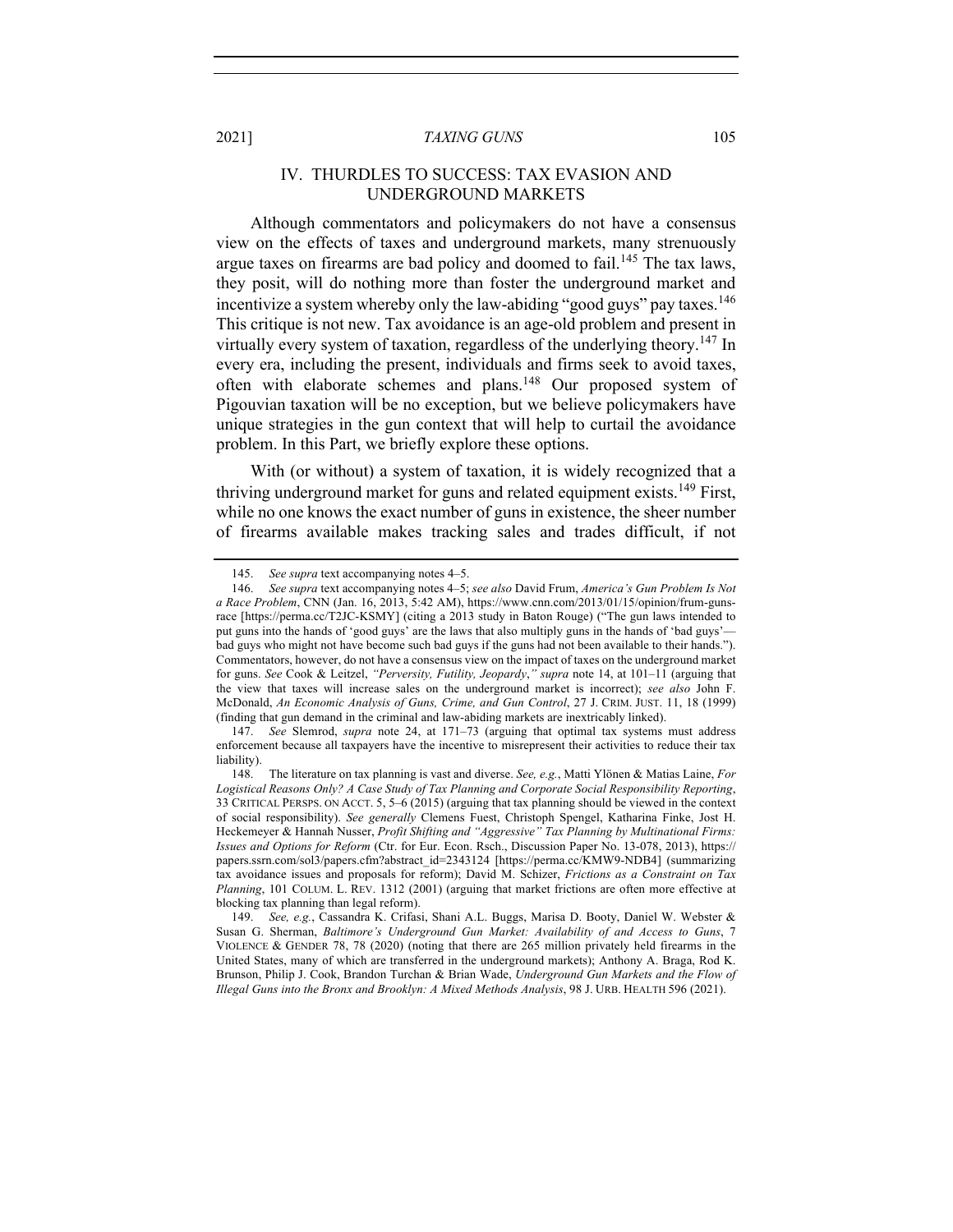## IV. THURDLES TO SUCCESS: TAX EVASION AND UNDERGROUND MARKETS

Although commentators and policymakers do not have a consensus view on the effects of taxes and underground markets, many strenuously argue taxes on firearms are bad policy and doomed to fail.<sup>145</sup> The tax laws, they posit, will do nothing more than foster the underground market and incentivize a system whereby only the law-abiding "good guys" pay taxes.<sup>146</sup> This critique is not new. Tax avoidance is an age-old problem and present in virtually every system of taxation, regardless of the underlying theory.<sup>147</sup> In every era, including the present, individuals and firms seek to avoid taxes, often with elaborate schemes and plans.<sup>148</sup> Our proposed system of Pigouvian taxation will be no exception, but we believe policymakers have unique strategies in the gun context that will help to curtail the avoidance problem. In this Part, we briefly explore these options.

With (or without) a system of taxation, it is widely recognized that a thriving underground market for guns and related equipment exists.<sup>149</sup> First, while no one knows the exact number of guns in existence, the sheer number of firearms available makes tracking sales and trades difficult, if not

<sup>145.</sup> *See supra* text accompanying notes 4–5.

<sup>146.</sup> *See supra* text accompanying notes 4–5; *see also* David Frum, *America's Gun Problem Is Not a Race Problem*, CNN (Jan. 16, 2013, 5:42 AM), https://www.cnn.com/2013/01/15/opinion/frum-gunsrace [https://perma.cc/T2JC-KSMY] (citing a 2013 study in Baton Rouge) ("The gun laws intended to put guns into the hands of 'good guys' are the laws that also multiply guns in the hands of 'bad guys' bad guys who might not have become such bad guys if the guns had not been available to their hands."). Commentators, however, do not have a consensus view on the impact of taxes on the underground market for guns. *See* Cook & Leitzel, *"Perversity, Futility, Jeopardy*,*" supra* note 14, at 101–11 (arguing that the view that taxes will increase sales on the underground market is incorrect); *see also* John F. McDonald, *An Economic Analysis of Guns, Crime, and Gun Control*, 27 J. CRIM. JUST. 11, 18 (1999) (finding that gun demand in the criminal and law-abiding markets are inextricably linked).

<sup>147.</sup> *See* Slemrod, *supra* note 24, at 171–73 (arguing that optimal tax systems must address enforcement because all taxpayers have the incentive to misrepresent their activities to reduce their tax liability).

<sup>148.</sup> The literature on tax planning is vast and diverse. *See, e.g.*, Matti Ylönen & Matias Laine, *For Logistical Reasons Only? A Case Study of Tax Planning and Corporate Social Responsibility Reporting*, 33 CRITICAL PERSPS. ON ACCT. 5, 5–6 (2015) (arguing that tax planning should be viewed in the context of social responsibility). *See generally* Clemens Fuest, Christoph Spengel, Katharina Finke, Jost H. Heckemeyer & Hannah Nusser, *Profit Shifting and "Aggressive" Tax Planning by Multinational Firms: Issues and Options for Reform* (Ctr. for Eur. Econ. Rsch., Discussion Paper No. 13-078, 2013), https:// papers.ssrn.com/sol3/papers.cfm?abstract\_id=2343124 [https://perma.cc/KMW9-NDB4] (summarizing tax avoidance issues and proposals for reform); David M. Schizer, *Frictions as a Constraint on Tax Planning*, 101 COLUM. L. REV. 1312 (2001) (arguing that market frictions are often more effective at blocking tax planning than legal reform).

<sup>149.</sup> *See, e.g.*, Cassandra K. Crifasi, Shani A.L. Buggs, Marisa D. Booty, Daniel W. Webster & Susan G. Sherman, *Baltimore's Underground Gun Market: Availability of and Access to Guns*, 7 VIOLENCE & GENDER 78, 78 (2020) (noting that there are 265 million privately held firearms in the United States, many of which are transferred in the underground markets); Anthony A. Braga, Rod K. Brunson, Philip J. Cook, Brandon Turchan & Brian Wade, *Underground Gun Markets and the Flow of Illegal Guns into the Bronx and Brooklyn: A Mixed Methods Analysis*, 98 J. URB. HEALTH 596 (2021).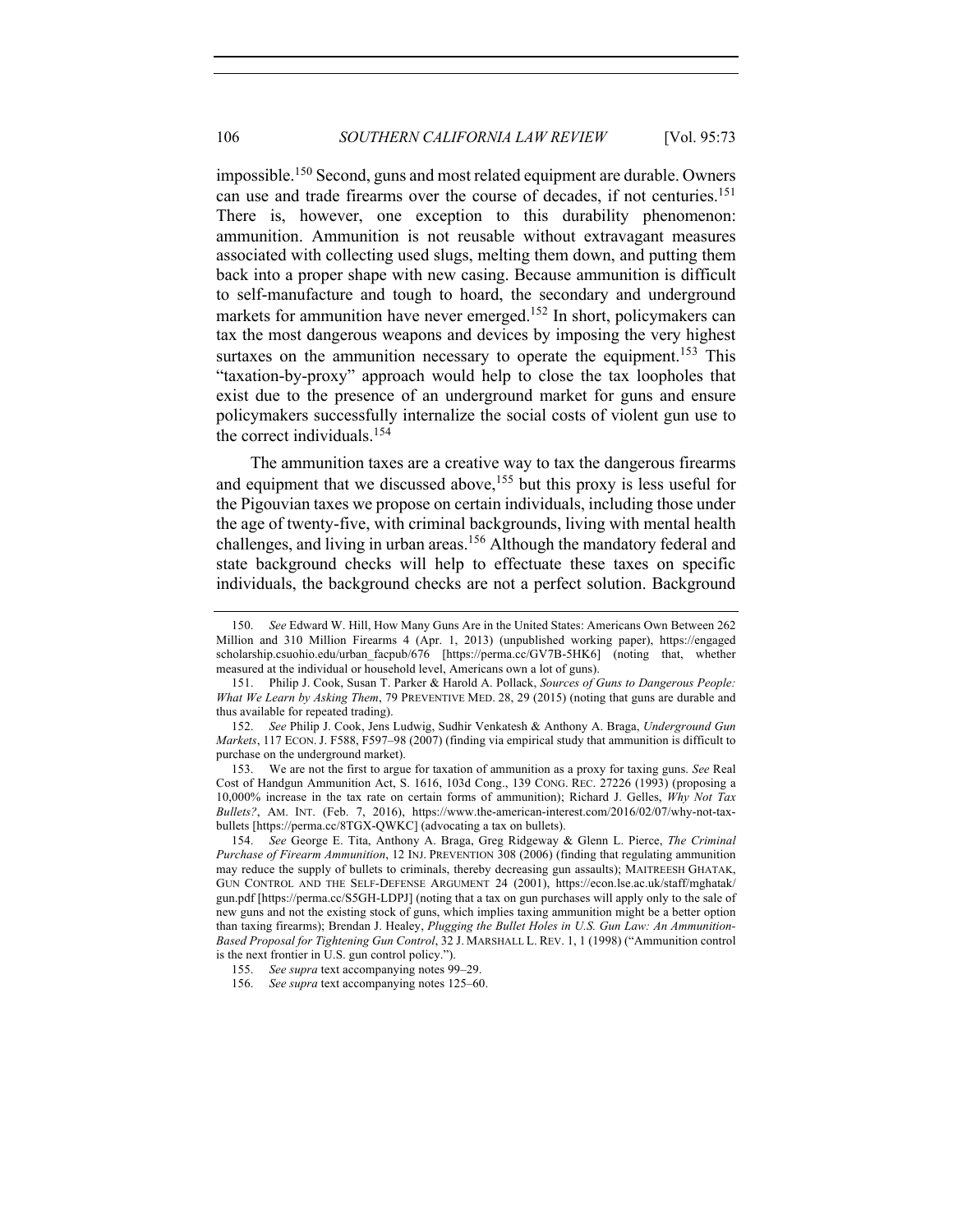impossible.<sup>150</sup> Second, guns and most related equipment are durable. Owners can use and trade firearms over the course of decades, if not centuries.<sup>151</sup> There is, however, one exception to this durability phenomenon: ammunition. Ammunition is not reusable without extravagant measures associated with collecting used slugs, melting them down, and putting them back into a proper shape with new casing. Because ammunition is difficult to self-manufacture and tough to hoard, the secondary and underground markets for ammunition have never emerged.<sup>152</sup> In short, policymakers can tax the most dangerous weapons and devices by imposing the very highest surtaxes on the ammunition necessary to operate the equipment.<sup>153</sup> This "taxation-by-proxy" approach would help to close the tax loopholes that exist due to the presence of an underground market for guns and ensure policymakers successfully internalize the social costs of violent gun use to the correct individuals.<sup>154</sup>

The ammunition taxes are a creative way to tax the dangerous firearms and equipment that we discussed above,<sup>155</sup> but this proxy is less useful for the Pigouvian taxes we propose on certain individuals, including those under the age of twenty-five, with criminal backgrounds, living with mental health challenges, and living in urban areas.<sup>156</sup> Although the mandatory federal and state background checks will help to effectuate these taxes on specific individuals, the background checks are not a perfect solution. Background

<sup>150.</sup> *See* Edward W. Hill, How Many Guns Are in the United States: Americans Own Between 262 Million and 310 Million Firearms 4 (Apr. 1, 2013) (unpublished working paper), https://engaged scholarship.csuohio.edu/urban\_facpub/676 [https://perma.cc/GV7B-5HK6] (noting that, whether measured at the individual or household level, Americans own a lot of guns).

<sup>151.</sup> Philip J. Cook, Susan T. Parker & Harold A. Pollack, *Sources of Guns to Dangerous People: What We Learn by Asking Them*, 79 PREVENTIVE MED. 28, 29 (2015) (noting that guns are durable and thus available for repeated trading).

<sup>152.</sup> *See* Philip J. Cook, Jens Ludwig, Sudhir Venkatesh & Anthony A. Braga, *Underground Gun Markets*, 117 ECON. J. F588, F597–98 (2007) (finding via empirical study that ammunition is difficult to purchase on the underground market).

<sup>153.</sup> We are not the first to argue for taxation of ammunition as a proxy for taxing guns. *See* Real Cost of Handgun Ammunition Act, S. 1616, 103d Cong., 139 CONG. REC. 27226 (1993) (proposing a 10,000% increase in the tax rate on certain forms of ammunition); Richard J. Gelles, *Why Not Tax Bullets?*, AM. INT. (Feb. 7, 2016), https://www.the-american-interest.com/2016/02/07/why-not-taxbullets [https://perma.cc/8TGX-QWKC] (advocating a tax on bullets).

<sup>154.</sup> *See* George E. Tita, Anthony A. Braga, Greg Ridgeway & Glenn L. Pierce, *The Criminal Purchase of Firearm Ammunition*, 12 INJ. PREVENTION 308 (2006) (finding that regulating ammunition may reduce the supply of bullets to criminals, thereby decreasing gun assaults); MAITREESH GHATAK, GUN CONTROL AND THE SELF-DEFENSE ARGUMENT 24 (2001), https://econ.lse.ac.uk/staff/mghatak/ gun.pdf [https://perma.cc/S5GH-LDPJ] (noting that a tax on gun purchases will apply only to the sale of new guns and not the existing stock of guns, which implies taxing ammunition might be a better option than taxing firearms); Brendan J. Healey, *Plugging the Bullet Holes in U.S. Gun Law: An Ammunition-Based Proposal for Tightening Gun Control*, 32 J. MARSHALL L. REV. 1, 1 (1998) ("Ammunition control is the next frontier in U.S. gun control policy.").

<sup>155.</sup> *See supra* text accompanying notes 99–29.

<sup>156.</sup> *See supra* text accompanying notes 125–60.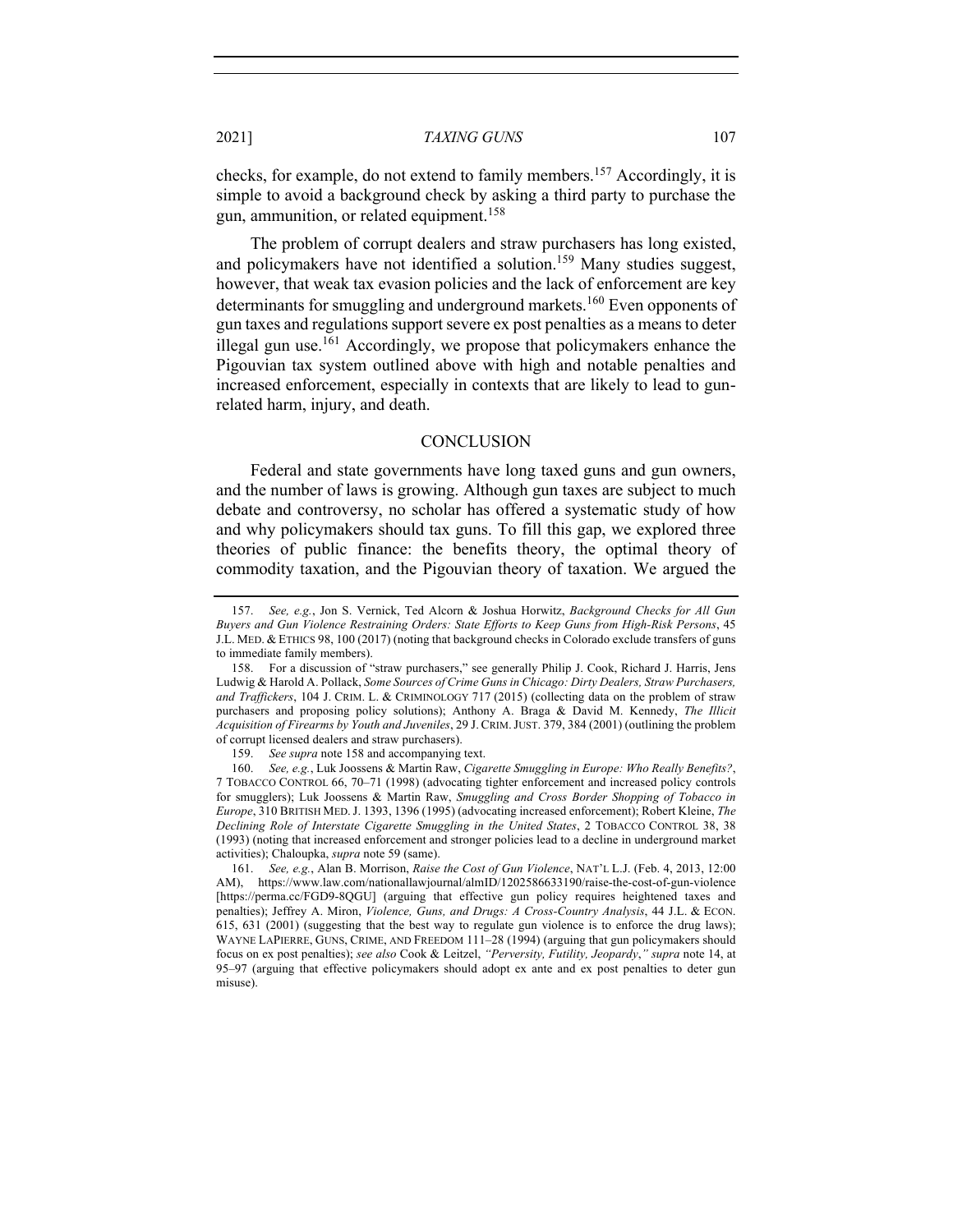checks, for example, do not extend to family members. <sup>157</sup> Accordingly, it is simple to avoid a background check by asking a third party to purchase the gun, ammunition, or related equipment.<sup>158</sup>

The problem of corrupt dealers and straw purchasers has long existed, and policymakers have not identified a solution.<sup>159</sup> Many studies suggest, however, that weak tax evasion policies and the lack of enforcement are key determinants for smuggling and underground markets.<sup>160</sup> Even opponents of gun taxes and regulations support severe ex post penalties as a means to deter illegal gun use.<sup>161</sup> Accordingly, we propose that policymakers enhance the Pigouvian tax system outlined above with high and notable penalties and increased enforcement, especially in contexts that are likely to lead to gunrelated harm, injury, and death.

#### **CONCLUSION**

Federal and state governments have long taxed guns and gun owners, and the number of laws is growing. Although gun taxes are subject to much debate and controversy, no scholar has offered a systematic study of how and why policymakers should tax guns. To fill this gap, we explored three theories of public finance: the benefits theory, the optimal theory of commodity taxation, and the Pigouvian theory of taxation. We argued the

<sup>157.</sup> *See, e.g.*, Jon S. Vernick, Ted Alcorn & Joshua Horwitz, *Background Checks for All Gun Buyers and Gun Violence Restraining Orders: State Efforts to Keep Guns from High-Risk Persons*, 45 J.L. MED. & ETHICS 98, 100 (2017) (noting that background checks in Colorado exclude transfers of guns to immediate family members).

<sup>158.</sup> For a discussion of "straw purchasers," see generally Philip J. Cook, Richard J. Harris, Jens Ludwig & Harold A. Pollack, *Some Sources of Crime Guns in Chicago: Dirty Dealers, Straw Purchasers, and Traffickers*, 104 J. CRIM. L. & CRIMINOLOGY 717 (2015) (collecting data on the problem of straw purchasers and proposing policy solutions); Anthony A. Braga & David M. Kennedy, *The Illicit Acquisition of Firearms by Youth and Juveniles*, 29 J. CRIM.JUST. 379, 384 (2001) (outlining the problem of corrupt licensed dealers and straw purchasers).

<sup>159.</sup> *See supra* note 158 and accompanying text.

<sup>160.</sup> *See, e.g.*, Luk Joossens & Martin Raw, *Cigarette Smuggling in Europe: Who Really Benefits?*, 7 TOBACCO CONTROL 66, 70–71 (1998) (advocating tighter enforcement and increased policy controls for smugglers); Luk Joossens & Martin Raw, *Smuggling and Cross Border Shopping of Tobacco in Europe*, 310 BRITISH MED.J. 1393, 1396 (1995) (advocating increased enforcement); Robert Kleine, *The Declining Role of Interstate Cigarette Smuggling in the United States*, 2 TOBACCO CONTROL 38, 38 (1993) (noting that increased enforcement and stronger policies lead to a decline in underground market activities); Chaloupka, *supra* note 59 (same).

<sup>161.</sup> *See, e.g.*, Alan B. Morrison, *Raise the Cost of Gun Violence*, NAT'L L.J. (Feb. 4, 2013, 12:00 AM), https://www.law.com/nationallawjournal/almID/1202586633190/raise-the-cost-of-gun-violence [https://perma.cc/FGD9-8QGU] (arguing that effective gun policy requires heightened taxes and penalties); Jeffrey A. Miron, *Violence, Guns, and Drugs: A Cross-Country Analysis*, 44 J.L. & ECON. 615, 631 (2001) (suggesting that the best way to regulate gun violence is to enforce the drug laws); WAYNE LAPIERRE, GUNS, CRIME, AND FREEDOM 111–28 (1994) (arguing that gun policymakers should focus on ex post penalties); *see also* Cook & Leitzel, *"Perversity, Futility, Jeopardy*,*" supra* note 14, at 95–97 (arguing that effective policymakers should adopt ex ante and ex post penalties to deter gun misuse).